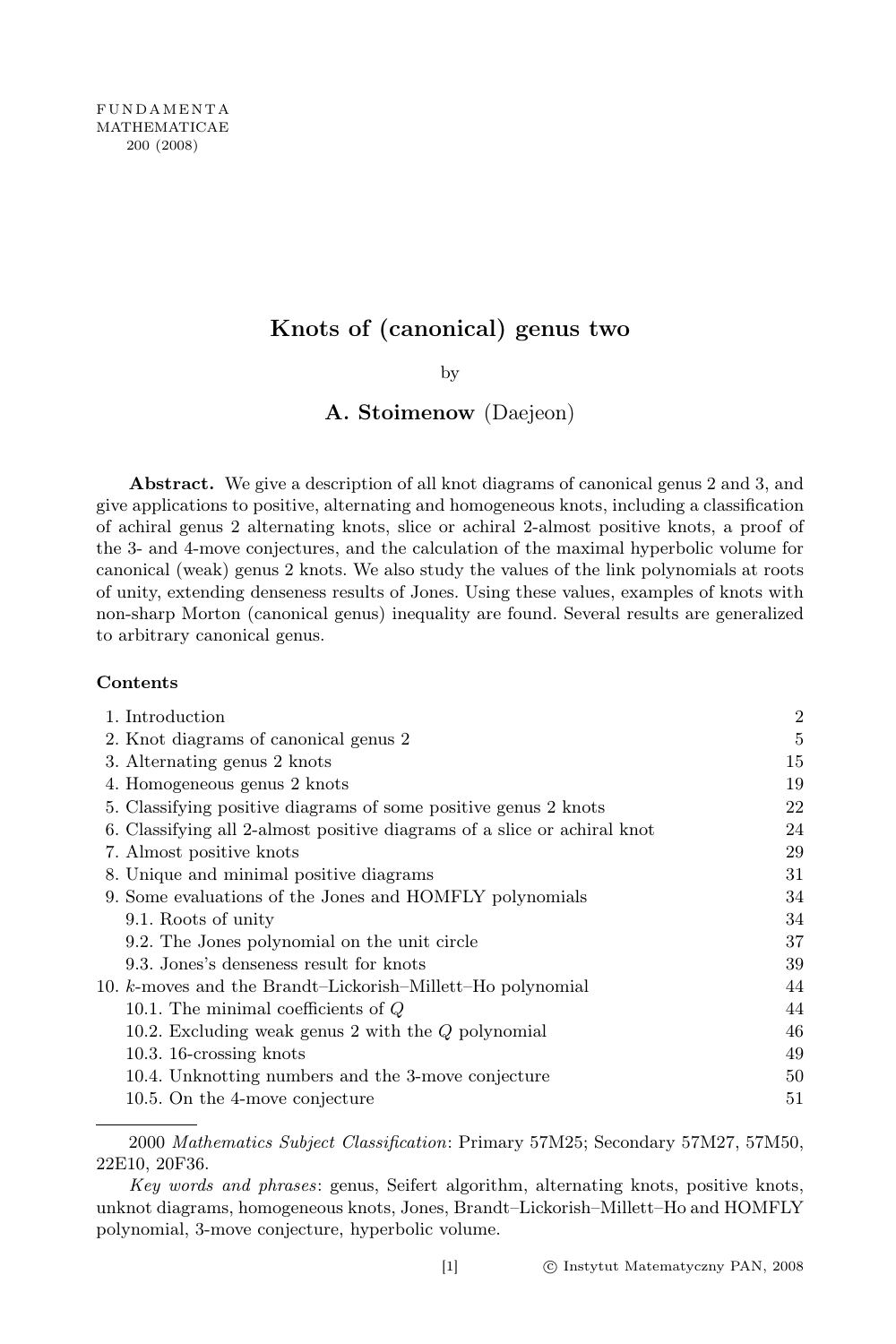# Knots of (canonical) genus two

by

# A. Stoimenow (Daejeon)

Abstract. We give a description of all knot diagrams of canonical genus 2 and 3, and give applications to positive, alternating and homogeneous knots, including a classification of achiral genus 2 alternating knots, slice or achiral 2-almost positive knots, a proof of the 3- and 4-move conjectures, and the calculation of the maximal hyperbolic volume for canonical (weak) genus 2 knots. We also study the values of the link polynomials at roots of unity, extending denseness results of Jones. Using these values, examples of knots with non-sharp Morton (canonical genus) inequality are found. Several results are generalized to arbitrary canonical genus.

### Contents

| 1. Introduction                                                          | $\overline{2}$ |
|--------------------------------------------------------------------------|----------------|
| 2. Knot diagrams of canonical genus 2                                    | 5              |
| 3. Alternating genus 2 knots                                             | 15             |
| 4. Homogeneous genus 2 knots                                             | 19             |
| 5. Classifying positive diagrams of some positive genus 2 knots          | 22             |
| 6. Classifying all 2-almost positive diagrams of a slice or achiral knot | 24             |
| 7. Almost positive knots                                                 | 29             |
| 8. Unique and minimal positive diagrams                                  | 31             |
| 9. Some evaluations of the Jones and HOMFLY polynomials                  | 34             |
| 9.1. Roots of unity                                                      | 34             |
| 9.2. The Jones polynomial on the unit circle                             | 37             |
| 9.3. Jones's denseness result for knots                                  | 39             |
| 10. k-moves and the Brandt-Lickorish-Millett-Ho polynomial               | 44             |
| 10.1. The minimal coefficients of $Q$                                    | 44             |
| 10.2. Excluding weak genus 2 with the $Q$ polynomial                     | 46             |
| $10.3.16$ -crossing knots                                                | 49             |
| 10.4. Unknotting numbers and the 3-move conjecture                       | 50             |
| 10.5. On the 4-move conjecture                                           | 51             |

<sup>2000</sup> Mathematics Subject Classification: Primary 57M25; Secondary 57M27, 57M50, 22E10, 20F36.

Key words and phrases: genus, Seifert algorithm, alternating knots, positive knots, unknot diagrams, homogeneous knots, Jones, Brandt–Lickorish–Millett–Ho and HOMFLY polynomial, 3-move conjecture, hyperbolic volume.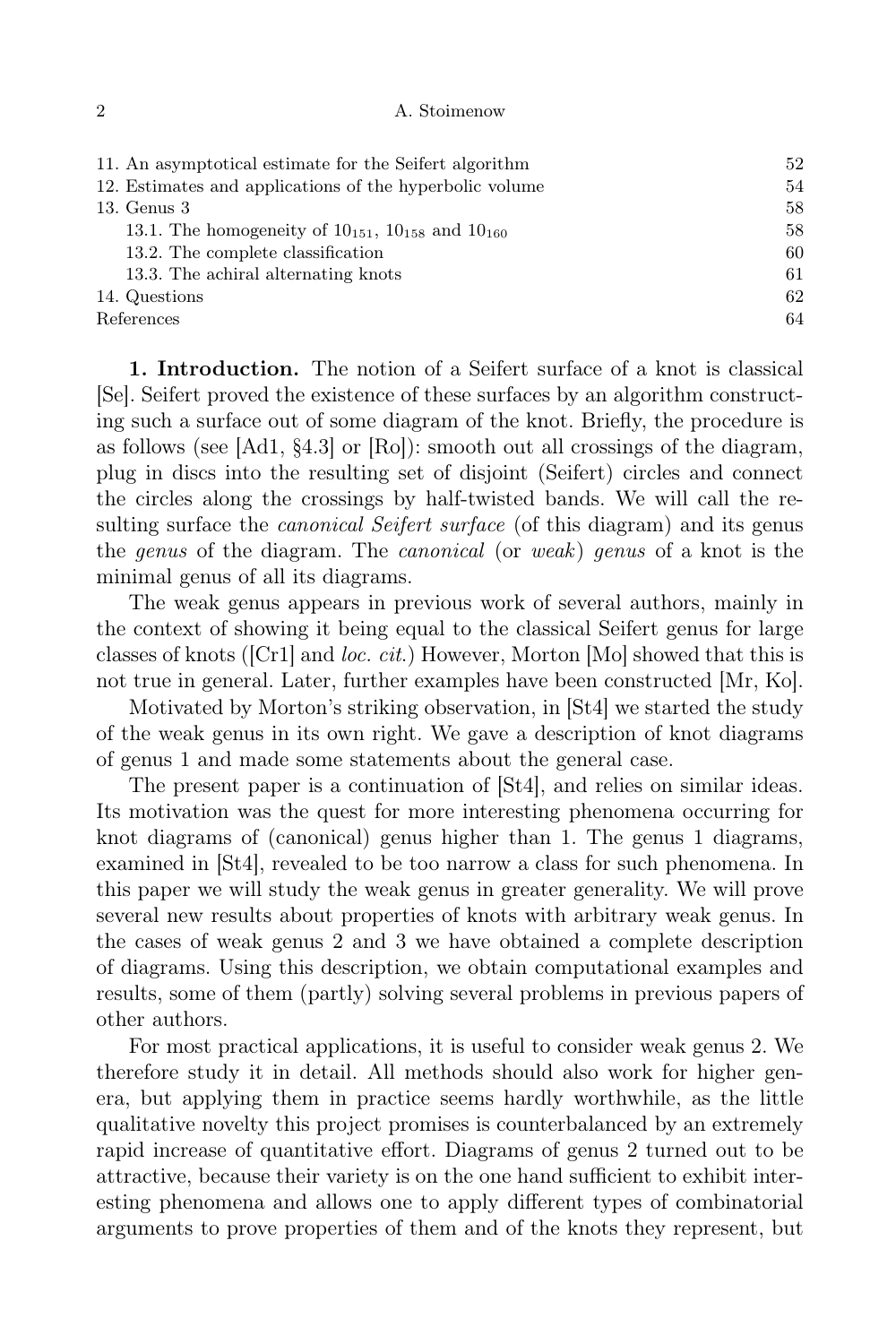|  | A. Stoimenow |
|--|--------------|
|  |              |

| 11. An asymptotical estimate for the Seifert algorithm          | 52 |
|-----------------------------------------------------------------|----|
| 12. Estimates and applications of the hyperbolic volume         | 54 |
| $13.$ Genus $3$                                                 | 58 |
| 13.1. The homogeneity of $10_{151}$ , $10_{158}$ and $10_{160}$ | 58 |
| 13.2. The complete classification                               | 60 |
| 13.3. The achiral alternating knots                             | 61 |
| 14. Questions                                                   | 62 |
| References                                                      | 64 |
|                                                                 |    |

1. Introduction. The notion of a Seifert surface of a knot is classical [Se]. Seifert proved the existence of these surfaces by an algorithm constructing such a surface out of some diagram of the knot. Briefly, the procedure is as follows (see [Ad1,  $\S 4.3$ ] or [Ro]): smooth out all crossings of the diagram, plug in discs into the resulting set of disjoint (Seifert) circles and connect the circles along the crossings by half-twisted bands. We will call the resulting surface the *canonical Seifert surface* (of this diagram) and its genus the genus of the diagram. The canonical (or weak) genus of a knot is the minimal genus of all its diagrams.

The weak genus appears in previous work of several authors, mainly in the context of showing it being equal to the classical Seifert genus for large classes of knots ( $[Cr1]$  and *loc. cit.*) However, Morton [Mo] showed that this is not true in general. Later, further examples have been constructed [Mr, Ko].

Motivated by Morton's striking observation, in [St4] we started the study of the weak genus in its own right. We gave a description of knot diagrams of genus 1 and made some statements about the general case.

The present paper is a continuation of [St4], and relies on similar ideas. Its motivation was the quest for more interesting phenomena occurring for knot diagrams of (canonical) genus higher than 1. The genus 1 diagrams, examined in [St4], revealed to be too narrow a class for such phenomena. In this paper we will study the weak genus in greater generality. We will prove several new results about properties of knots with arbitrary weak genus. In the cases of weak genus 2 and 3 we have obtained a complete description of diagrams. Using this description, we obtain computational examples and results, some of them (partly) solving several problems in previous papers of other authors.

For most practical applications, it is useful to consider weak genus 2. We therefore study it in detail. All methods should also work for higher genera, but applying them in practice seems hardly worthwhile, as the little qualitative novelty this project promises is counterbalanced by an extremely rapid increase of quantitative effort. Diagrams of genus 2 turned out to be attractive, because their variety is on the one hand sufficient to exhibit interesting phenomena and allows one to apply different types of combinatorial arguments to prove properties of them and of the knots they represent, but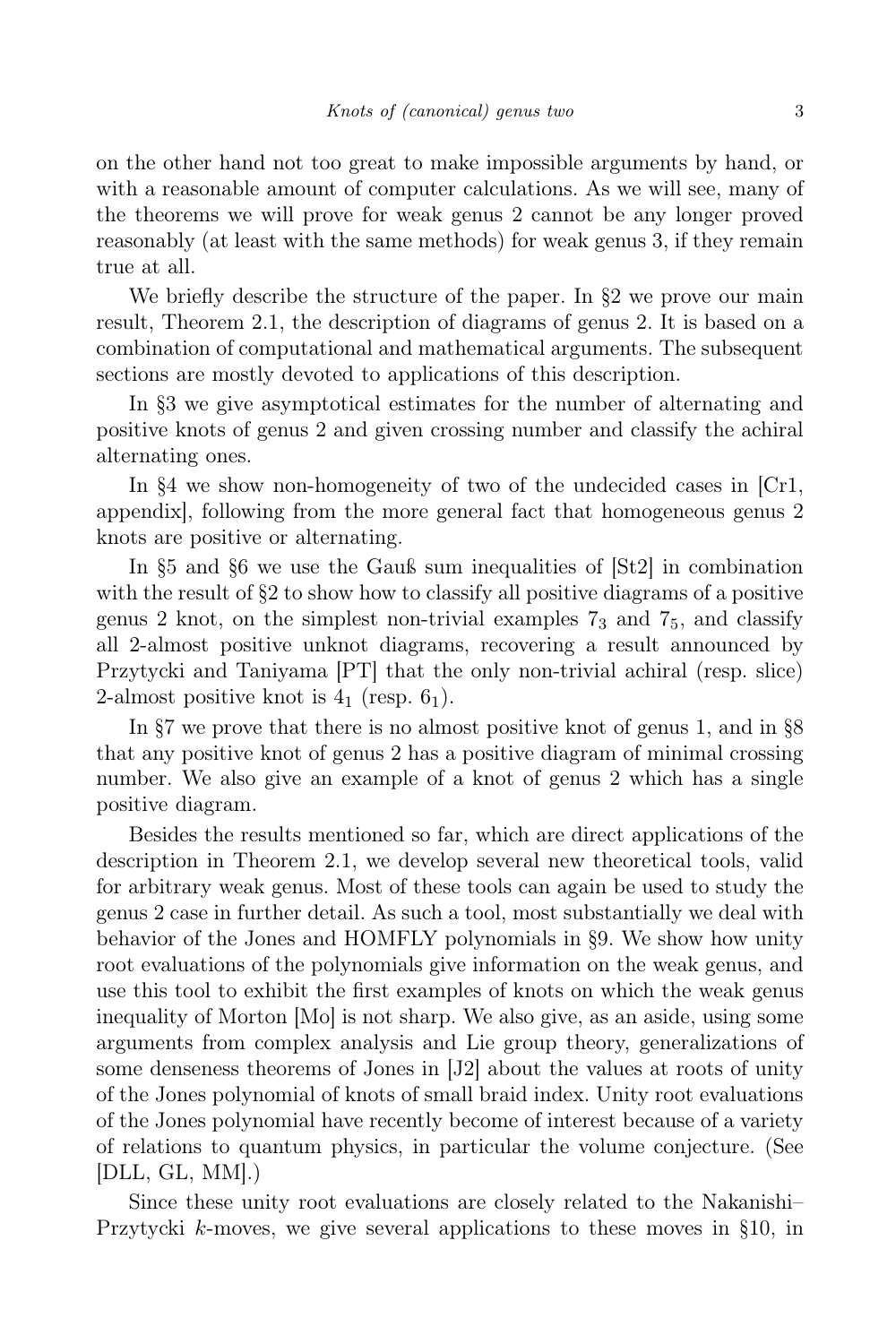on the other hand not too great to make impossible arguments by hand, or with a reasonable amount of computer calculations. As we will see, many of the theorems we will prove for weak genus 2 cannot be any longer proved reasonably (at least with the same methods) for weak genus 3, if they remain true at all.

We briefly describe the structure of the paper. In  $\S 2$  we prove our main result, Theorem 2.1, the description of diagrams of genus 2. It is based on a combination of computational and mathematical arguments. The subsequent sections are mostly devoted to applications of this description.

In §3 we give asymptotical estimates for the number of alternating and positive knots of genus 2 and given crossing number and classify the achiral alternating ones.

In §4 we show non-homogeneity of two of the undecided cases in [Cr1, appendix], following from the more general fact that homogeneous genus 2 knots are positive or alternating.

In §5 and §6 we use the Gauß sum inequalities of [St2] in combination with the result of  $\S2$  to show how to classify all positive diagrams of a positive genus 2 knot, on the simplest non-trivial examples  $7<sub>3</sub>$  and  $7<sub>5</sub>$ , and classify all 2-almost positive unknot diagrams, recovering a result announced by Przytycki and Taniyama [PT] that the only non-trivial achiral (resp. slice) 2-almost positive knot is  $4_1$  (resp.  $6_1$ ).

In §7 we prove that there is no almost positive knot of genus 1, and in §8 that any positive knot of genus 2 has a positive diagram of minimal crossing number. We also give an example of a knot of genus 2 which has a single positive diagram.

Besides the results mentioned so far, which are direct applications of the description in Theorem 2.1, we develop several new theoretical tools, valid for arbitrary weak genus. Most of these tools can again be used to study the genus 2 case in further detail. As such a tool, most substantially we deal with behavior of the Jones and HOMFLY polynomials in §9. We show how unity root evaluations of the polynomials give information on the weak genus, and use this tool to exhibit the first examples of knots on which the weak genus inequality of Morton [Mo] is not sharp. We also give, as an aside, using some arguments from complex analysis and Lie group theory, generalizations of some denseness theorems of Jones in [J2] about the values at roots of unity of the Jones polynomial of knots of small braid index. Unity root evaluations of the Jones polynomial have recently become of interest because of a variety of relations to quantum physics, in particular the volume conjecture. (See  $[DLL, GL, MM].$ 

Since these unity root evaluations are closely related to the Nakanishi– Przytycki  $k$ -moves, we give several applications to these moves in §10, in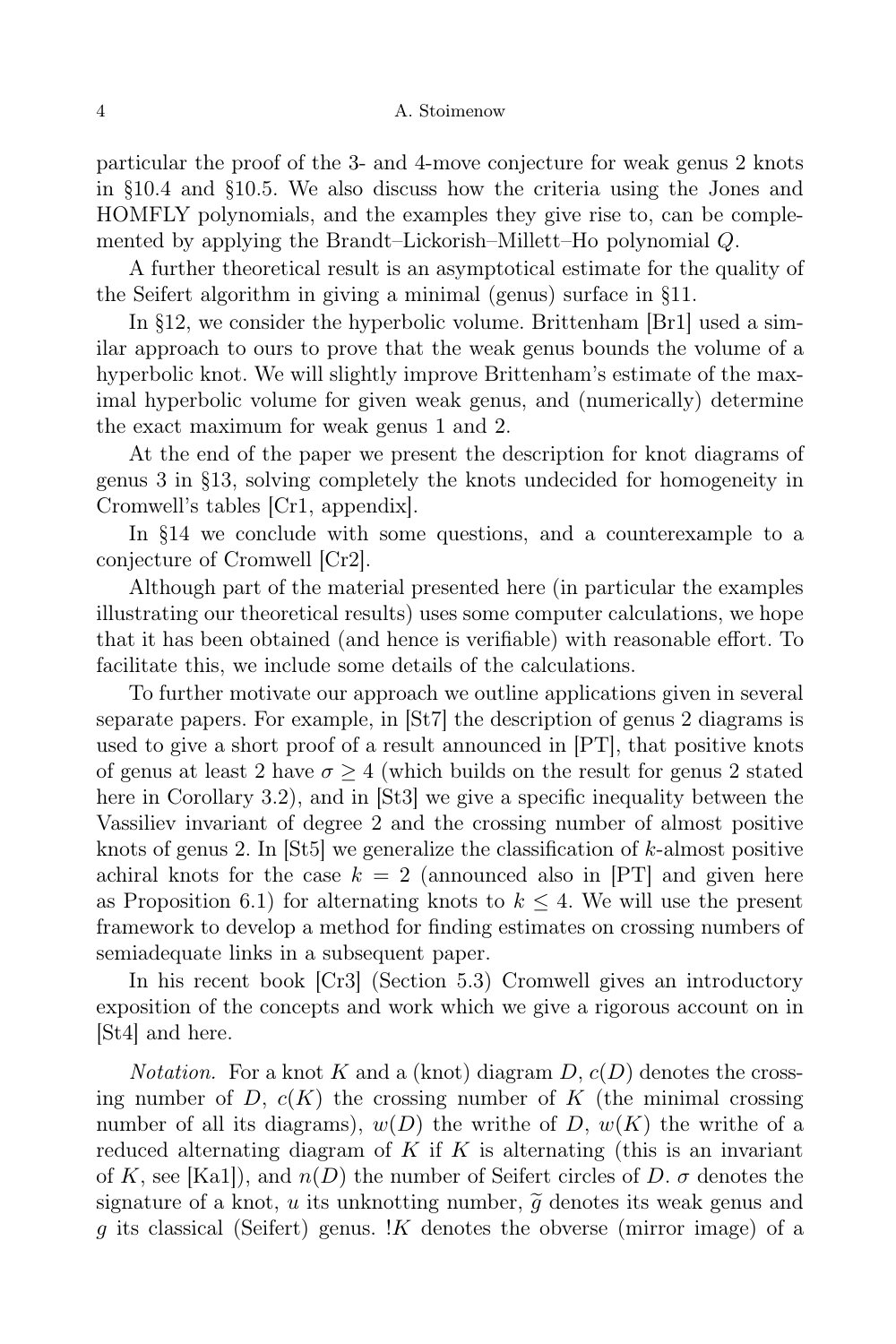particular the proof of the 3- and 4-move conjecture for weak genus 2 knots in §10.4 and §10.5. We also discuss how the criteria using the Jones and HOMFLY polynomials, and the examples they give rise to, can be complemented by applying the Brandt–Lickorish–Millett–Ho polynomial Q.

A further theoretical result is an asymptotical estimate for the quality of the Seifert algorithm in giving a minimal (genus) surface in §11.

In §12, we consider the hyperbolic volume. Brittenham [Br1] used a similar approach to ours to prove that the weak genus bounds the volume of a hyperbolic knot. We will slightly improve Brittenham's estimate of the maximal hyperbolic volume for given weak genus, and (numerically) determine the exact maximum for weak genus 1 and 2.

At the end of the paper we present the description for knot diagrams of genus 3 in §13, solving completely the knots undecided for homogeneity in Cromwell's tables [Cr1, appendix].

In §14 we conclude with some questions, and a counterexample to a conjecture of Cromwell [Cr2].

Although part of the material presented here (in particular the examples illustrating our theoretical results) uses some computer calculations, we hope that it has been obtained (and hence is verifiable) with reasonable effort. To facilitate this, we include some details of the calculations.

To further motivate our approach we outline applications given in several separate papers. For example, in [St7] the description of genus 2 diagrams is used to give a short proof of a result announced in [PT], that positive knots of genus at least 2 have  $\sigma > 4$  (which builds on the result for genus 2 stated here in Corollary 3.2), and in [St3] we give a specific inequality between the Vassiliev invariant of degree 2 and the crossing number of almost positive knots of genus 2. In [St5] we generalize the classification of k-almost positive achiral knots for the case  $k = 2$  (announced also in [PT] and given here as Proposition 6.1) for alternating knots to  $k \leq 4$ . We will use the present framework to develop a method for finding estimates on crossing numbers of semiadequate links in a subsequent paper.

In his recent book [Cr3] (Section 5.3) Cromwell gives an introductory exposition of the concepts and work which we give a rigorous account on in [St4] and here.

*Notation.* For a knot K and a (knot) diagram  $D$ ,  $c(D)$  denotes the crossing number of  $D, c(K)$  the crossing number of K (the minimal crossing number of all its diagrams),  $w(D)$  the writhe of D,  $w(K)$  the writhe of a reduced alternating diagram of K if K is alternating (this is an invariant of K, see [Ka1]), and  $n(D)$  the number of Seifert circles of D.  $\sigma$  denotes the signature of a knot, u its unknotting number,  $\tilde{q}$  denotes its weak genus and g its classical (Seifert) genus. !K denotes the obverse (mirror image) of a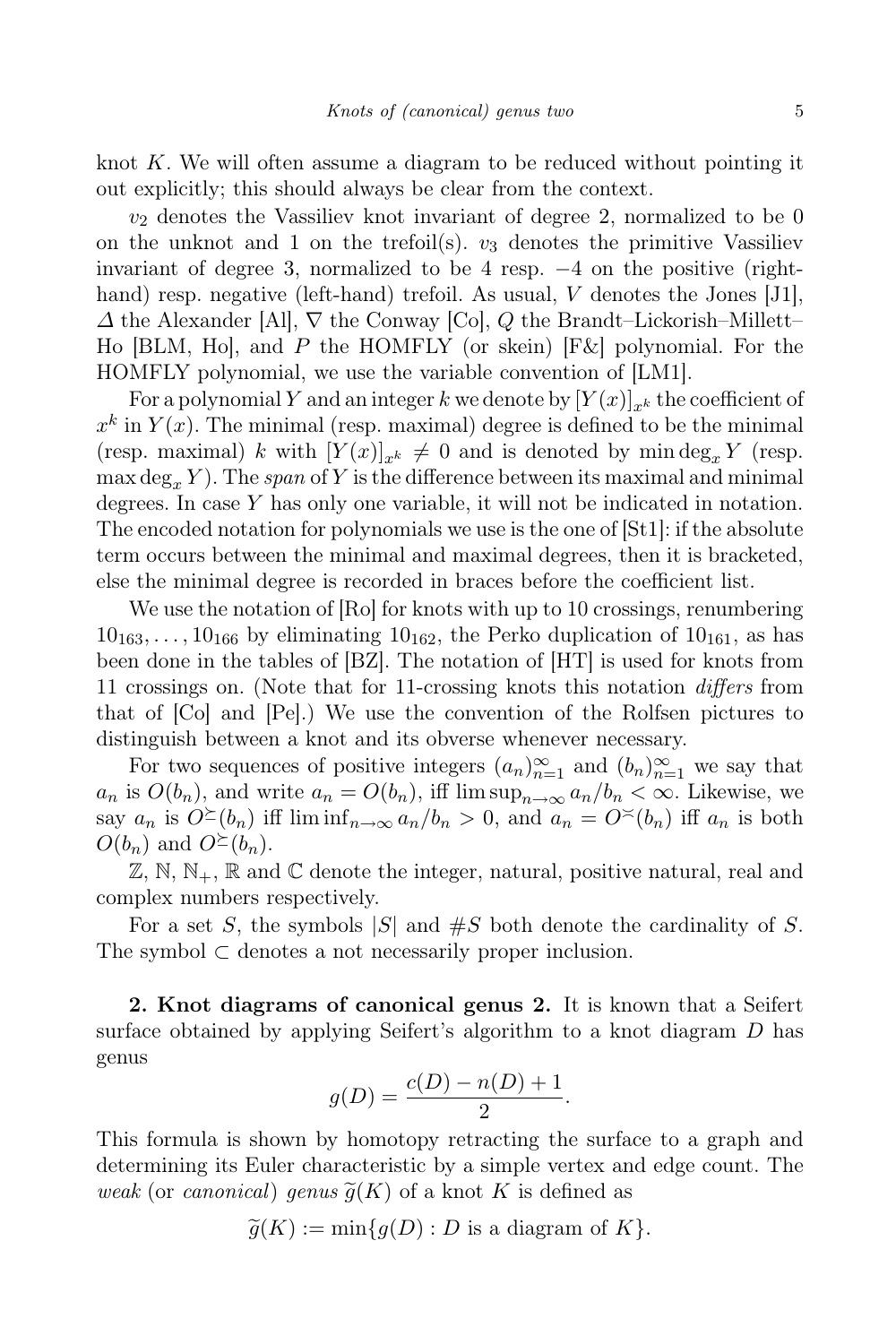knot  $K$ . We will often assume a diagram to be reduced without pointing it out explicitly; this should always be clear from the context.

 $v_2$  denotes the Vassiliev knot invariant of degree 2, normalized to be 0 on the unknot and 1 on the trefoil(s).  $v_3$  denotes the primitive Vassiliev invariant of degree 3, normalized to be 4 resp.  $-4$  on the positive (righthand) resp. negative (left-hand) trefoil. As usual, V denotes the Jones [J1],  $\Delta$  the Alexander [Al],  $\nabla$  the Conway [Co], Q the Brandt–Lickorish–Millett– Ho [BLM, Ho], and P the HOMFLY (or skein) [F&] polynomial. For the HOMFLY polynomial, we use the variable convention of [LM1].

For a polynomial Y and an integer k we denote by  $[Y(x)]_{x^k}$  the coefficient of  $x^k$  in  $Y(x)$ . The minimal (resp. maximal) degree is defined to be the minimal (resp. maximal) k with  $[Y(x)]_{x^k} \neq 0$  and is denoted by min deg<sub>x</sub> Y (resp.  $\max \deg_x Y$ ). The span of Y is the difference between its maximal and minimal degrees. In case Y has only one variable, it will not be indicated in notation. The encoded notation for polynomials we use is the one of [St1]: if the absolute term occurs between the minimal and maximal degrees, then it is bracketed, else the minimal degree is recorded in braces before the coefficient list.

We use the notation of  $[Ro]$  for knots with up to 10 crossings, renumbering  $10_{163}, \ldots, 10_{166}$  by eliminating  $10_{162}$ , the Perko duplication of  $10_{161}$ , as has been done in the tables of [BZ]. The notation of [HT] is used for knots from 11 crossings on. (Note that for 11-crossing knots this notation differs from that of [Co] and [Pe].) We use the convention of the Rolfsen pictures to distinguish between a knot and its obverse whenever necessary.

For two sequences of positive integers  $(a_n)_{n=1}^{\infty}$  and  $(b_n)_{n=1}^{\infty}$  we say that  $a_n$  is  $O(b_n)$ , and write  $a_n = O(b_n)$ , iff  $\limsup_{n\to\infty} a_n/b_n < \infty$ . Likewise, we say  $a_n$  is  $O^{\geq}(b_n)$  iff lim  $\inf_{n\to\infty}a_n/b_n>0$ , and  $a_n=O^{\geq}(b_n)$  iff  $a_n$  is both  $O(b_n)$  and  $O^{\succeq}(b_n)$ .

 $\mathbb{Z}, \mathbb{N}, \mathbb{N}_+, \mathbb{R}$  and  $\mathbb{C}$  denote the integer, natural, positive natural, real and complex numbers respectively.

For a set S, the symbols  $|S|$  and  $#S$  both denote the cardinality of S. The symbol  $\subset$  denotes a not necessarily proper inclusion.

2. Knot diagrams of canonical genus 2. It is known that a Seifert surface obtained by applying Seifert's algorithm to a knot diagram  $D$  has genus

$$
g(D) = \frac{c(D) - n(D) + 1}{2}.
$$

This formula is shown by homotopy retracting the surface to a graph and determining its Euler characteristic by a simple vertex and edge count. The weak (or canonical) genus  $\widetilde{g}(K)$  of a knot K is defined as

$$
\widetilde{g}(K) := \min\{g(D) : D \text{ is a diagram of } K\}.
$$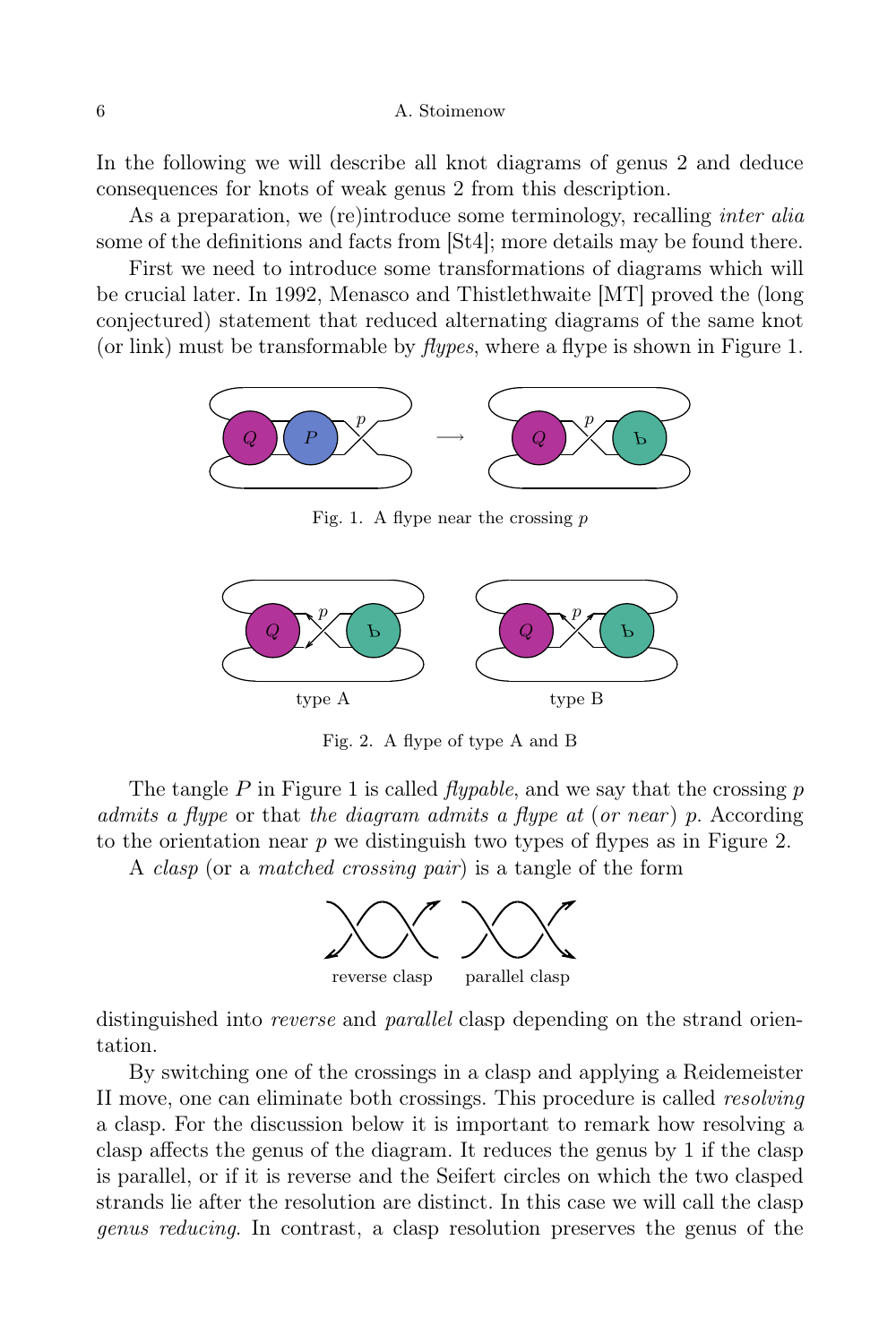In the following we will describe all knot diagrams of genus 2 and deduce consequences for knots of weak genus 2 from this description.

As a preparation, we (re)introduce some terminology, recalling *inter alia* some of the definitions and facts from [St4]; more details may be found there.

First we need to introduce some transformations of diagrams which will be crucial later. In 1992, Menasco and Thistlethwaite [MT] proved the (long conjectured) statement that reduced alternating diagrams of the same knot (or link) must be transformable by flypes, where a flype is shown in Figure 1.



Fig. 1. A flype near the crossing  $p$ 



Fig. 2. A flype of type A and B

The tangle  $P$  in Figure 1 is called *flypable*, and we say that the crossing  $p$ admits a flype or that the diagram admits a flype at  $(or near)$  p. According to the orientation near  $p$  we distinguish two types of flypes as in Figure 2.

A clasp (or a matched crossing pair) is a tangle of the form



distinguished into *reverse* and *parallel* clasp depending on the strand orientation.

By switching one of the crossings in a clasp and applying a Reidemeister II move, one can eliminate both crossings. This procedure is called resolving a clasp. For the discussion below it is important to remark how resolving a clasp affects the genus of the diagram. It reduces the genus by 1 if the clasp is parallel, or if it is reverse and the Seifert circles on which the two clasped strands lie after the resolution are distinct. In this case we will call the clasp genus reducing. In contrast, a clasp resolution preserves the genus of the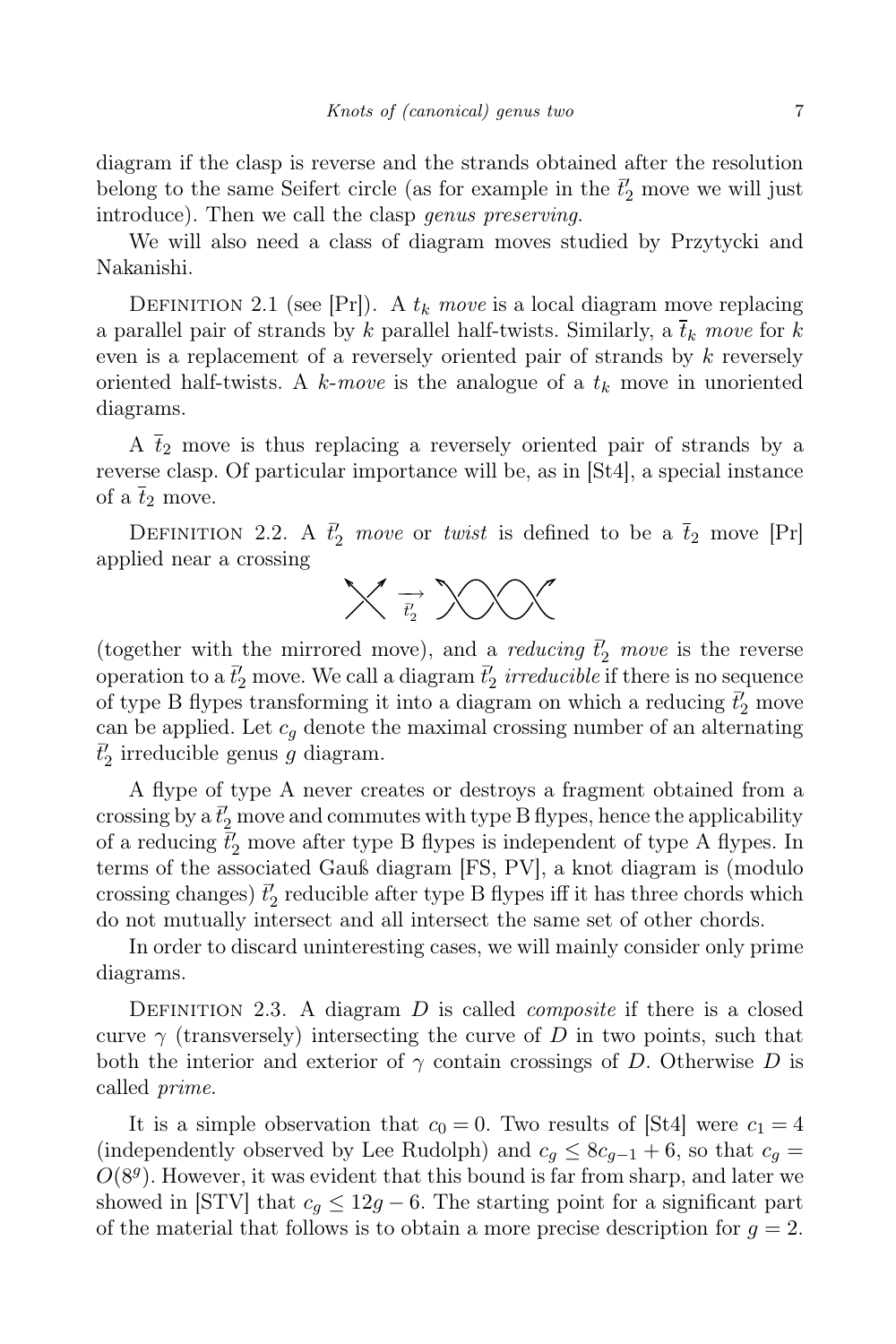diagram if the clasp is reverse and the strands obtained after the resolution belong to the same Seifert circle (as for example in the  $\bar{t}'_2$  move we will just introduce). Then we call the clasp genus preserving.

We will also need a class of diagram moves studied by Przytycki and Nakanishi.

DEFINITION 2.1 (see [Pr]). A  $t_k$  move is a local diagram move replacing a parallel pair of strands by k parallel half-twists. Similarly, a  $\overline{t}_k$  move for k even is a replacement of a reversely oriented pair of strands by k reversely oriented half-twists. A k-move is the analogue of a  $t_k$  move in unoriented diagrams.

A  $\bar{t}_2$  move is thus replacing a reversely oriented pair of strands by a reverse clasp. Of particular importance will be, as in [St4], a special instance of a  $\overline{t}_2$  move.

DEFINITION 2.2. A  $\bar{t}'_2$  move or twist is defined to be a  $\bar{t}_2$  move [Pr] applied near a crossing



(together with the mirrored move), and a *reducing*  $\vec{t}'_2$  move is the reverse operation to a  $\bar{t}'_2$  move. We call a diagram  $\bar{t}'_2$  *irreducible* if there is no sequence of type B flypes transforming it into a diagram on which a reducing  $\bar{t}'_2$  move can be applied. Let  $c_q$  denote the maximal crossing number of an alternating  $\bar{t}'_2$  irreducible genus  $g$  diagram.

A flype of type A never creates or destroys a fragment obtained from a crossing by a  $\bar{t}'_2$  move and commutes with type B flypes, hence the applicability of a reducing  $\vec{t}'_2$  move after type B flypes is independent of type A flypes. In terms of the associated Gauß diagram [FS, PV], a knot diagram is (modulo crossing changes)  $\vec{t}'_2$  reducible after type B flypes iff it has three chords which do not mutually intersect and all intersect the same set of other chords.

In order to discard uninteresting cases, we will mainly consider only prime diagrams.

DEFINITION 2.3. A diagram  $D$  is called *composite* if there is a closed curve  $\gamma$  (transversely) intersecting the curve of D in two points, such that both the interior and exterior of  $\gamma$  contain crossings of D. Otherwise D is called prime.

It is a simple observation that  $c_0 = 0$ . Two results of [St4] were  $c_1 = 4$ (independently observed by Lee Rudolph) and  $c_g \leq 8c_{g-1} + 6$ , so that  $c_g =$  $O(8<sup>g</sup>)$ . However, it was evident that this bound is far from sharp, and later we showed in [STV] that  $c_q \leq 12g - 6$ . The starting point for a significant part of the material that follows is to obtain a more precise description for  $q = 2$ .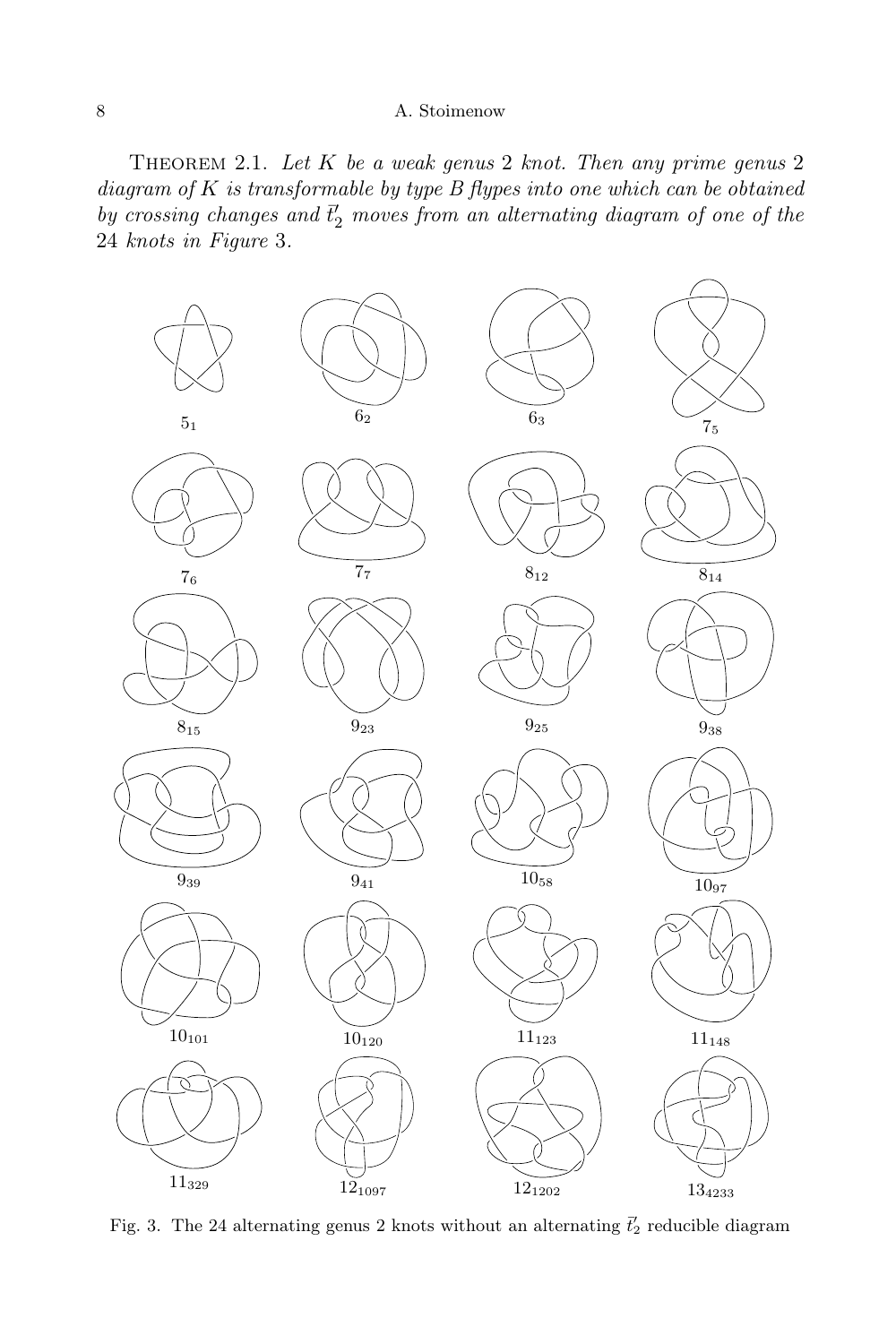THEOREM 2.1. Let  $K$  be a weak genus 2 knot. Then any prime genus 2 diagram of  $K$  is transformable by type  $B$  flypes into one which can be obtained by crossing changes and  $\bar{t}'_2$  moves from an alternating diagram of one of the knots in Figure 3.



Fig. 3. The 24 alternating genus 2 knots without an alternating  $\bar{t}'_2$  reducible diagram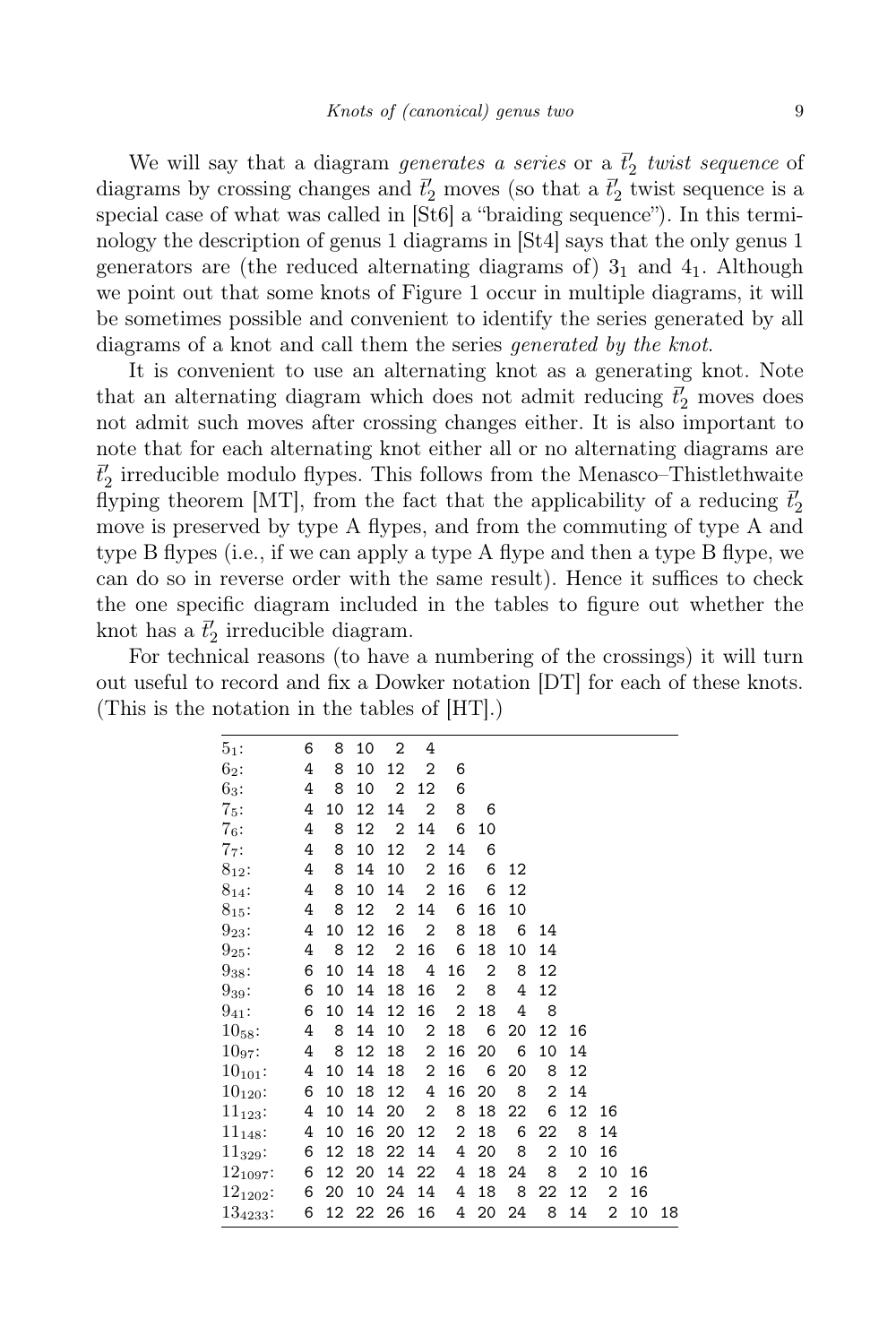We will say that a diagram generates a series or a  $\bar{t}'_2$  twist sequence of diagrams by crossing changes and  $\bar{t}'_2$  moves (so that a  $\bar{t}'_2$  twist sequence is a special case of what was called in [St6] a "braiding sequence"). In this terminology the description of genus 1 diagrams in [St4] says that the only genus 1 generators are (the reduced alternating diagrams of)  $3<sub>1</sub>$  and  $4<sub>1</sub>$ . Although we point out that some knots of Figure 1 occur in multiple diagrams, it will be sometimes possible and convenient to identify the series generated by all diagrams of a knot and call them the series generated by the knot.

It is convenient to use an alternating knot as a generating knot. Note that an alternating diagram which does not admit reducing  $\bar{t}'_2$  moves does not admit such moves after crossing changes either. It is also important to note that for each alternating knot either all or no alternating diagrams are  $\bar{t}'_2$  irreducible modulo flypes. This follows from the Menasco–Thistlethwaite flyping theorem [MT], from the fact that the applicability of a reducing  $\bar{t}'_2$ move is preserved by type A flypes, and from the commuting of type A and type B flypes (i.e., if we can apply a type A flype and then a type B flype, we can do so in reverse order with the same result). Hence it suffices to check the one specific diagram included in the tables to figure out whether the knot has a  $\bar{t}'_2$  irreducible diagram.

For technical reasons (to have a numbering of the crossings) it will turn out useful to record and fix a Dowker notation [DT] for each of these knots. (This is the notation in the tables of [HT].)

| $5_1:$        | 6 | 8              | 10              | $\overline{2}$  | 4              |                |                 |       |                |                |    |    |    |
|---------------|---|----------------|-----------------|-----------------|----------------|----------------|-----------------|-------|----------------|----------------|----|----|----|
| $6_2$ :       | 4 | 8              | 10              | 12              | 2              | 6              |                 |       |                |                |    |    |    |
| $6_3:$        | 4 | 8              | 10              | $\overline{2}$  | 12             | 6              |                 |       |                |                |    |    |    |
| $7_5:$        | 4 | 10             | 12              | 14              | 2              | 8              | 6               |       |                |                |    |    |    |
| $7_6:$        | 4 | 8              | 12              | $\overline{2}$  | 14             | 6              | 10              |       |                |                |    |    |    |
| $7_7:$        | 4 | 8              | 10              | 12              | 2              | 14             | 6               |       |                |                |    |    |    |
| $8_{12}$ :    | 4 | 8              | 14              | 10              | 2              | 16             | 6               | 12    |                |                |    |    |    |
| $8_{14}$ :    | 4 | 8              | 10              | 14              | 2              | 16             | 6               | 12    |                |                |    |    |    |
| $8_{15}$ :    | 4 | 8              | 12              | $\overline{2}$  | 14             | 6              | 16              | 10    |                |                |    |    |    |
| $9_{23}$ :    | 4 | 10             | 12              | 16              | $\overline{2}$ | 8              | 18              | 6     | 14             |                |    |    |    |
| $9_{25}$ :    | 4 | 8              | 12              | $\overline{2}$  | 16             | 6              | 18              | 10    | 14             |                |    |    |    |
| $9_{38}$ :    | 6 | 10             | 14              | 18              | 4              | 16             | $\mathbf{2}$    | 8     | 12             |                |    |    |    |
| $9_{39}$ :    | 6 | 10             | 14              | 18              | 16             | 2              | 8               | 4     | 12             |                |    |    |    |
| $9_{41}$ :    | 6 | 10             | 14              | 12              | 16             | $\overline{2}$ | 18              | 4     | 8              |                |    |    |    |
| $10_{58}$ :   | 4 | 8 <sup>8</sup> | 14              | 10              | $\overline{2}$ | 18             | 6               | 20    | 12             | 16             |    |    |    |
| $10_{97}$ :   |   | 4 8            | 12 <sup>°</sup> | 18              | $\overline{2}$ | 16             | 20              | 6     | 10             | 14             |    |    |    |
| $10_{101}$ :  | 4 | 10             | 14              | 18              | $\overline{2}$ | 16             | $6\overline{6}$ | 20    | 8              | 12             |    |    |    |
| $10_{120}$ :  | 6 | 10             | 18              | 12 <sup>°</sup> | 4              | 16             | 20              | 8     | 2              | 14             |    |    |    |
| $11_{123}$ :  | 4 | 10             |                 | 14 20           | 2              | 8              |                 | 18 22 | 6              | 12             | 16 |    |    |
| $11_{148}$ :  | 4 | 10             | 16              | 20              | 12             | $\overline{2}$ | 18              | 6     | 22             | - 8            | 14 |    |    |
| $11_{329}$ :  | 6 | 12             |                 | 18 22           | 14             | 4              | 20              | 8     | $\overline{2}$ | 10             | 16 |    |    |
| $12_{1097}$ : | 6 |                | 12 20           |                 | 14 22          | 4              | 18              | 24    | 8              | $\overline{2}$ | 10 | 16 |    |
| $12_{1202}$ : |   | 6 20           |                 | 10 24           | 14             |                | 4 18            | 8     | 22             | 12             | 2  | 16 |    |
| $134233$ :    | 6 |                |                 | 12 22 26 16     |                |                | 4 20 24         |       | 8              | 14             | 2  | 10 | 18 |
|               |   |                |                 |                 |                |                |                 |       |                |                |    |    |    |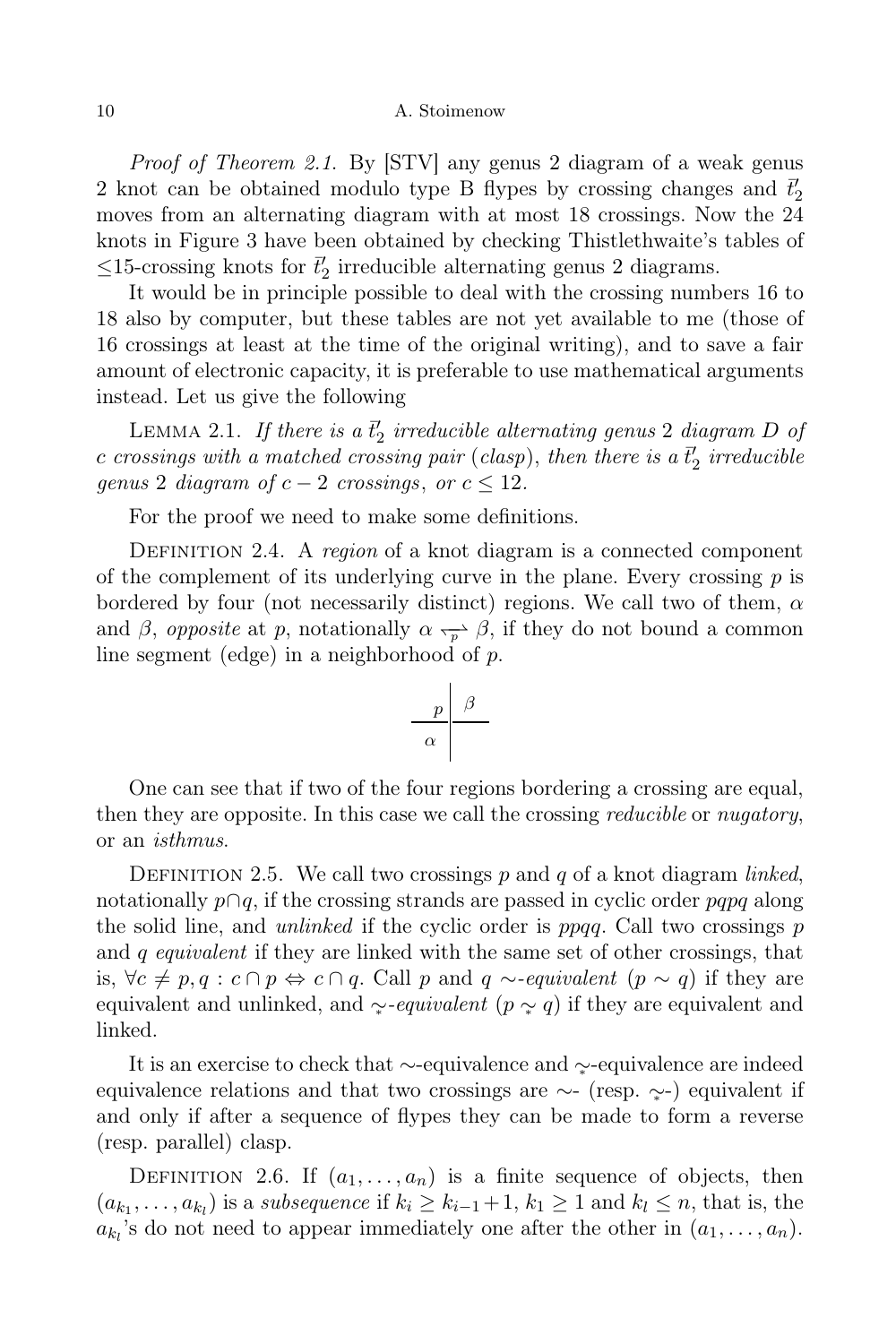Proof of Theorem 2.1. By [STV] any genus 2 diagram of a weak genus 2 knot can be obtained modulo type B flypes by crossing changes and  $\bar{t}'_2$ moves from an alternating diagram with at most 18 crossings. Now the 24 knots in Figure 3 have been obtained by checking Thistlethwaite's tables of  $\leq$ 15-crossing knots for  $\vec{t}'_2$  irreducible alternating genus 2 diagrams.

It would be in principle possible to deal with the crossing numbers 16 to 18 also by computer, but these tables are not yet available to me (those of 16 crossings at least at the time of the original writing), and to save a fair amount of electronic capacity, it is preferable to use mathematical arguments instead. Let us give the following

LEMMA 2.1. If there is a  $\bar{t}'_2$  irreducible alternating genus 2 diagram D of  $c$  crossings with a matched crossing pair (clasp), then there is a  $\bar{t}'_2$  irreducible genus 2 diagram of  $c - 2$  crossings, or  $c \leq 12$ .

For the proof we need to make some definitions.

DEFINITION 2.4. A region of a knot diagram is a connected component of the complement of its underlying curve in the plane. Every crossing  $p$  is bordered by four (not necessarily distinct) regions. We call two of them,  $\alpha$ and  $\beta$ , *opposite* at p, notationally  $\alpha \rightarrow \beta$ , if they do not bound a common line segment (edge) in a neighborhood of p.

$$
\begin{array}{c|c}\np & \beta \\
\hline\n\alpha\n\end{array}
$$

One can see that if two of the four regions bordering a crossing are equal, then they are opposite. In this case we call the crossing *reducible* or *nugatory*, or an isthmus.

DEFINITION 2.5. We call two crossings  $p$  and  $q$  of a knot diagram linked, notationally  $p \cap q$ , if the crossing strands are passed in cyclic order pqpq along the solid line, and *unlinked* if the cyclic order is  $ppqq$ . Call two crossings p and  $q$  equivalent if they are linked with the same set of other crossings, that is,  $\forall c \neq p, q : c \cap p \Leftrightarrow c \cap q$ . Call p and q ∼-equivalent  $(p \sim q)$  if they are equivalent and unlinked, and  $\gamma$ -equivalent (p  $\gamma$  q) if they are equivalent and linked.

It is an exercise to check that ∼-equivalence and ∼<sup>∗</sup> -equivalence are indeed equivalence relations and that two crossings are ∼- (resp.  $\sim$ ) equivalent if and only if after a sequence of flypes they can be made to form a reverse (resp. parallel) clasp.

DEFINITION 2.6. If  $(a_1, \ldots, a_n)$  is a finite sequence of objects, then  $(a_{k_1}, \ldots, a_{k_l})$  is a subsequence if  $k_i \geq k_{i-1}+1$ ,  $k_1 \geq 1$  and  $k_l \leq n$ , that is, the  $a_{k_l}$ 's do not need to appear immediately one after the other in  $(a_1, \ldots, a_n)$ .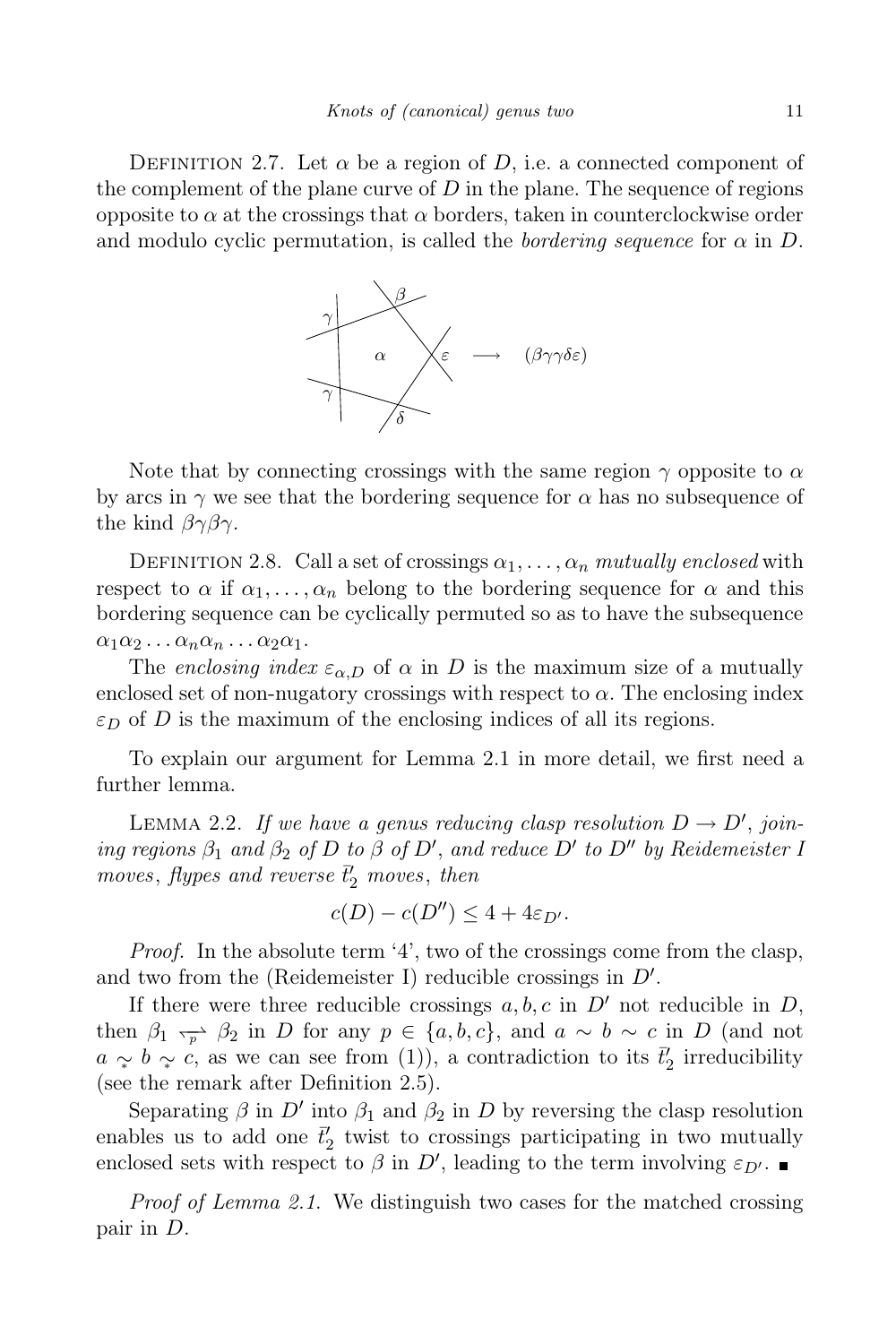DEFINITION 2.7. Let  $\alpha$  be a region of D, i.e. a connected component of the complement of the plane curve of  $D$  in the plane. The sequence of regions opposite to  $\alpha$  at the crossings that  $\alpha$  borders, taken in counterclockwise order and modulo cyclic permutation, is called the *bordering sequence* for  $\alpha$  in D.



Note that by connecting crossings with the same region  $\gamma$  opposite to  $\alpha$ by arcs in  $\gamma$  we see that the bordering sequence for  $\alpha$  has no subsequence of the kind  $\beta\gamma\beta\gamma$ .

DEFINITION 2.8. Call a set of crossings  $\alpha_1, \ldots, \alpha_n$  mutually enclosed with respect to  $\alpha$  if  $\alpha_1, \ldots, \alpha_n$  belong to the bordering sequence for  $\alpha$  and this bordering sequence can be cyclically permuted so as to have the subsequence  $\alpha_1\alpha_2 \ldots \alpha_n\alpha_n \ldots \alpha_2\alpha_1$ .

The enclosing index  $\varepsilon_{\alpha,D}$  of  $\alpha$  in D is the maximum size of a mutually enclosed set of non-nugatory crossings with respect to  $\alpha$ . The enclosing index  $\varepsilon_D$  of D is the maximum of the enclosing indices of all its regions.

To explain our argument for Lemma 2.1 in more detail, we first need a further lemma.

LEMMA 2.2. If we have a genus reducing clasp resolution  $D \to D'$ , joining regions  $\beta_1$  and  $\beta_2$  of D to  $\beta$  of D', and reduce D' to D'' by Reidemeister 1 moves, flypes and reverse  $\bar{t}'_2$  moves, then

$$
c(D) - c(D'') \le 4 + 4\varepsilon_{D'}.
$$

Proof. In the absolute term '4', two of the crossings come from the clasp, and two from the (Reidemeister I) reducible crossings in  $D'$ .

If there were three reducible crossings  $a, b, c$  in  $D'$  not reducible in  $D$ , then  $\beta_1 \rightarrow \beta_2$  in D for any  $p \in \{a, b, c\}$ , and  $a \sim b \sim c$  in D (and not  $a \sim b \sim c$ , as we can see from (1)), a contradiction to its  $\bar{t}_2$  irreducibility (see the remark after Definition 2.5).

Separating  $\beta$  in  $D'$  into  $\beta_1$  and  $\beta_2$  in  $D$  by reversing the clasp resolution enables us to add one  $\bar{t}'_2$  twist to crossings participating in two mutually enclosed sets with respect to  $\beta$  in  $D'$ , leading to the term involving  $\varepsilon_{D'}$ .

Proof of Lemma 2.1. We distinguish two cases for the matched crossing pair in D.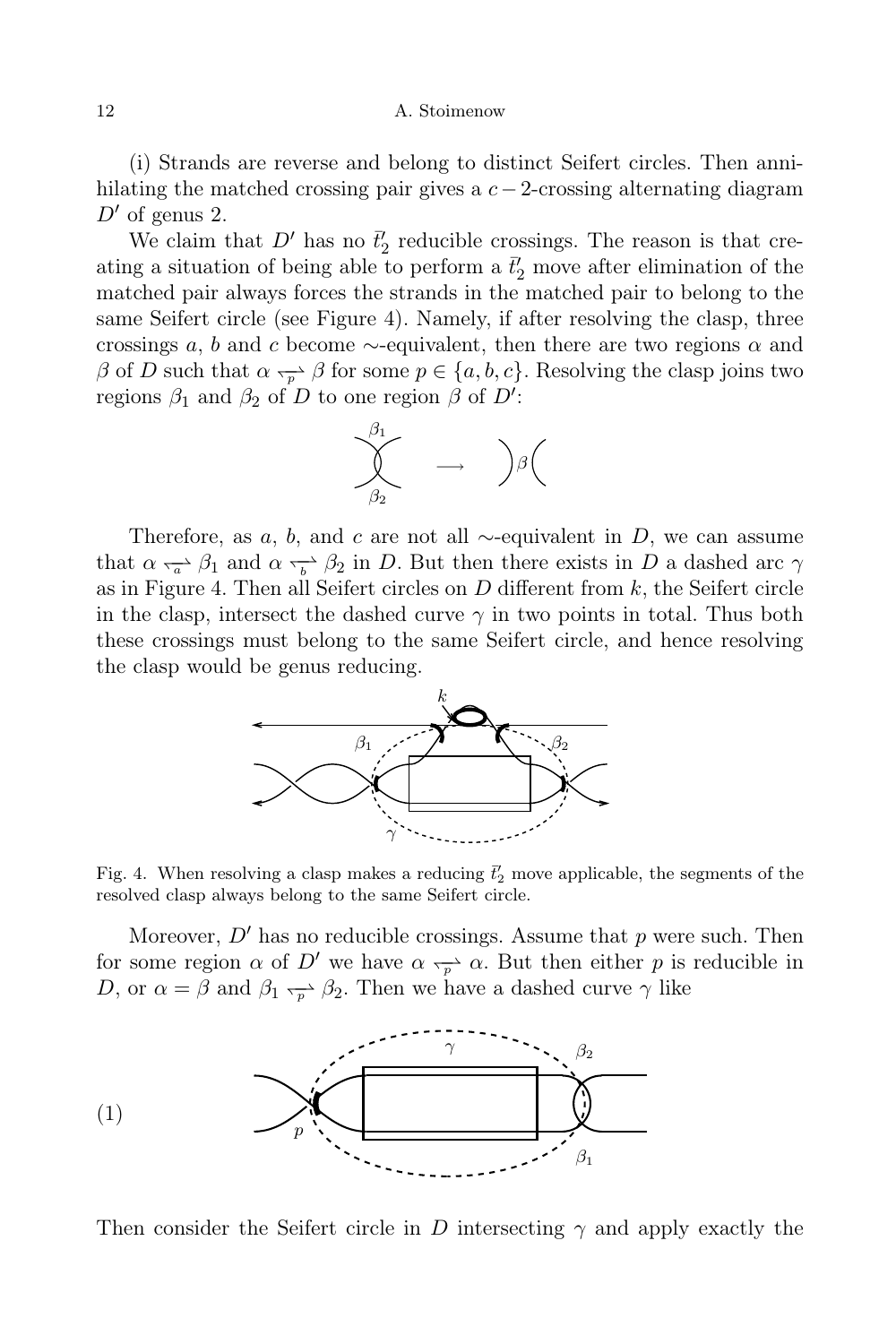(i) Strands are reverse and belong to distinct Seifert circles. Then annihilating the matched crossing pair gives a  $c-2$ -crossing alternating diagram  $D'$  of genus 2.

We claim that  $D'$  has no  $\bar{t}'_2$  reducible crossings. The reason is that creating a situation of being able to perform a  $\bar{t}'_2$  move after elimination of the matched pair always forces the strands in the matched pair to belong to the same Seifert circle (see Figure 4). Namely, if after resolving the clasp, three crossings a, b and c become  $\sim$ -equivalent, then there are two regions  $\alpha$  and  $\beta$  of D such that  $\alpha \rightarrow \beta$  for some  $p \in \{a, b, c\}$ . Resolving the clasp joins two regions  $\beta_1$  and  $\beta_2$  of D to one region  $\beta$  of D':



Therefore, as a, b, and c are not all  $\sim$ -equivalent in D, we can assume that  $\alpha \rightarrow \beta_1$  and  $\alpha \rightarrow \beta_2$  in D. But then there exists in D a dashed arc  $\gamma$ as in Figure 4. Then all Seifert circles on  $D$  different from  $k$ , the Seifert circle in the clasp, intersect the dashed curve  $\gamma$  in two points in total. Thus both these crossings must belong to the same Seifert circle, and hence resolving the clasp would be genus reducing.



Fig. 4. When resolving a clasp makes a reducing  $\bar{t}'_2$  move applicable, the segments of the resolved clasp always belong to the same Seifert circle.

Moreover,  $D'$  has no reducible crossings. Assume that p were such. Then for some region  $\alpha$  of D' we have  $\alpha \rightarrow p^{\Delta} \alpha$ . But then either p is reducible in D, or  $\alpha = \beta$  and  $\beta_1 \rightarrow \beta_2$ . Then we have a dashed curve  $\gamma$  like



Then consider the Seifert circle in D intersecting  $\gamma$  and apply exactly the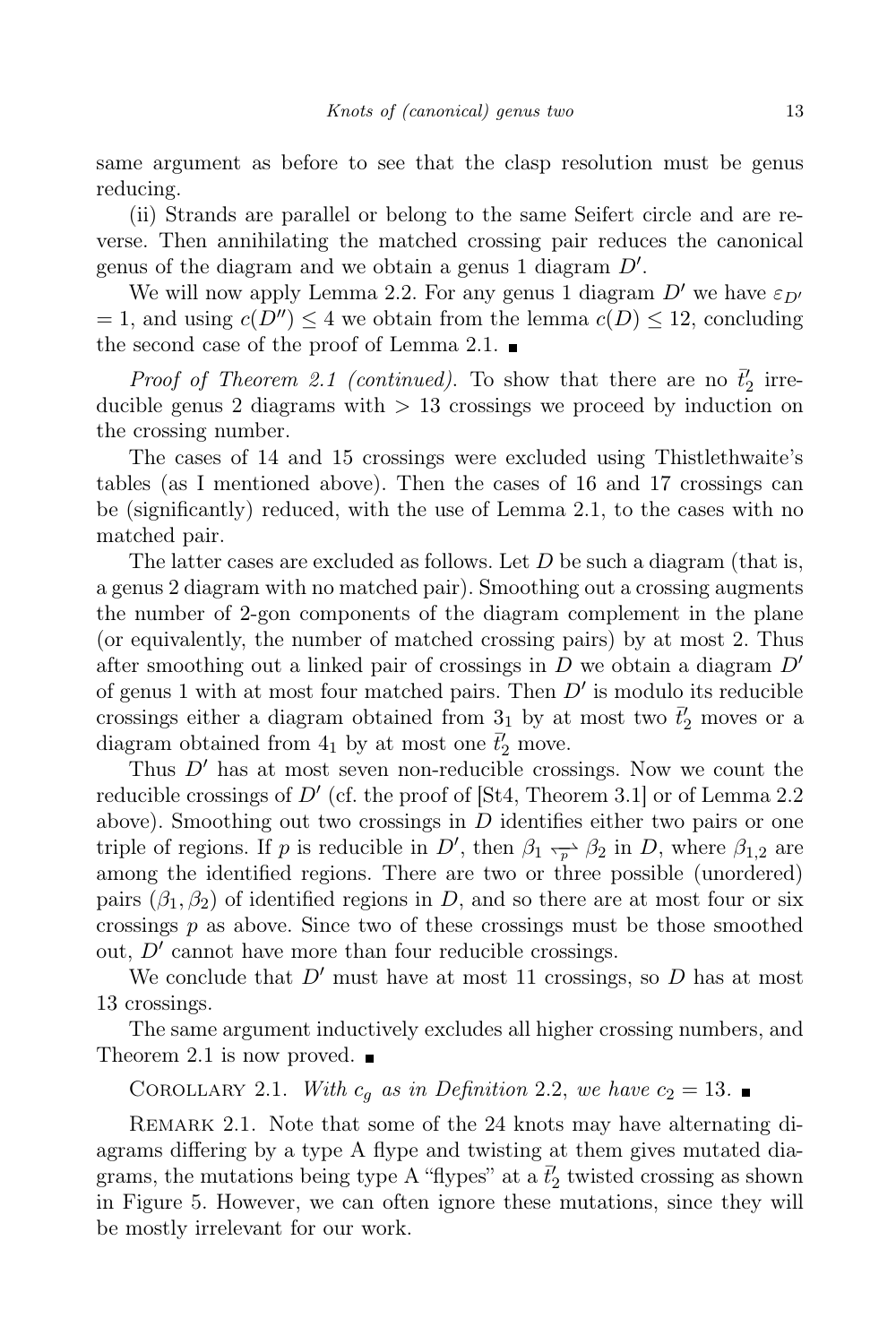same argument as before to see that the clasp resolution must be genus reducing.

(ii) Strands are parallel or belong to the same Seifert circle and are reverse. Then annihilating the matched crossing pair reduces the canonical genus of the diagram and we obtain a genus 1 diagram  $D'$ .

We will now apply Lemma 2.2. For any genus 1 diagram  $D'$  we have  $\varepsilon_{D'}$  $= 1$ , and using  $c(D'') \leq 4$  we obtain from the lemma  $c(D) \leq 12$ , concluding the second case of the proof of Lemma 2.1.  $\blacksquare$ 

*Proof of Theorem 2.1 (continued)*. To show that there are no  $\vec{t}_2$  irreducible genus 2 diagrams with  $> 13$  crossings we proceed by induction on the crossing number.

The cases of 14 and 15 crossings were excluded using Thistlethwaite's tables (as I mentioned above). Then the cases of 16 and 17 crossings can be (significantly) reduced, with the use of Lemma 2.1, to the cases with no matched pair.

The latter cases are excluded as follows. Let  $D$  be such a diagram (that is, a genus 2 diagram with no matched pair). Smoothing out a crossing augments the number of 2-gon components of the diagram complement in the plane (or equivalently, the number of matched crossing pairs) by at most 2. Thus after smoothing out a linked pair of crossings in  $D$  we obtain a diagram  $D'$ of genus 1 with at most four matched pairs. Then  $D'$  is modulo its reducible crossings either a diagram obtained from  $\frac{3}{1}$  by at most two  $\vec{t}'_2$  moves or a diagram obtained from  $4_1$  by at most one  $\bar{t}'_2$  move.

Thus  $D'$  has at most seven non-reducible crossings. Now we count the reducible crossings of  $D'$  (cf. the proof of [St4, Theorem 3.1] or of Lemma 2.2 above). Smoothing out two crossings in  $D$  identifies either two pairs or one triple of regions. If p is reducible in  $D'$ , then  $\beta_1 \rightarrow \beta_2$  in D, where  $\beta_{1,2}$  are among the identified regions. There are two or three possible (unordered) pairs  $(\beta_1, \beta_2)$  of identified regions in D, and so there are at most four or six crossings  $p$  as above. Since two of these crossings must be those smoothed out,  $D'$  cannot have more than four reducible crossings.

We conclude that  $D'$  must have at most 11 crossings, so  $D$  has at most 13 crossings.

The same argument inductively excludes all higher crossing numbers, and Theorem 2.1 is now proved.  $\blacksquare$ 

COROLLARY 2.1. With  $c_q$  as in Definition 2.2, we have  $c_2 = 13$ .

REMARK 2.1. Note that some of the 24 knots may have alternating diagrams differing by a type A flype and twisting at them gives mutated diagrams, the mutations being type A "flypes" at a  $\bar{t}'_2$  twisted crossing as shown in Figure 5. However, we can often ignore these mutations, since they will be mostly irrelevant for our work.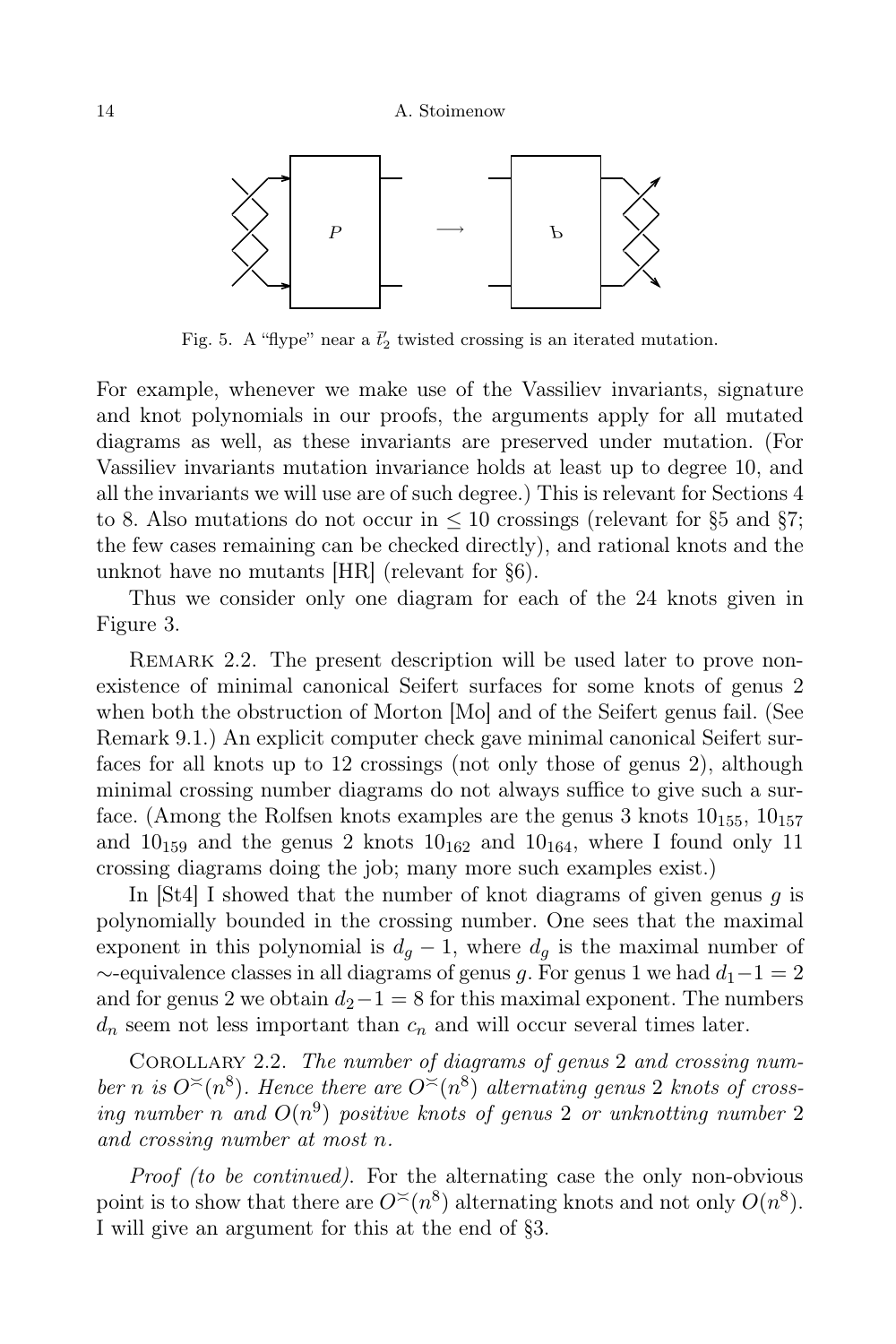

Fig. 5. A "flype" near a  $\bar{t}'_2$  twisted crossing is an iterated mutation.

For example, whenever we make use of the Vassiliev invariants, signature and knot polynomials in our proofs, the arguments apply for all mutated diagrams as well, as these invariants are preserved under mutation. (For Vassiliev invariants mutation invariance holds at least up to degree 10, and all the invariants we will use are of such degree.) This is relevant for Sections 4 to 8. Also mutations do not occur in  $\leq 10$  crossings (relevant for §5 and §7; the few cases remaining can be checked directly), and rational knots and the unknot have no mutants [HR] (relevant for §6).

Thus we consider only one diagram for each of the 24 knots given in Figure 3.

REMARK 2.2. The present description will be used later to prove nonexistence of minimal canonical Seifert surfaces for some knots of genus 2 when both the obstruction of Morton [Mo] and of the Seifert genus fail. (See Remark 9.1.) An explicit computer check gave minimal canonical Seifert surfaces for all knots up to 12 crossings (not only those of genus 2), although minimal crossing number diagrams do not always suffice to give such a surface. (Among the Rolfsen knots examples are the genus 3 knots  $10_{155}$ ,  $10_{157}$ and  $10_{159}$  and the genus 2 knots  $10_{162}$  and  $10_{164}$ , where I found only 11 crossing diagrams doing the job; many more such examples exist.)

In  $[St4]$  I showed that the number of knot diagrams of given genus q is polynomially bounded in the crossing number. One sees that the maximal exponent in this polynomial is  $d_q - 1$ , where  $d_q$  is the maximal number of  $\sim$ -equivalence classes in all diagrams of genus g. For genus 1 we had  $d_1-1=2$ and for genus 2 we obtain  $d_2-1=8$  for this maximal exponent. The numbers  $d_n$  seem not less important than  $c_n$  and will occur several times later.

COROLLARY 2.2. The number of diagrams of genus 2 and crossing number n is  $O^{\leq}(n^8)$ . Hence there are  $O^{\leq}(n^8)$  alternating genus 2 knots of crossing number n and  $O(n^9)$  positive knots of genus 2 or unknotting number 2 and crossing number at most n.

Proof (to be continued). For the alternating case the only non-obvious point is to show that there are  $O<sup>{\times}</sup>$ </sup> (n<sup>8</sup>) alternating knots and not only  $O(n^8)$ . I will give an argument for this at the end of §3.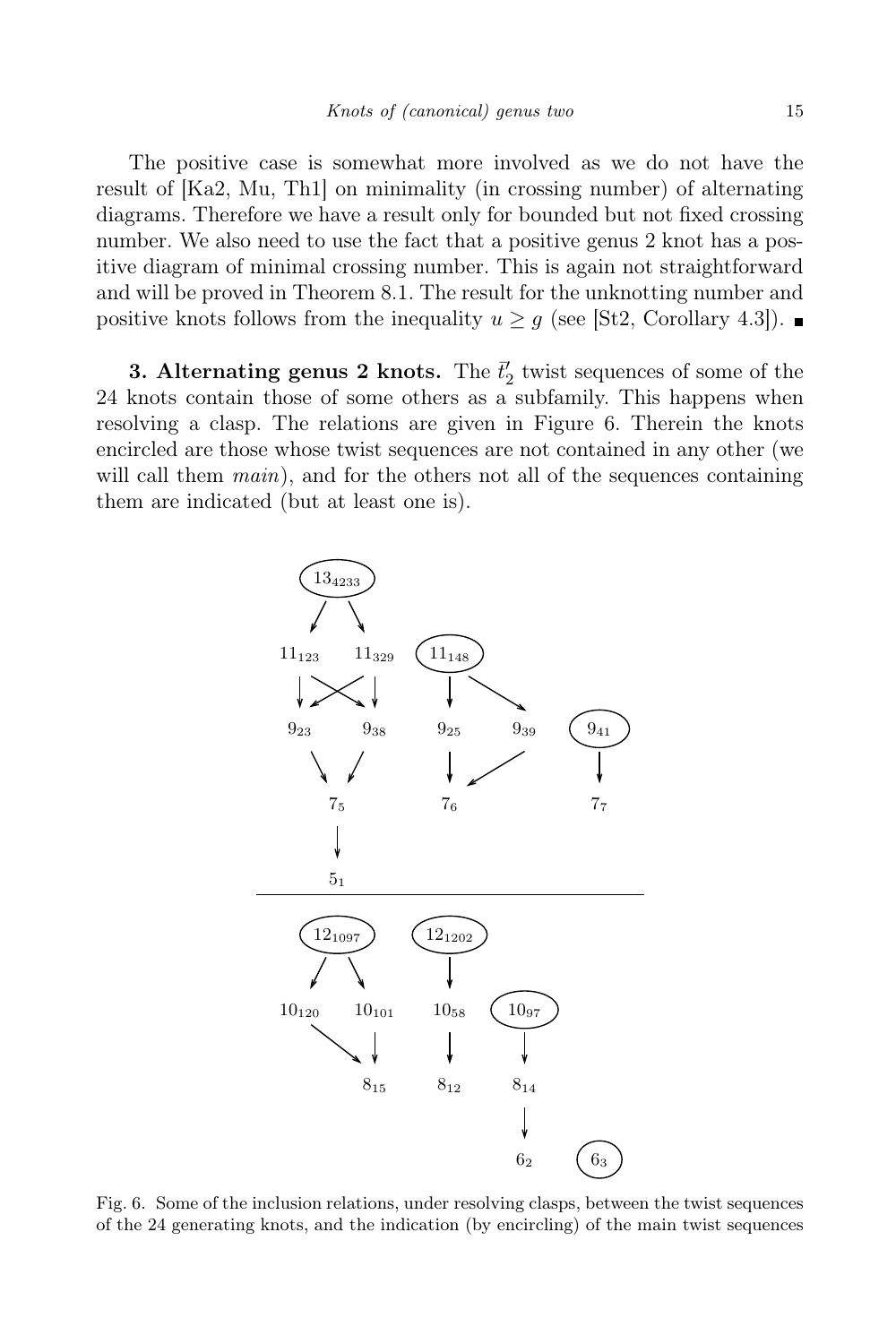The positive case is somewhat more involved as we do not have the result of [Ka2, Mu, Th1] on minimality (in crossing number) of alternating diagrams. Therefore we have a result only for bounded but not fixed crossing number. We also need to use the fact that a positive genus 2 knot has a positive diagram of minimal crossing number. This is again not straightforward and will be proved in Theorem 8.1. The result for the unknotting number and positive knots follows from the inequality  $u \geq g$  (see [St2, Corollary 4.3]).

**3. Alternating genus 2 knots.** The  $\bar{t}'_2$  twist sequences of some of the 24 knots contain those of some others as a subfamily. This happens when resolving a clasp. The relations are given in Figure 6. Therein the knots encircled are those whose twist sequences are not contained in any other (we will call them  $main$ ), and for the others not all of the sequences containing them are indicated (but at least one is).



Fig. 6. Some of the inclusion relations, under resolving clasps, between the twist sequences of the 24 generating knots, and the indication (by encircling) of the main twist sequences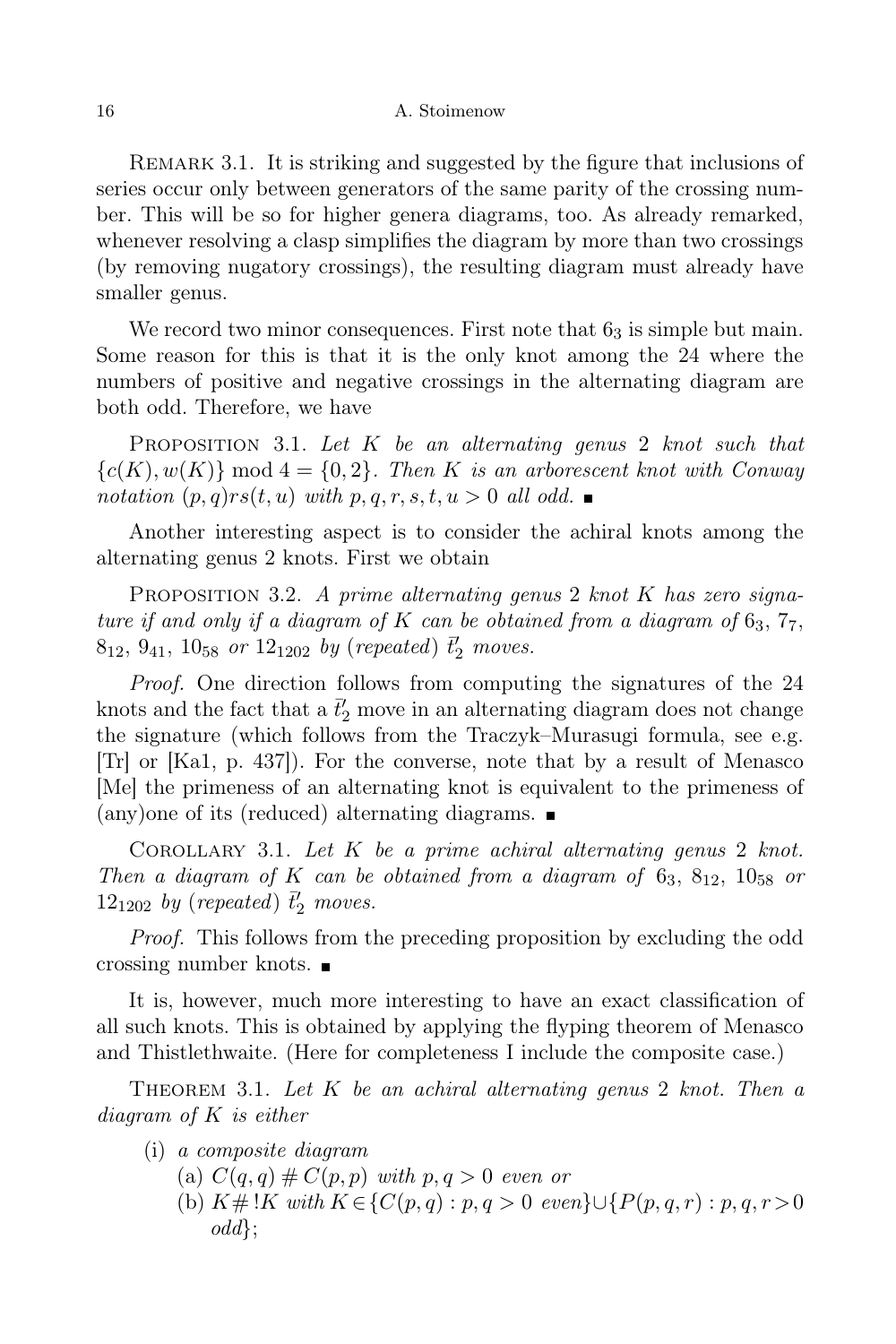Remark 3.1. It is striking and suggested by the figure that inclusions of series occur only between generators of the same parity of the crossing number. This will be so for higher genera diagrams, too. As already remarked, whenever resolving a clasp simplifies the diagram by more than two crossings (by removing nugatory crossings), the resulting diagram must already have smaller genus.

We record two minor consequences. First note that  $6<sub>3</sub>$  is simple but main. Some reason for this is that it is the only knot among the 24 where the numbers of positive and negative crossings in the alternating diagram are both odd. Therefore, we have

PROPOSITION 3.1. Let  $K$  be an alternating genus 2 knot such that  ${c(K), w(K)}$  mod  $4 = {0,2}$ . Then K is an arborescent knot with Conway notation  $(p, q)rs(t, u)$  with  $p, q, r, s, t, u > 0$  all odd.

Another interesting aspect is to consider the achiral knots among the alternating genus 2 knots. First we obtain

PROPOSITION 3.2. A prime alternating genus 2 knot  $K$  has zero signature if and only if a diagram of K can be obtained from a diagram of  $6<sub>3</sub>$ ,  $7<sub>7</sub>$ ,  $8_{12}$ ,  $9_{41}$ ,  $10_{58}$  or  $12_{1202}$  by (repeated)  $\bar{t}'_2$  moves.

Proof. One direction follows from computing the signatures of the 24 knots and the fact that a  $\bar{t}'_2$  move in an alternating diagram does not change the signature (which follows from the Traczyk–Murasugi formula, see e.g. [Tr] or [Ka1, p. 437]). For the converse, note that by a result of Menasco [Me] the primeness of an alternating knot is equivalent to the primeness of (any)one of its (reduced) alternating diagrams.

COROLLARY 3.1. Let  $K$  be a prime achiral alternating genus 2 knot. Then a diagram of K can be obtained from a diagram of  $6_3$ ,  $8_{12}$ ,  $10_{58}$  or 12<sub>1202</sub> by (repeated)  $\bar{t}'_2$  moves.

Proof. This follows from the preceding proposition by excluding the odd crossing number knots.

It is, however, much more interesting to have an exact classification of all such knots. This is obtained by applying the flyping theorem of Menasco and Thistlethwaite. (Here for completeness I include the composite case.)

THEOREM 3.1. Let  $K$  be an achiral alternating genus 2 knot. Then a diagram of K is either

- (i) a composite diagram
	- (a)  $C(q,q) \# C(p,p)$  with  $p,q > 0$  even or
	- (b)  $K \# !K$  with  $K \in \{C(p,q) : p,q > 0 \text{ even}\} \cup \{P(p,q,r) : p,q,r > 0\}$ odd};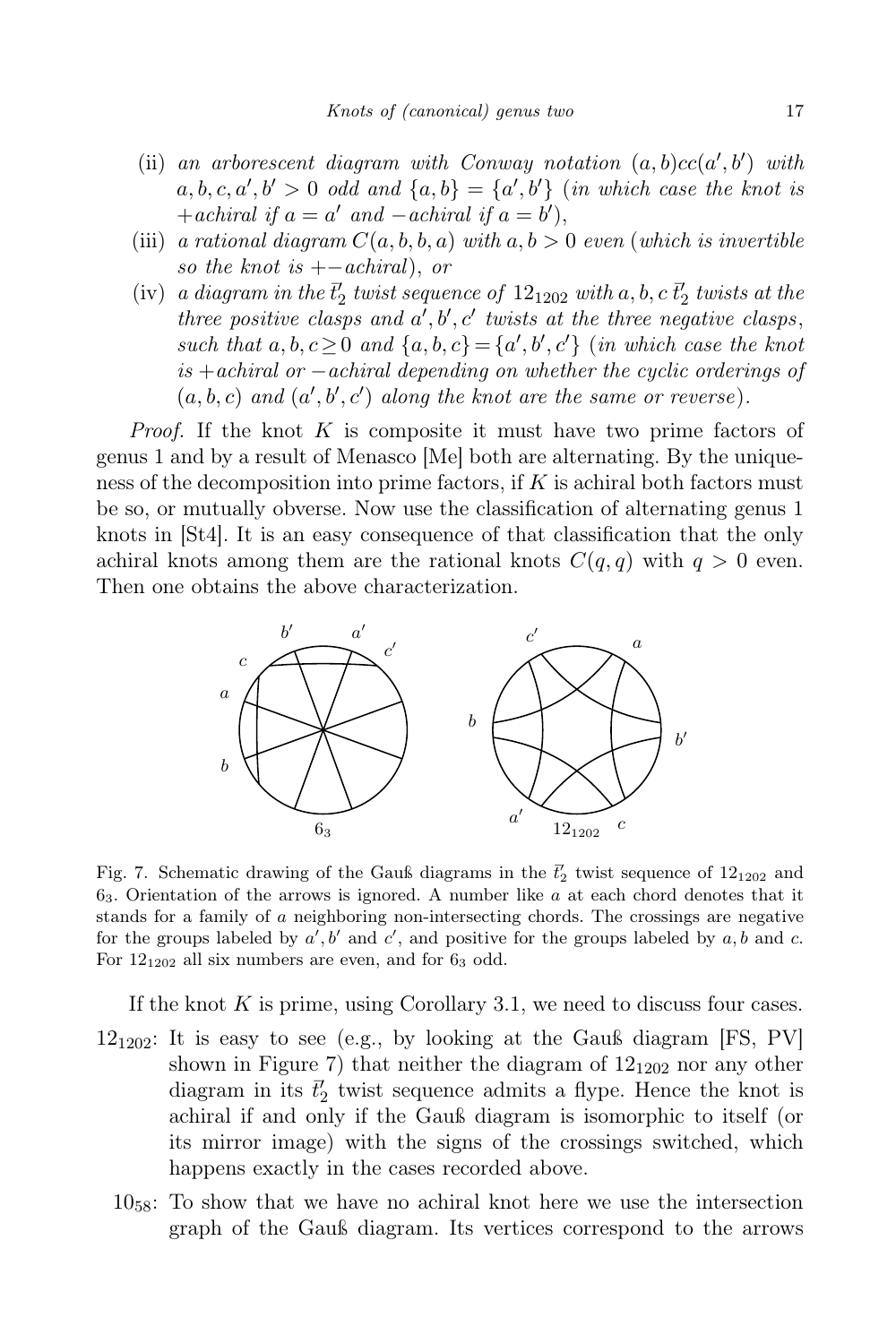- (ii) an arborescent diagram with Conway notation  $(a, b)cc(a', b')$  with  $a, b, c, a', b' > 0$  odd and  $\{a, b\} = \{a', b'\}$  (in which case the knot is + achiral if  $a = a'$  and  $-a$ chiral if  $a = b'$ ),
- (iii) a rational diagram  $C(a, b, b, a)$  with  $a, b > 0$  even (which is invertible so the knot is  $+-achiral$ , or
- (iv) a diagram in the  $\bar{t}'_2$  twist sequence of  $12_{1202}$  with a, b, c  $\bar{t}'_2$  twists at the three positive clasps and  $a', b', c'$  twists at the three negative clasps, such that  $a, b, c \ge 0$  and  $\{a, b, c\} = \{a', b', c'\}$  (in which case the knot is +achiral or −achiral depending on whether the cyclic orderings of  $(a, b, c)$  and  $(a', b', c')$  along the knot are the same or reverse).

*Proof.* If the knot  $K$  is composite it must have two prime factors of genus 1 and by a result of Menasco [Me] both are alternating. By the uniqueness of the decomposition into prime factors, if  $K$  is achiral both factors must be so, or mutually obverse. Now use the classification of alternating genus 1 knots in [St4]. It is an easy consequence of that classification that the only achiral knots among them are the rational knots  $C(q, q)$  with  $q > 0$  even. Then one obtains the above characterization.



Fig. 7. Schematic drawing of the Gauß diagrams in the  $\bar{t}'_2$  twist sequence of  $12_{1202}$  and  $6<sub>3</sub>$ . Orientation of the arrows is ignored. A number like a at each chord denotes that it stands for a family of a neighboring non-intersecting chords. The crossings are negative for the groups labeled by  $a', b'$  and  $c'$ , and positive for the groups labeled by a, b and c. For  $12_{1202}$  all six numbers are even, and for  $6_3$  odd.

If the knot  $K$  is prime, using Corollary 3.1, we need to discuss four cases.

- $12_{1202}$ : It is easy to see (e.g., by looking at the Gauß diagram [FS, PV] shown in Figure 7) that neither the diagram of  $12_{1202}$  nor any other diagram in its  $\bar{t}'_2$  twist sequence admits a flype. Hence the knot is achiral if and only if the Gauß diagram is isomorphic to itself (or its mirror image) with the signs of the crossings switched, which happens exactly in the cases recorded above.
	- $10_{58}$ : To show that we have no achiral knot here we use the intersection graph of the Gauß diagram. Its vertices correspond to the arrows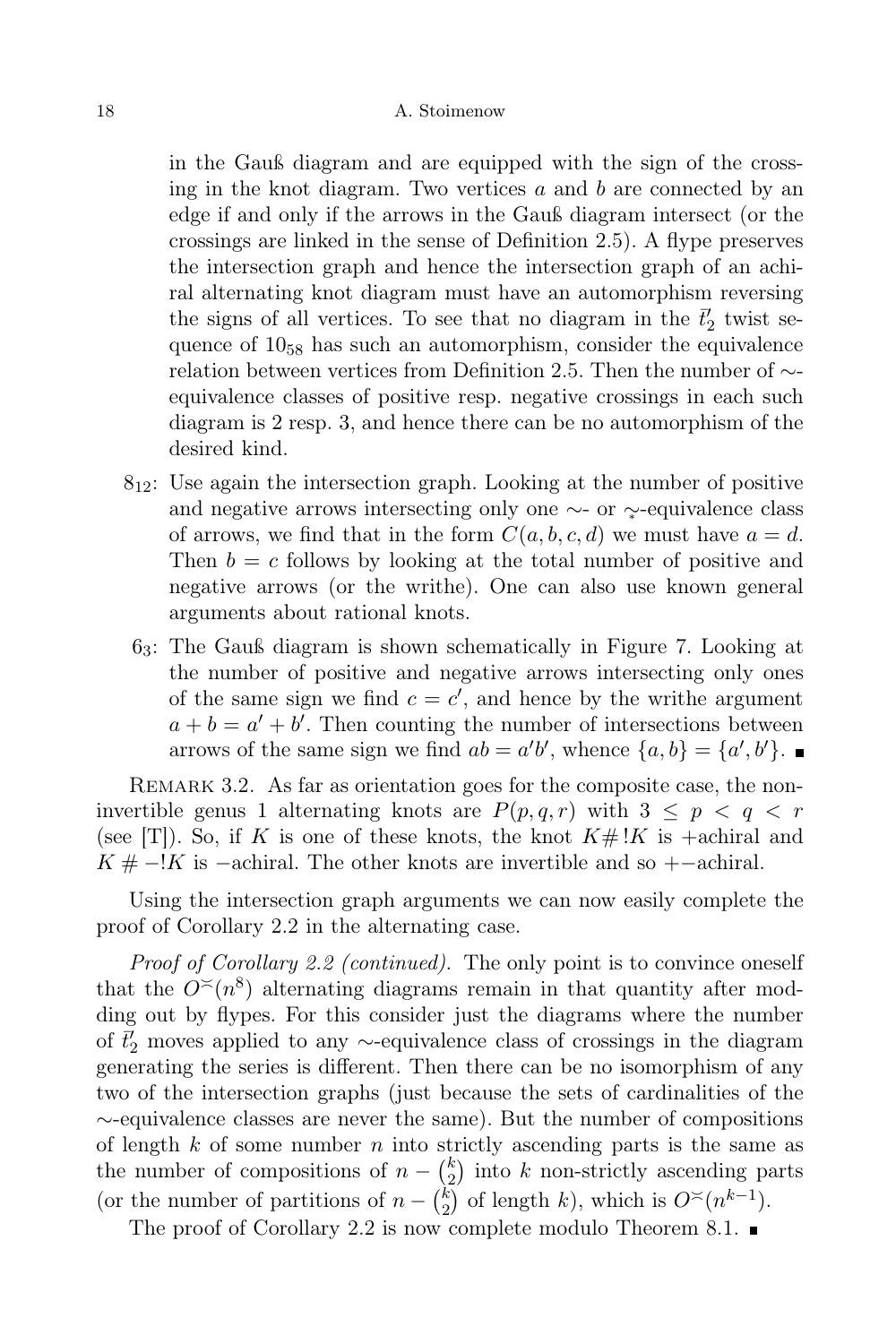in the Gauß diagram and are equipped with the sign of the crossing in the knot diagram. Two vertices  $a$  and  $b$  are connected by an edge if and only if the arrows in the Gauß diagram intersect (or the crossings are linked in the sense of Definition 2.5). A flype preserves the intersection graph and hence the intersection graph of an achiral alternating knot diagram must have an automorphism reversing the signs of all vertices. To see that no diagram in the  $\bar{t}'_2$  twist sequence of 10<sup>58</sup> has such an automorphism, consider the equivalence relation between vertices from Definition 2.5. Then the number of ∼ equivalence classes of positive resp. negative crossings in each such diagram is 2 resp. 3, and hence there can be no automorphism of the desired kind.

- $8_{12}$ : Use again the intersection graph. Looking at the number of positive and negative arrows intersecting only one ∼- or  $\sim$ -equivalence class of arrows, we find that in the form  $C(a, b, c, d)$  we must have  $a = d$ . Then  $b = c$  follows by looking at the total number of positive and negative arrows (or the writhe). One can also use known general arguments about rational knots.
- 63: The Gauß diagram is shown schematically in Figure 7. Looking at the number of positive and negative arrows intersecting only ones of the same sign we find  $c = c'$ , and hence by the writhe argument  $a + b = a' + b'$ . Then counting the number of intersections between arrows of the same sign we find  $ab = a'b'$ , whence  $\{a, b\} = \{a', b'\}.$

REMARK 3.2. As far as orientation goes for the composite case, the noninvertible genus 1 alternating knots are  $P(p,q,r)$  with  $3 \leq p \leq q \leq r$ (see [T]). So, if K is one of these knots, the knot  $K \# \, |K$  is +achiral and  $K # -!K$  is -achiral. The other knots are invertible and so +-achiral.

Using the intersection graph arguments we can now easily complete the proof of Corollary 2.2 in the alternating case.

Proof of Corollary 2.2 (continued). The only point is to convince oneself that the  $O<sup>{\lt}</sup>$ </sup> (n<sup>8</sup>) alternating diagrams remain in that quantity after modding out by flypes. For this consider just the diagrams where the number of  $\bar{t}'_2$  moves applied to any ∼-equivalence class of crossings in the diagram generating the series is different. Then there can be no isomorphism of any two of the intersection graphs (just because the sets of cardinalities of the ∼-equivalence classes are never the same). But the number of compositions of length  $k$  of some number  $n$  into strictly ascending parts is the same as the number of compositions of  $n - \binom{k}{2}$  $\binom{k}{2}$  into k non-strictly ascending parts (or the number of partitions of  $n - \binom{k}{2}$  $_{2}^{k}$ ) of length k), which is  $O^{\asymp}(n^{k-1})$ .

The proof of Corollary 2.2 is now complete modulo Theorem 8.1.  $\blacksquare$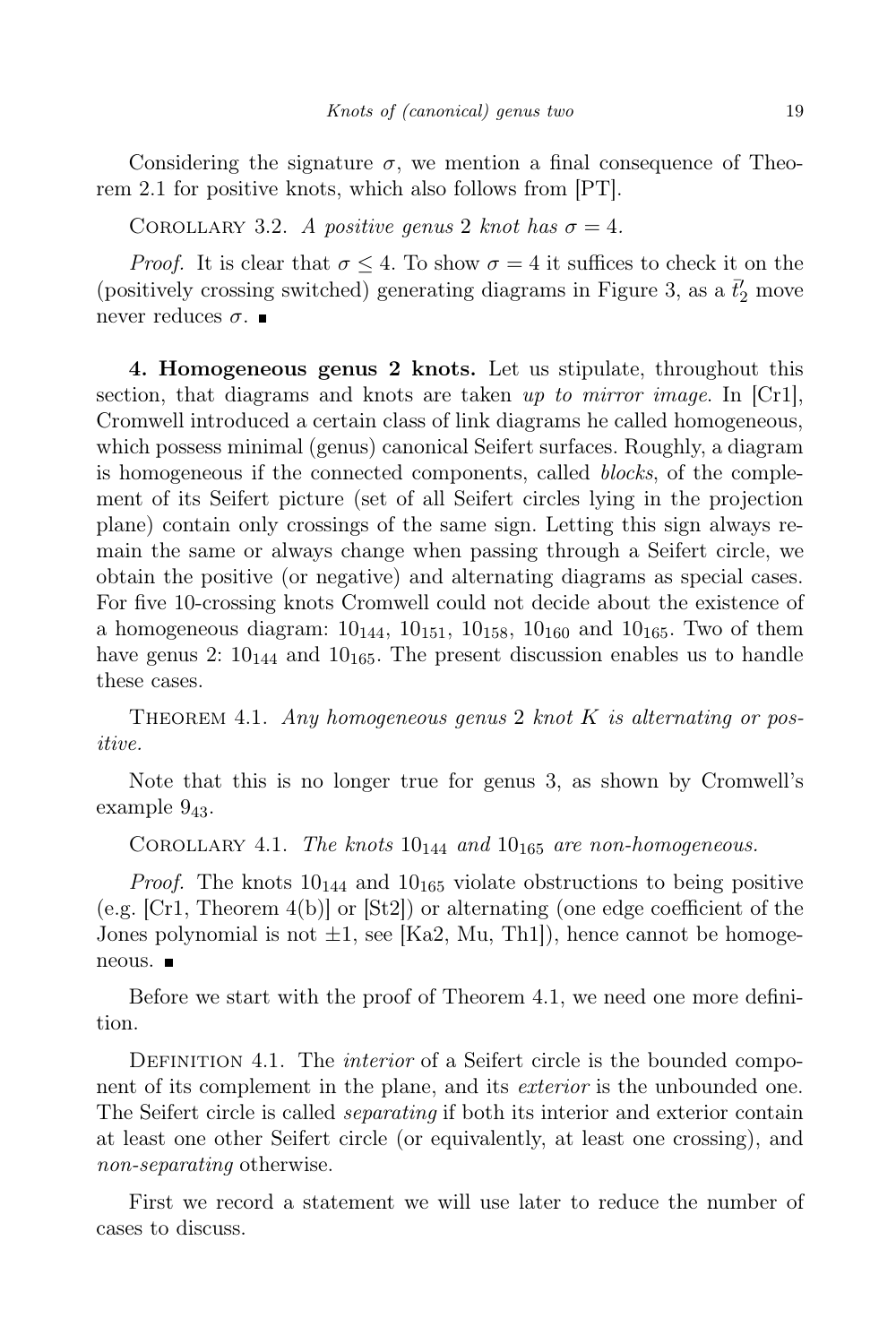Considering the signature  $\sigma$ , we mention a final consequence of Theorem 2.1 for positive knots, which also follows from [PT].

COROLLARY 3.2. A positive genus 2 knot has  $\sigma = 4$ .

*Proof.* It is clear that  $\sigma \leq 4$ . To show  $\sigma = 4$  it suffices to check it on the (positively crossing switched) generating diagrams in Figure 3, as a  $\bar{t}'_2$  move never reduces  $\sigma$ .

4. Homogeneous genus 2 knots. Let us stipulate, throughout this section, that diagrams and knots are taken up to mirror image. In  $[Cr1]$ , Cromwell introduced a certain class of link diagrams he called homogeneous, which possess minimal (genus) canonical Seifert surfaces. Roughly, a diagram is homogeneous if the connected components, called *blocks*, of the complement of its Seifert picture (set of all Seifert circles lying in the projection plane) contain only crossings of the same sign. Letting this sign always remain the same or always change when passing through a Seifert circle, we obtain the positive (or negative) and alternating diagrams as special cases. For five 10-crossing knots Cromwell could not decide about the existence of a homogeneous diagram:  $10_{144}$ ,  $10_{151}$ ,  $10_{158}$ ,  $10_{160}$  and  $10_{165}$ . Two of them have genus 2:  $10_{144}$  and  $10_{165}$ . The present discussion enables us to handle these cases.

THEOREM 4.1. Any homogeneous genus 2 knot K is alternating or positive.

Note that this is no longer true for genus 3, as shown by Cromwell's example  $9_{43}$ .

COROLLARY 4.1. The knots  $10_{144}$  and  $10_{165}$  are non-homogeneous.

*Proof.* The knots  $10_{144}$  and  $10_{165}$  violate obstructions to being positive (e.g. [Cr1, Theorem 4(b)] or [St2]) or alternating (one edge coefficient of the Jones polynomial is not  $\pm 1$ , see [Ka2, Mu, Th1]), hence cannot be homogeneous. ■

Before we start with the proof of Theorem 4.1, we need one more definition.

DEFINITION 4.1. The *interior* of a Seifert circle is the bounded component of its complement in the plane, and its *exterior* is the unbounded one. The Seifert circle is called separating if both its interior and exterior contain at least one other Seifert circle (or equivalently, at least one crossing), and non-separating otherwise.

First we record a statement we will use later to reduce the number of cases to discuss.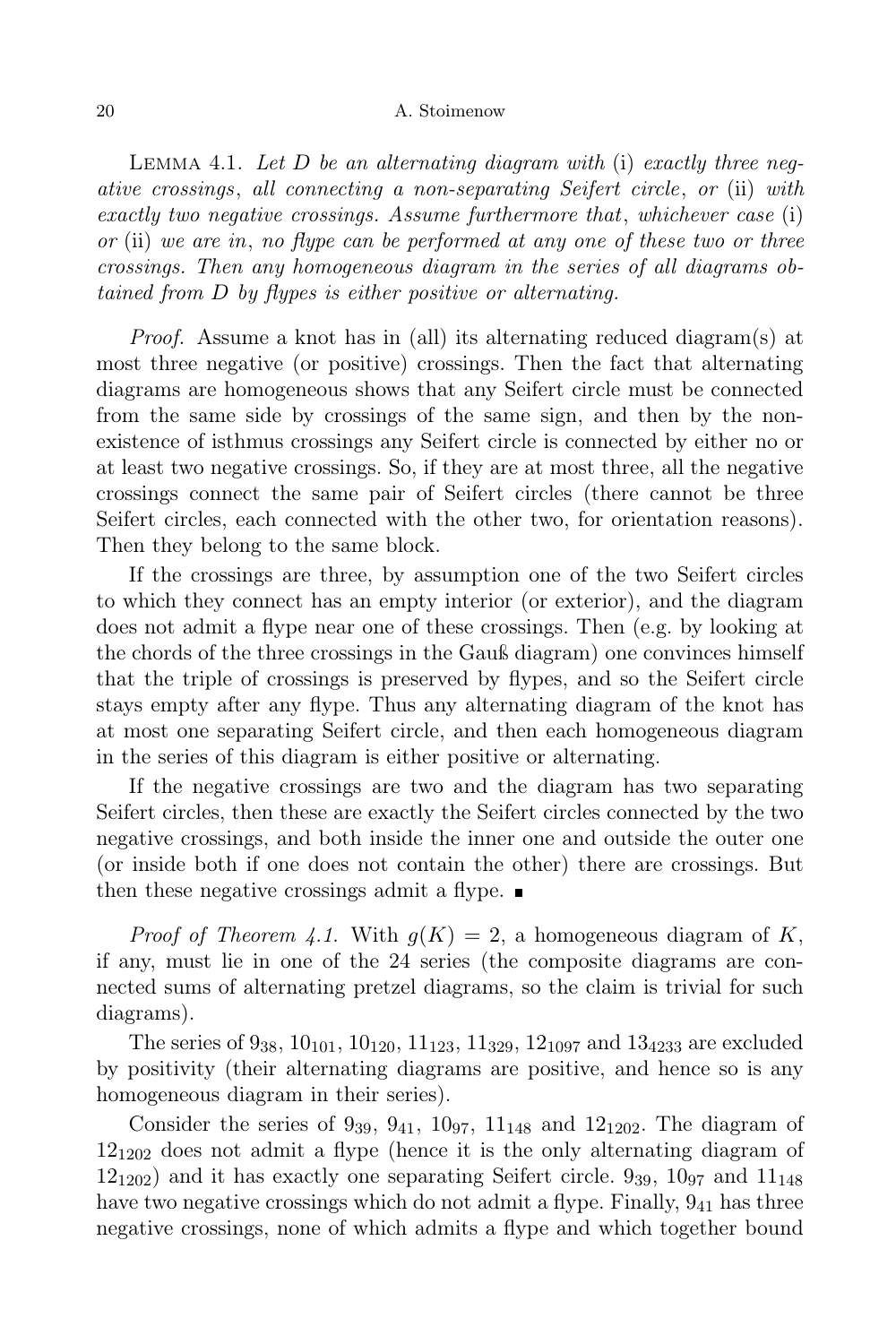LEMMA 4.1. Let  $D$  be an alternating diagram with (i) exactly three negative crossings, all connecting a non-separating Seifert circle, or (ii) with exactly two negative crossings. Assume furthermore that, whichever case (i) or (ii) we are in, no flype can be performed at any one of these two or three crossings. Then any homogeneous diagram in the series of all diagrams obtained from D by flypes is either positive or alternating.

Proof. Assume a knot has in (all) its alternating reduced diagram(s) at most three negative (or positive) crossings. Then the fact that alternating diagrams are homogeneous shows that any Seifert circle must be connected from the same side by crossings of the same sign, and then by the nonexistence of isthmus crossings any Seifert circle is connected by either no or at least two negative crossings. So, if they are at most three, all the negative crossings connect the same pair of Seifert circles (there cannot be three Seifert circles, each connected with the other two, for orientation reasons). Then they belong to the same block.

If the crossings are three, by assumption one of the two Seifert circles to which they connect has an empty interior (or exterior), and the diagram does not admit a flype near one of these crossings. Then (e.g. by looking at the chords of the three crossings in the Gauß diagram) one convinces himself that the triple of crossings is preserved by flypes, and so the Seifert circle stays empty after any flype. Thus any alternating diagram of the knot has at most one separating Seifert circle, and then each homogeneous diagram in the series of this diagram is either positive or alternating.

If the negative crossings are two and the diagram has two separating Seifert circles, then these are exactly the Seifert circles connected by the two negative crossings, and both inside the inner one and outside the outer one (or inside both if one does not contain the other) there are crossings. But then these negative crossings admit a flype.  $\blacksquare$ 

*Proof of Theorem 4.1.* With  $q(K) = 2$ , a homogeneous diagram of K, if any, must lie in one of the 24 series (the composite diagrams are connected sums of alternating pretzel diagrams, so the claim is trivial for such diagrams).

The series of  $9_{38}$ ,  $10_{101}$ ,  $10_{120}$ ,  $11_{123}$ ,  $11_{329}$ ,  $12_{1097}$  and  $13_{4233}$  are excluded by positivity (their alternating diagrams are positive, and hence so is any homogeneous diagram in their series).

Consider the series of  $9_{39}$ ,  $9_{41}$ ,  $10_{97}$ ,  $11_{148}$  and  $12_{1202}$ . The diagram of  $12_{1202}$  does not admit a flype (hence it is the only alternating diagram of  $12_{1202}$ ) and it has exactly one separating Seifert circle. 9<sub>39</sub>,  $10_{97}$  and  $11_{148}$ have two negative crossings which do not admit a flype. Finally,  $9_{41}$  has three negative crossings, none of which admits a flype and which together bound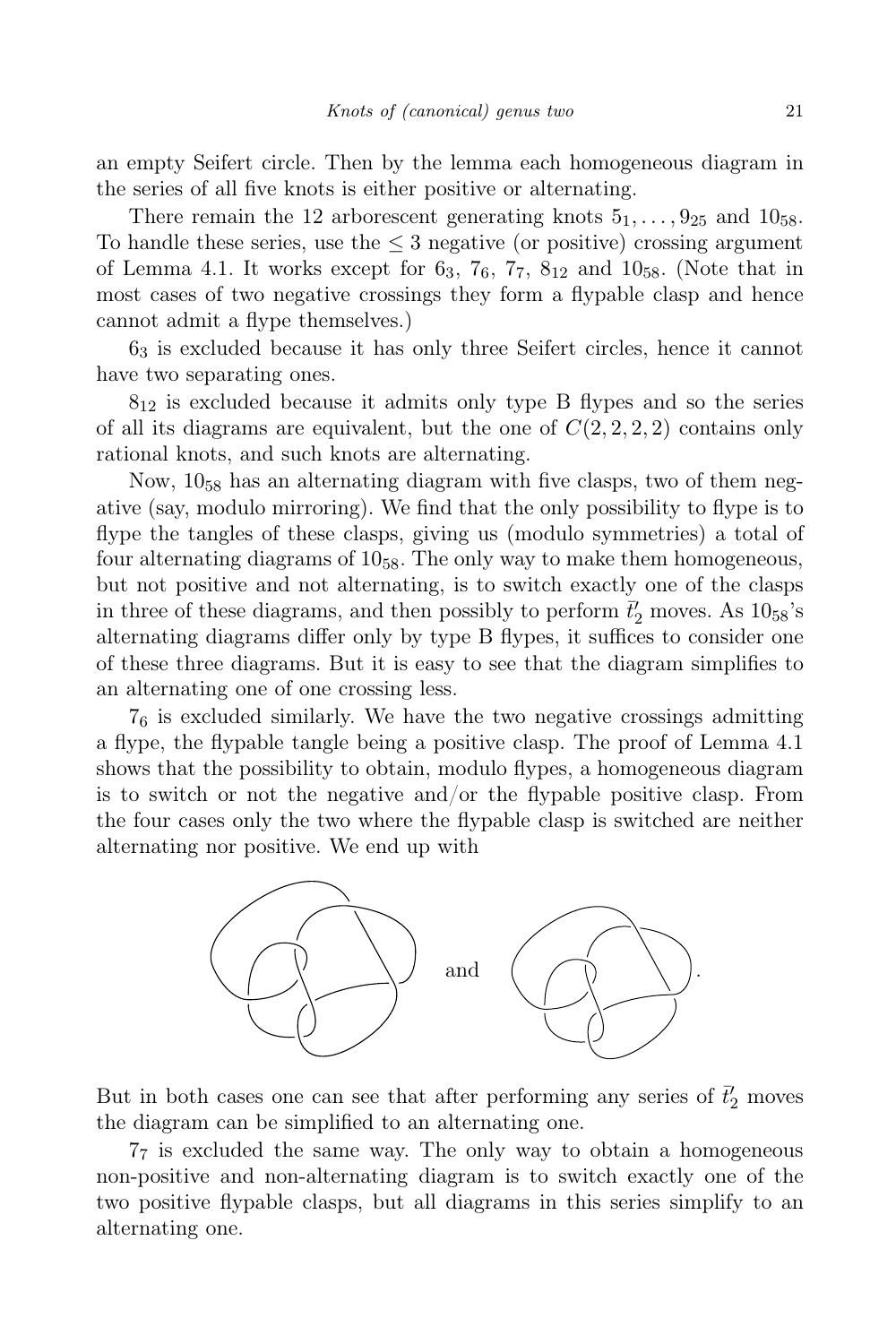an empty Seifert circle. Then by the lemma each homogeneous diagram in the series of all five knots is either positive or alternating.

There remain the 12 arborescent generating knots  $5_1, \ldots, 9_{25}$  and  $10_{58}$ . To handle these series, use the  $\leq$  3 negative (or positive) crossing argument of Lemma 4.1. It works except for  $6_3$ ,  $7_6$ ,  $7_7$ ,  $8_{12}$  and  $10_{58}$ . (Note that in most cases of two negative crossings they form a flypable clasp and hence cannot admit a flype themselves.)

6<sup>3</sup> is excluded because it has only three Seifert circles, hence it cannot have two separating ones.

 $8_{12}$  is excluded because it admits only type B flypes and so the series of all its diagrams are equivalent, but the one of  $C(2, 2, 2, 2)$  contains only rational knots, and such knots are alternating.

Now,  $10_{58}$  has an alternating diagram with five clasps, two of them negative (say, modulo mirroring). We find that the only possibility to flype is to flype the tangles of these clasps, giving us (modulo symmetries) a total of four alternating diagrams of  $10_{58}$ . The only way to make them homogeneous, but not positive and not alternating, is to switch exactly one of the clasps in three of these diagrams, and then possibly to perform  $\bar{t}'_2$  moves. As  $10_{58}$ 's alternating diagrams differ only by type B flypes, it suffices to consider one of these three diagrams. But it is easy to see that the diagram simplifies to an alternating one of one crossing less.

 $7<sub>6</sub>$  is excluded similarly. We have the two negative crossings admitting a flype, the flypable tangle being a positive clasp. The proof of Lemma 4.1 shows that the possibility to obtain, modulo flypes, a homogeneous diagram is to switch or not the negative and/or the flypable positive clasp. From the four cases only the two where the flypable clasp is switched are neither alternating nor positive. We end up with



But in both cases one can see that after performing any series of  $\vec{t}'_2$  moves the diagram can be simplified to an alternating one.

7<sup>7</sup> is excluded the same way. The only way to obtain a homogeneous non-positive and non-alternating diagram is to switch exactly one of the two positive flypable clasps, but all diagrams in this series simplify to an alternating one.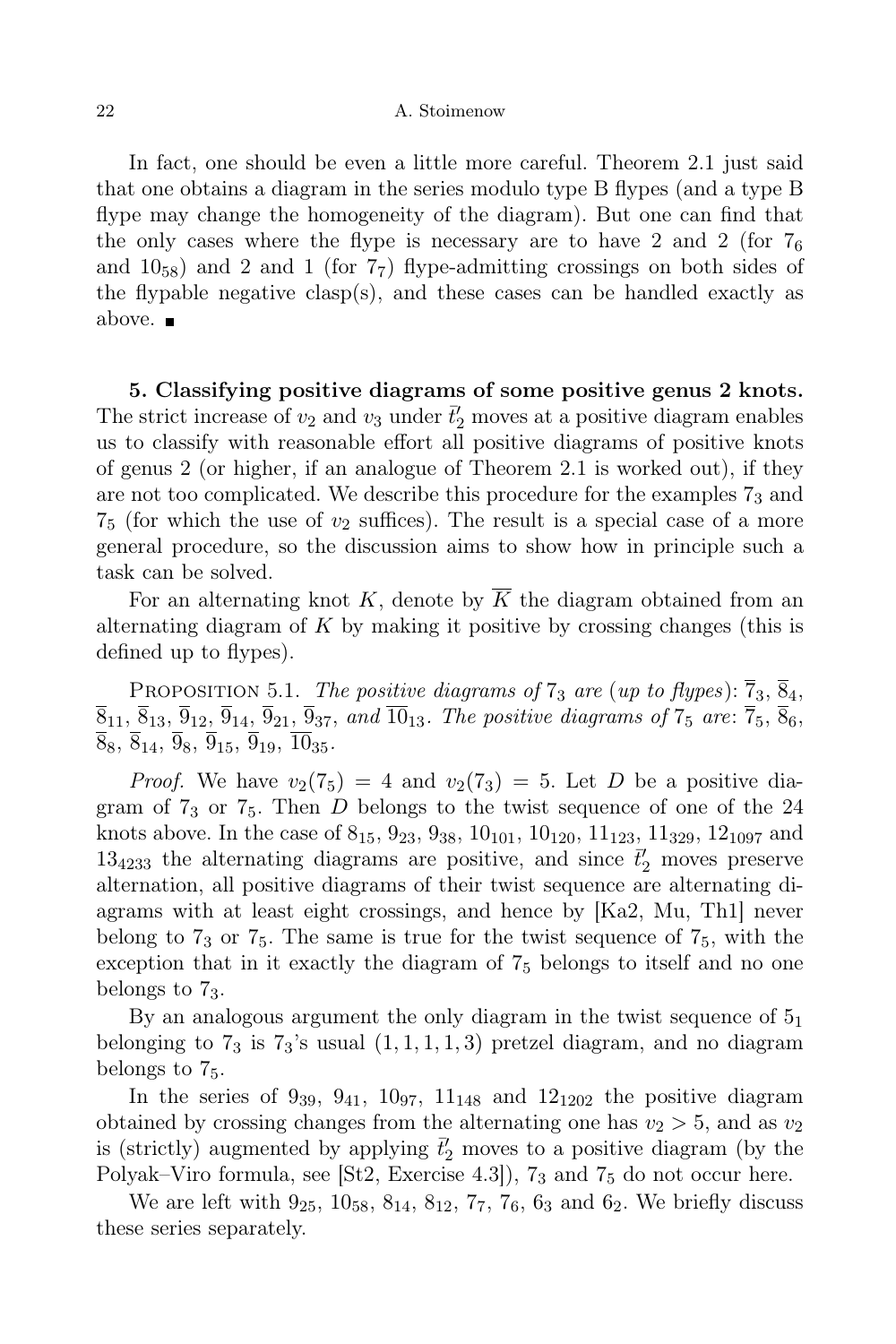In fact, one should be even a little more careful. Theorem 2.1 just said that one obtains a diagram in the series modulo type B flypes (and a type B flype may change the homogeneity of the diagram). But one can find that the only cases where the flype is necessary are to have 2 and 2 (for  $7_6$ ) and  $10_{58}$ ) and 2 and 1 (for  $7_7$ ) flype-admitting crossings on both sides of the flypable negative clasp(s), and these cases can be handled exactly as above.

5. Classifying positive diagrams of some positive genus 2 knots. The strict increase of  $v_2$  and  $v_3$  under  $\bar{t}'_2$  moves at a positive diagram enables us to classify with reasonable effort all positive diagrams of positive knots of genus 2 (or higher, if an analogue of Theorem 2.1 is worked out), if they are not too complicated. We describe this procedure for the examples  $7<sub>3</sub>$  and  $7_5$  (for which the use of  $v_2$  suffices). The result is a special case of a more general procedure, so the discussion aims to show how in principle such a task can be solved.

For an alternating knot K, denote by  $\overline{K}$  the diagram obtained from an alternating diagram of  $K$  by making it positive by crossing changes (this is defined up to flypes).

PROPOSITION 5.1. The positive diagrams of  $7_3$  are (up to flypes):  $\overline{7}_3$ ,  $\overline{8}_4$ ,  $\overline{8}_{11}, \overline{8}_{13}, \overline{9}_{12}, \overline{9}_{14}, \overline{9}_{21}, \overline{9}_{37},$  and  $\overline{10}_{13}$ . The positive diagrams of  $7_5$  are:  $\overline{7}_5, \overline{8}_6,$  $\overline{8}_8, \overline{8}_{14}, \overline{9}_8, \overline{9}_{15}, \overline{9}_{19}, \overline{10}_{35}.$ 

*Proof.* We have  $v_2(7_5) = 4$  and  $v_2(7_3) = 5$ . Let D be a positive diagram of  $7<sub>3</sub>$  or  $7<sub>5</sub>$ . Then D belongs to the twist sequence of one of the 24 knots above. In the case of  $8_{15}$ ,  $9_{23}$ ,  $9_{38}$ ,  $10_{101}$ ,  $10_{120}$ ,  $11_{123}$ ,  $11_{329}$ ,  $12_{1097}$  and  $13<sub>4233</sub>$  the alternating diagrams are positive, and since  $\vec{t}'_2$  moves preserve alternation, all positive diagrams of their twist sequence are alternating diagrams with at least eight crossings, and hence by [Ka2, Mu, Th1] never belong to  $7<sub>3</sub>$  or  $7<sub>5</sub>$ . The same is true for the twist sequence of  $7<sub>5</sub>$ , with the exception that in it exactly the diagram of 7<sup>5</sup> belongs to itself and no one belongs to 73.

By an analogous argument the only diagram in the twist sequence of  $5<sub>1</sub>$ belonging to  $7_3$  is  $7_3$ 's usual  $(1, 1, 1, 1, 3)$  pretzel diagram, and no diagram belongs to 75.

In the series of  $9_{39}$ ,  $9_{41}$ ,  $10_{97}$ ,  $11_{148}$  and  $12_{1202}$  the positive diagram obtained by crossing changes from the alternating one has  $v_2 > 5$ , and as  $v_2$ is (strictly) augmented by applying  $\bar{t}'_2$  moves to a positive diagram (by the Polyak–Viro formula, see [St2, Exercise 4.3]), 7<sup>3</sup> and 7<sup>5</sup> do not occur here.

We are left with  $9_{25}$ ,  $10_{58}$ ,  $8_{14}$ ,  $8_{12}$ ,  $7_7$ ,  $7_6$ ,  $6_3$  and  $6_2$ . We briefly discuss these series separately.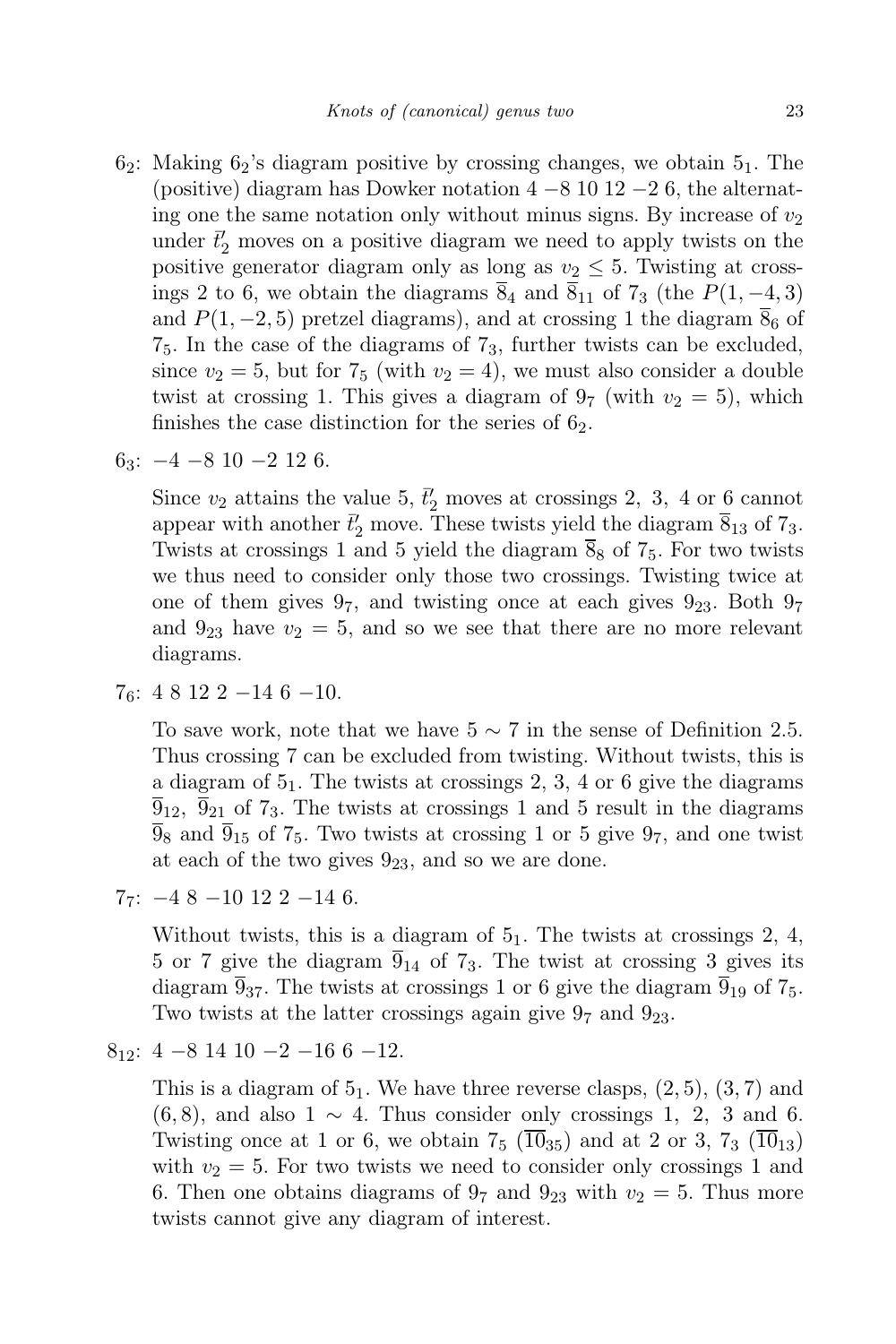- $6_2$ : Making  $6_2$ 's diagram positive by crossing changes, we obtain  $5_1$ . The (positive) diagram has Dowker notation  $4 - 8$  10 12  $-2$  6, the alternating one the same notation only without minus signs. By increase of  $v_2$ under  $\bar{t}'_2$  moves on a positive diagram we need to apply twists on the positive generator diagram only as long as  $v_2 \leq 5$ . Twisting at crossings 2 to 6, we obtain the diagrams  $\overline{8}_4$  and  $\overline{8}_{11}$  of  $7_3$  (the  $P(1, -4, 3)$ ) and  $P(1, -2, 5)$  pretzel diagrams), and at crossing 1 the diagram  $\overline{8}_6$  of 75. In the case of the diagrams of 73, further twists can be excluded, since  $v_2 = 5$ , but for  $7_5$  (with  $v_2 = 4$ ), we must also consider a double twist at crossing 1. This gives a diagram of  $9<sub>7</sub>$  (with  $v<sub>2</sub> = 5$ ), which finishes the case distinction for the series of  $6<sub>2</sub>$ .
- $6_3$ :  $-4$   $-8$  10  $-2$  12 6.

Since  $v_2$  attains the value 5,  $\bar{t}'_2$  moves at crossings 2, 3, 4 or 6 cannot appear with another  $\bar{t}'_2$  move. These twists yield the diagram  $\bar{8}_{13}$  of  $7_3$ . Twists at crossings 1 and 5 yield the diagram  $\overline{8}_8$  of  $7_5$ . For two twists we thus need to consider only those two crossings. Twisting twice at one of them gives  $9<sub>7</sub>$ , and twisting once at each gives  $9<sub>23</sub>$ . Both  $9<sub>7</sub>$ and  $9_{23}$  have  $v_2 = 5$ , and so we see that there are no more relevant diagrams.

 $76: 48122 - 146 - 10.$ 

To save work, note that we have  $5 \sim 7$  in the sense of Definition 2.5. Thus crossing 7 can be excluded from twisting. Without twists, this is a diagram of  $5<sub>1</sub>$ . The twists at crossings 2, 3, 4 or 6 give the diagrams  $\overline{9}_{12}$ ,  $\overline{9}_{21}$  of 7<sub>3</sub>. The twists at crossings 1 and 5 result in the diagrams  $\overline{9}_8$  and  $\overline{9}_{15}$  of 7<sub>5</sub>. Two twists at crossing 1 or 5 give 9<sub>7</sub>, and one twist at each of the two gives  $9_{23}$ , and so we are done.

 $7_7$ :  $-48 - 10122 - 146$ .

Without twists, this is a diagram of  $5<sub>1</sub>$ . The twists at crossings 2, 4, 5 or 7 give the diagram  $\overline{9}_{14}$  of  $7_3$ . The twist at crossing 3 gives its diagram  $\overline{9}_{37}$ . The twists at crossings 1 or 6 give the diagram  $\overline{9}_{19}$  of 7<sub>5</sub>. Two twists at the latter crossings again give  $9<sub>7</sub>$  and  $9<sub>23</sub>$ .

 $8_{12}:$  4 -8 14 10 -2 -16 6 -12.

This is a diagram of  $5<sub>1</sub>$ . We have three reverse clasps,  $(2, 5)$ ,  $(3, 7)$  and  $(6, 8)$ , and also 1  $\sim$  4. Thus consider only crossings 1, 2, 3 and 6. Twisting once at 1 or 6, we obtain  $7_5$   $(\overline{10}_{35})$  and at 2 or 3,  $7_3$   $(\overline{10}_{13})$ with  $v_2 = 5$ . For two twists we need to consider only crossings 1 and 6. Then one obtains diagrams of  $9<sub>7</sub>$  and  $9<sub>23</sub>$  with  $v<sub>2</sub> = 5$ . Thus more twists cannot give any diagram of interest.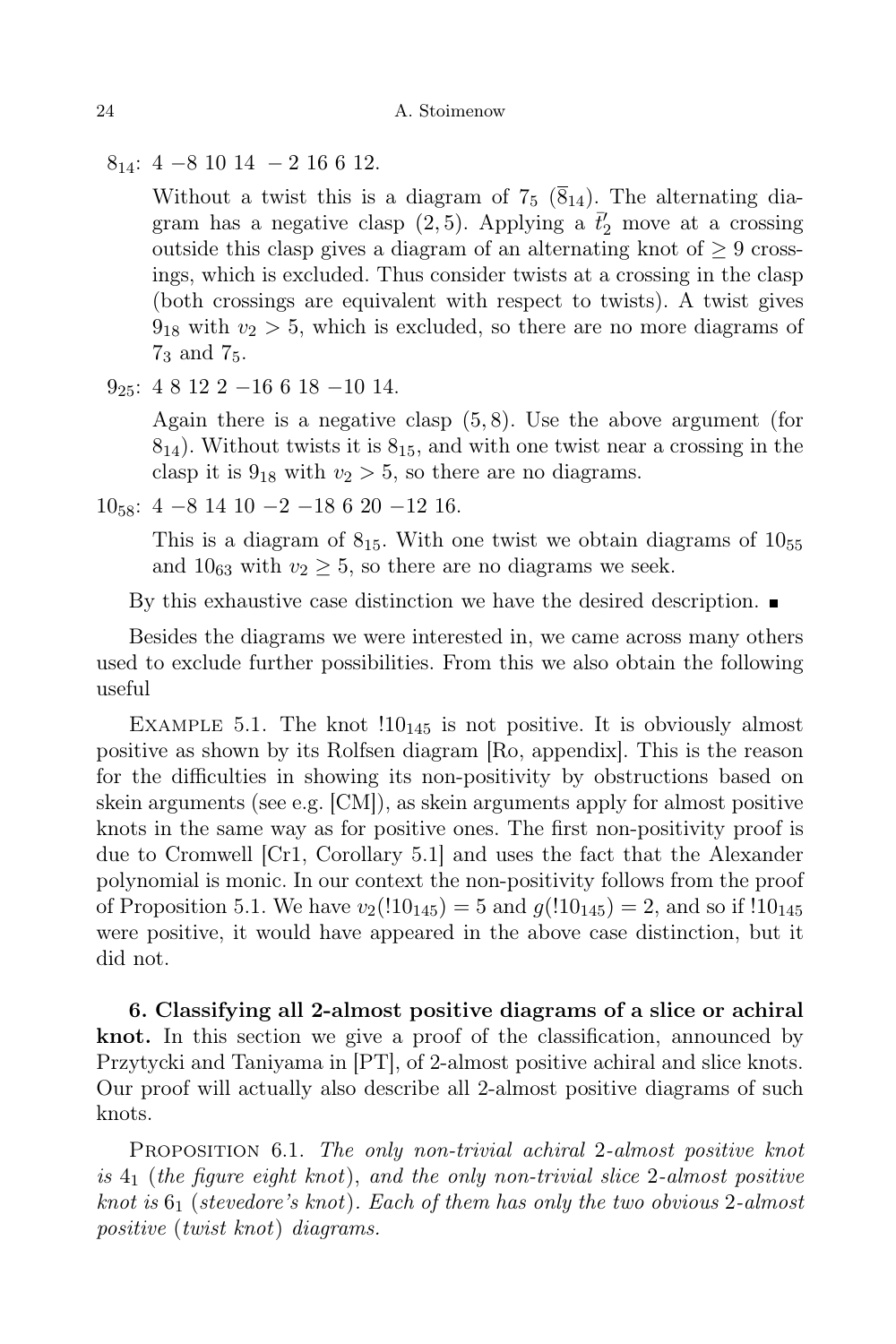$8_{14}:$  4 - 8 10 14 - 2 16 6 12.

Without a twist this is a diagram of  $7_5$  ( $\overline{8}_{14}$ ). The alternating diagram has a negative clasp (2,5). Applying a  $\bar{t}'_2$  move at a crossing outside this clasp gives a diagram of an alternating knot of  $\geq 9$  crossings, which is excluded. Thus consider twists at a crossing in the clasp (both crossings are equivalent with respect to twists). A twist gives  $9_{18}$  with  $v_2 > 5$ , which is excluded, so there are no more diagrams of 7<sup>3</sup> and 75.

 $9_{25}$ : 4 8 12 2 −16 6 18 −10 14.

Again there is a negative clasp (5, 8). Use the above argument (for  $8_{14}$ ). Without twists it is  $8_{15}$ , and with one twist near a crossing in the clasp it is  $9_{18}$  with  $v_2 > 5$ , so there are no diagrams.

 $10_{58}$ : 4 −8 14 10 −2 −18 6 20 −12 16.

This is a diagram of  $8_{15}$ . With one twist we obtain diagrams of  $10_{55}$ and  $10_{63}$  with  $v_2 \geq 5$ , so there are no diagrams we seek.

By this exhaustive case distinction we have the desired description.  $\blacksquare$ 

Besides the diagrams we were interested in, we came across many others used to exclude further possibilities. From this we also obtain the following useful

EXAMPLE 5.1. The knot  $110_{145}$  is not positive. It is obviously almost positive as shown by its Rolfsen diagram [Ro, appendix]. This is the reason for the difficulties in showing its non-positivity by obstructions based on skein arguments (see e.g. [CM]), as skein arguments apply for almost positive knots in the same way as for positive ones. The first non-positivity proof is due to Cromwell [Cr1, Corollary 5.1] and uses the fact that the Alexander polynomial is monic. In our context the non-positivity follows from the proof of Proposition 5.1. We have  $v_2(110_{145}) = 5$  and  $g(110_{145}) = 2$ , and so if  $110_{145}$ were positive, it would have appeared in the above case distinction, but it did not.

6. Classifying all 2-almost positive diagrams of a slice or achiral knot. In this section we give a proof of the classification, announced by Przytycki and Taniyama in [PT], of 2-almost positive achiral and slice knots. Our proof will actually also describe all 2-almost positive diagrams of such knots.

PROPOSITION 6.1. The only non-trivial achiral 2-almost positive knot is  $4_1$  (the figure eight knot), and the only non-trivial slice 2-almost positive knot is  $6<sub>1</sub>$  (stevedore's knot). Each of them has only the two obvious 2-almost positive (twist knot) diagrams.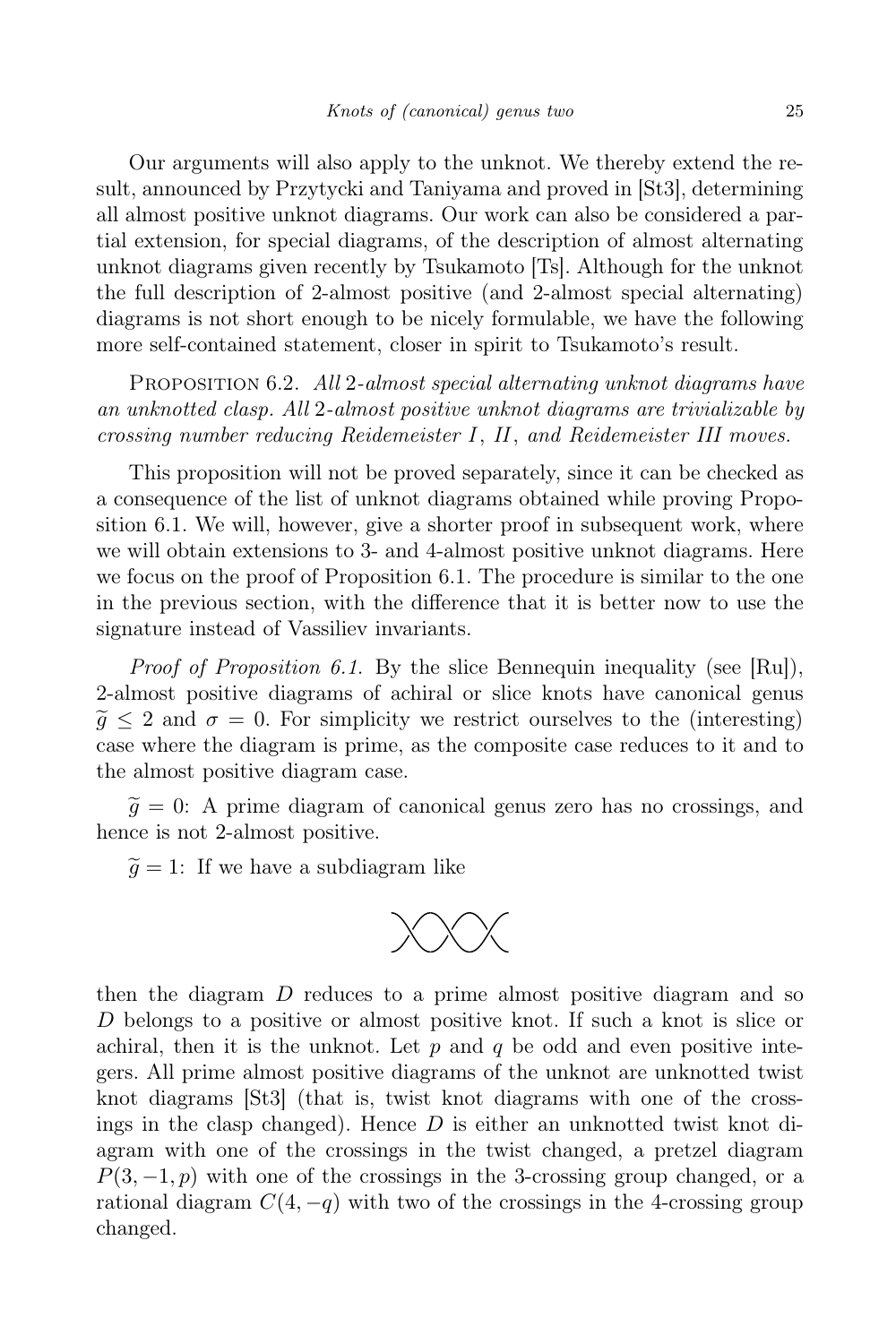Our arguments will also apply to the unknot. We thereby extend the result, announced by Przytycki and Taniyama and proved in [St3], determining all almost positive unknot diagrams. Our work can also be considered a partial extension, for special diagrams, of the description of almost alternating unknot diagrams given recently by Tsukamoto [Ts]. Although for the unknot the full description of 2-almost positive (and 2-almost special alternating) diagrams is not short enough to be nicely formulable, we have the following more self-contained statement, closer in spirit to Tsukamoto's result.

PROPOSITION 6.2. All 2-almost special alternating unknot diagrams have an unknotted clasp. All 2-almost positive unknot diagrams are trivializable by crossing number reducing Reidemeister I, II, and Reidemeister III moves.

This proposition will not be proved separately, since it can be checked as a consequence of the list of unknot diagrams obtained while proving Proposition 6.1. We will, however, give a shorter proof in subsequent work, where we will obtain extensions to 3- and 4-almost positive unknot diagrams. Here we focus on the proof of Proposition 6.1. The procedure is similar to the one in the previous section, with the difference that it is better now to use the signature instead of Vassiliev invariants.

Proof of Proposition 6.1. By the slice Bennequin inequality (see [Ru]), 2-almost positive diagrams of achiral or slice knots have canonical genus  $\tilde{q} \leq 2$  and  $\sigma = 0$ . For simplicity we restrict ourselves to the (interesting) case where the diagram is prime, as the composite case reduces to it and to the almost positive diagram case.

 $\tilde{g} = 0$ : A prime diagram of canonical genus zero has no crossings, and hence is not 2-almost positive.

 $\tilde{g} = 1$ : If we have a subdiagram like



then the diagram D reduces to a prime almost positive diagram and so D belongs to a positive or almost positive knot. If such a knot is slice or achiral, then it is the unknot. Let  $p$  and  $q$  be odd and even positive integers. All prime almost positive diagrams of the unknot are unknotted twist knot diagrams [St3] (that is, twist knot diagrams with one of the crossings in the clasp changed). Hence  $D$  is either an unknotted twist knot diagram with one of the crossings in the twist changed, a pretzel diagram  $P(3, -1, p)$  with one of the crossings in the 3-crossing group changed, or a rational diagram  $C(4, -q)$  with two of the crossings in the 4-crossing group changed.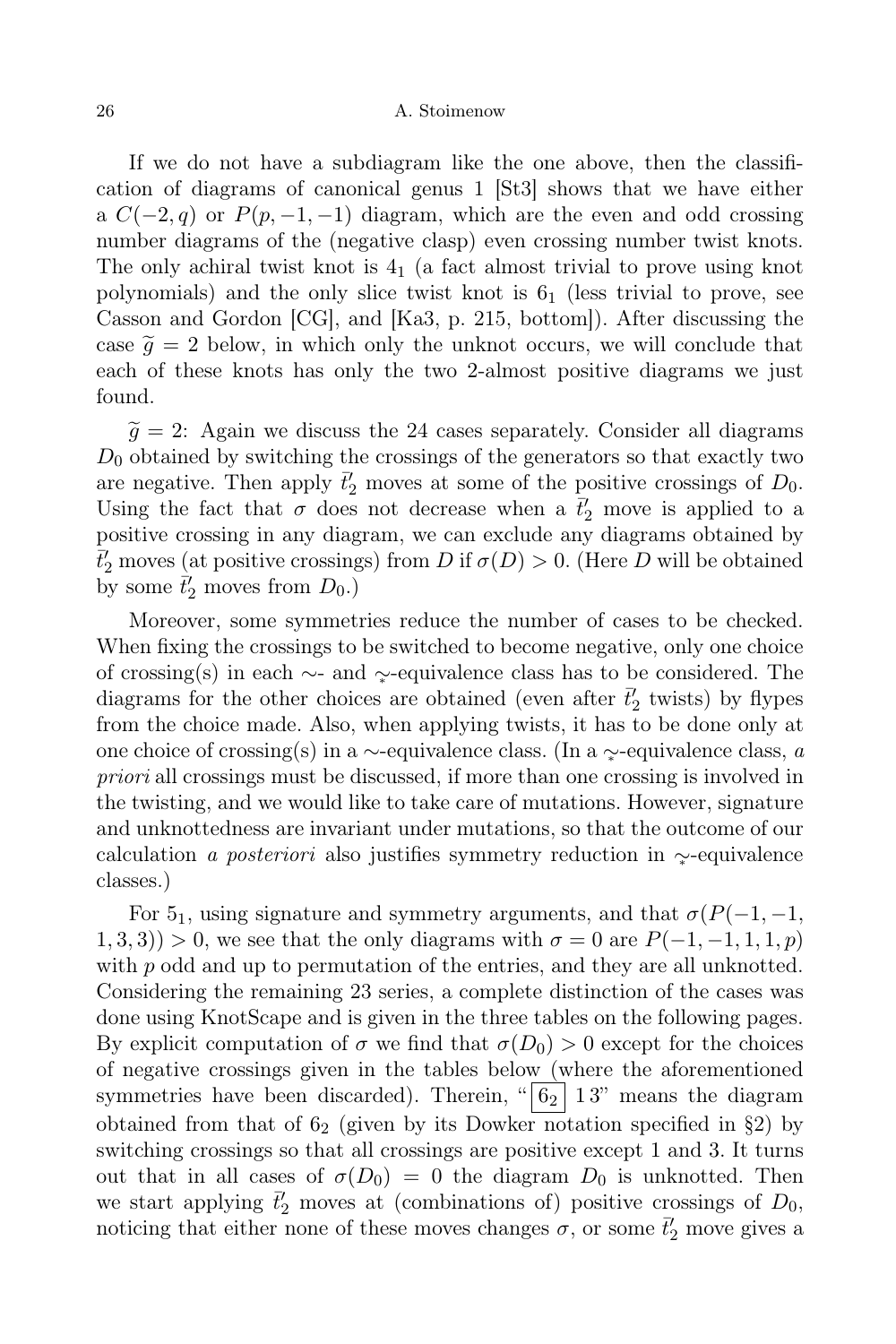If we do not have a subdiagram like the one above, then the classification of diagrams of canonical genus 1 [St3] shows that we have either a  $C(-2, q)$  or  $P(p, -1, -1)$  diagram, which are the even and odd crossing number diagrams of the (negative clasp) even crossing number twist knots. The only achiral twist knot is  $4<sub>1</sub>$  (a fact almost trivial to prove using knot polynomials) and the only slice twist knot is  $6<sub>1</sub>$  (less trivial to prove, see Casson and Gordon [CG], and [Ka3, p. 215, bottom]). After discussing the case  $\tilde{q} = 2$  below, in which only the unknot occurs, we will conclude that each of these knots has only the two 2-almost positive diagrams we just found.

 $\tilde{g} = 2$ : Again we discuss the 24 cases separately. Consider all diagrams  $D_0$  obtained by switching the crossings of the generators so that exactly two are negative. Then apply  $\vec{t}'_2$  moves at some of the positive crossings of  $D_0$ . Using the fact that  $\sigma$  does not decrease when a  $\bar{t}'_2$  move is applied to a positive crossing in any diagram, we can exclude any diagrams obtained by  $\bar{t}'_2$  moves (at positive crossings) from D if  $\sigma(D) > 0$ . (Here D will be obtained by some  $\bar{t}'_2$  moves from  $D_0$ .)

Moreover, some symmetries reduce the number of cases to be checked. When fixing the crossings to be switched to become negative, only one choice of crossing(s) in each ∼- and ∼<sup>∗</sup> -equivalence class has to be considered. The diagrams for the other choices are obtained (even after  $\bar{t}'_2$  twists) by flypes from the choice made. Also, when applying twists, it has to be done only at one choice of crossing(s) in a ∼-equivalence class. (In a ∼<sup>∗</sup> -equivalence class, a priori all crossings must be discussed, if more than one crossing is involved in the twisting, and we would like to take care of mutations. However, signature and unknottedness are invariant under mutations, so that the outcome of our calculation a posteriori also justifies symmetry reduction in ∼<sup>∗</sup> -equivalence classes.)

For 5<sub>1</sub>, using signature and symmetry arguments, and that  $\sigma(P(-1, -1,$  $(1, 3, 3)$ ) > 0, we see that the only diagrams with  $\sigma = 0$  are  $P(-1, -1, 1, 1, p)$ with  $p$  odd and up to permutation of the entries, and they are all unknotted. Considering the remaining 23 series, a complete distinction of the cases was done using KnotScape and is given in the three tables on the following pages. By explicit computation of  $\sigma$  we find that  $\sigma(D_0) > 0$  except for the choices of negative crossings given in the tables below (where the aforementioned symmetries have been discarded). Therein, " $6<sub>2</sub>$  13" means the diagram obtained from that of  $6_2$  (given by its Dowker notation specified in §2) by switching crossings so that all crossings are positive except 1 and 3. It turns out that in all cases of  $\sigma(D_0) = 0$  the diagram  $D_0$  is unknotted. Then we start applying  $\bar{t}'_2$  moves at (combinations of) positive crossings of  $D_0$ , noticing that either none of these moves changes  $\sigma$ , or some  $\bar{t}'_2$  move gives a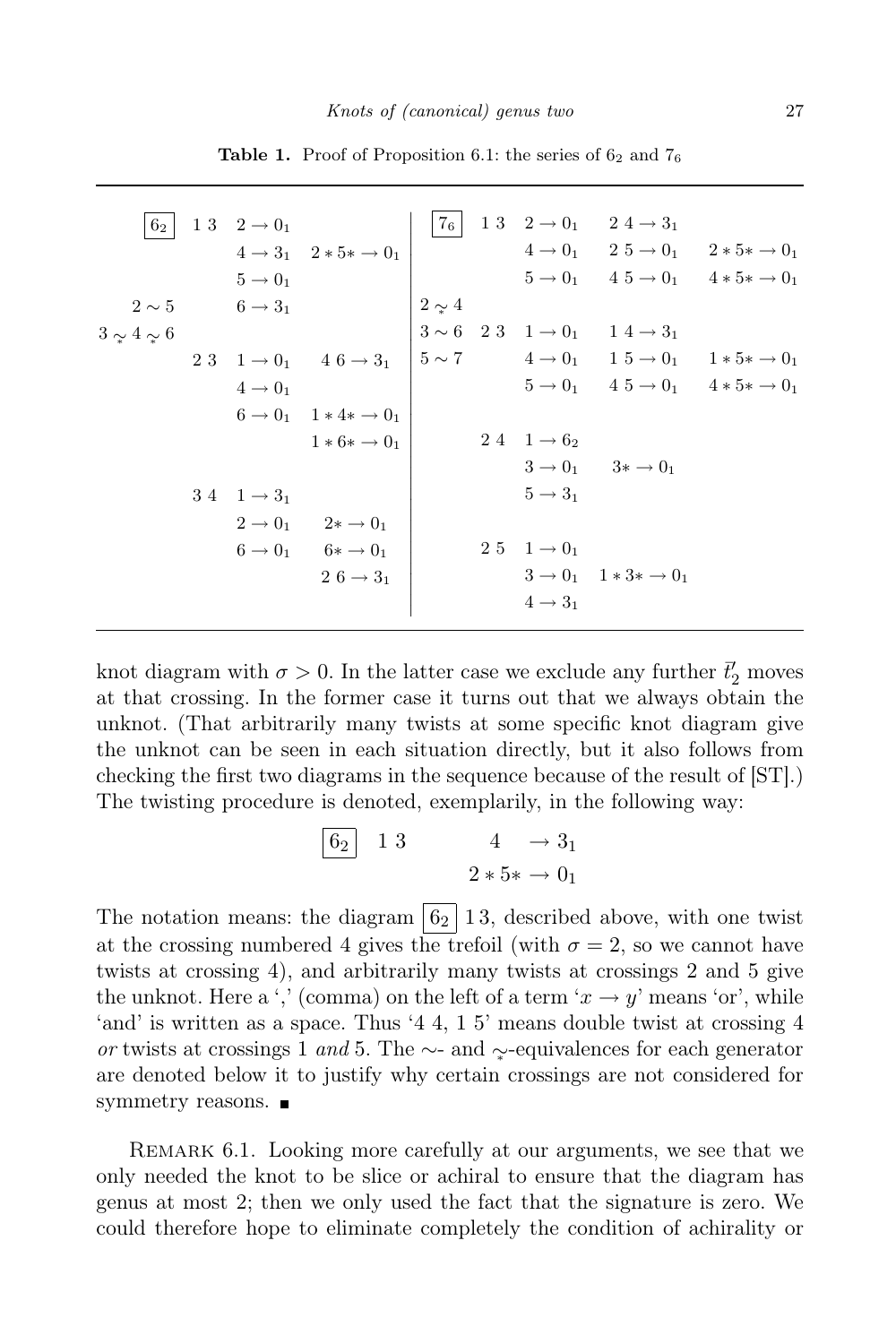| 62                | 1 3 $2 \to 0_1$                |                                                                                     |  |                              | $ 7_6 $ 13 $2 \rightarrow 0_1$ 24 $\rightarrow 3_1$                                                                           |  |
|-------------------|--------------------------------|-------------------------------------------------------------------------------------|--|------------------------------|-------------------------------------------------------------------------------------------------------------------------------|--|
|                   |                                | $4 \rightarrow 3_1$ $2 * 5 * \rightarrow 0_1$                                       |  |                              | $4 \rightarrow 0_1$ $2 \ 5 \rightarrow 0_1$ $2 * 5 * \rightarrow 0_1$                                                         |  |
|                   | $5 \rightarrow 0_1$            |                                                                                     |  |                              | $5 \to 0_1$ $4.5 \to 0_1$ $4 * 5 * \to 0_1$                                                                                   |  |
|                   | $2 \sim 5$ 6 $\rightarrow 3_1$ |                                                                                     |  |                              | $\begin{vmatrix} 2 \sim 4 \\ 3 \sim 6 & 2 \cdot 3 & 1 \rightarrow 0_1 & 1 \cdot 4 \rightarrow 3_1 \\ 0 & 0 & 1 \end{vmatrix}$ |  |
| $3 \sim 4 \sim 6$ |                                |                                                                                     |  |                              |                                                                                                                               |  |
|                   |                                | 2 3 $1 \to 0_1$ 4 6 $\to 3_1$ $5 \sim 7$ 4 $\to 0_1$ 1 5 $\to 0_1$ 1 $* 5* \to 0_1$ |  |                              |                                                                                                                               |  |
|                   | $4 \rightarrow 0_1$            |                                                                                     |  |                              | $5 \to 0_1$ $4.5 \to 0_1$ $4 * 5 * \to 0_1$                                                                                   |  |
|                   |                                | $6 \to 0_1$ $1 * 4 * \to 0_1$                                                       |  |                              |                                                                                                                               |  |
|                   |                                | $1 * 6 * \rightarrow 0_1$                                                           |  | $2\;4\quad 1\rightarrow 6_2$ |                                                                                                                               |  |
|                   |                                |                                                                                     |  |                              | $3 \rightarrow 0_1$ $3 \rightarrow 0_1$                                                                                       |  |
|                   | $3\ 4\ 1\rightarrow 3_1$       |                                                                                     |  | $5 \rightarrow 3_1$          |                                                                                                                               |  |
|                   |                                | $2 \rightarrow 0_1$ $2 \ast \rightarrow 0_1$                                        |  |                              |                                                                                                                               |  |
|                   |                                | $6 \rightarrow 0_1$ $6* \rightarrow 0_1$                                            |  | 2 5 1 $\to 0_1$              |                                                                                                                               |  |
|                   |                                | $2\;6 \rightarrow 3_1$                                                              |  |                              | $3 \rightarrow 0_1$ 1 * 3* $\rightarrow 0_1$                                                                                  |  |
|                   |                                |                                                                                     |  | $4 \rightarrow 3_1$          |                                                                                                                               |  |
|                   |                                |                                                                                     |  |                              |                                                                                                                               |  |

Table 1. Proof of Proposition 6.1: the series of  $6<sub>2</sub>$  and  $7<sub>6</sub>$ 

knot diagram with  $\sigma > 0$ . In the latter case we exclude any further  $\bar{t}'_2$  moves at that crossing. In the former case it turns out that we always obtain the unknot. (That arbitrarily many twists at some specific knot diagram give the unknot can be seen in each situation directly, but it also follows from checking the first two diagrams in the sequence because of the result of [ST].) The twisting procedure is denoted, exemplarily, in the following way:

$$
\begin{array}{|c|c|c|c|}\n\hline\n62 & 13 & 4 & \rightarrow 3_1 \\
2 * 5 * & \rightarrow 0_1\n\end{array}
$$

The notation means: the diagram  $\boxed{6_2}$  13, described above, with one twist at the crossing numbered 4 gives the trefoil (with  $\sigma = 2$ , so we cannot have twists at crossing 4), and arbitrarily many twists at crossings 2 and 5 give the unknot. Here a ',' (comma) on the left of a term ' $x \to y$ ' means 'or', while 'and' is written as a space. Thus '4 4, 1 5' means double twist at crossing 4 or twists at crossings 1 and 5. The ∼- and  $\gamma$ -equivalences for each generator are denoted below it to justify why certain crossings are not considered for symmetry reasons.  $\blacksquare$ 

Remark 6.1. Looking more carefully at our arguments, we see that we only needed the knot to be slice or achiral to ensure that the diagram has genus at most 2; then we only used the fact that the signature is zero. We could therefore hope to eliminate completely the condition of achirality or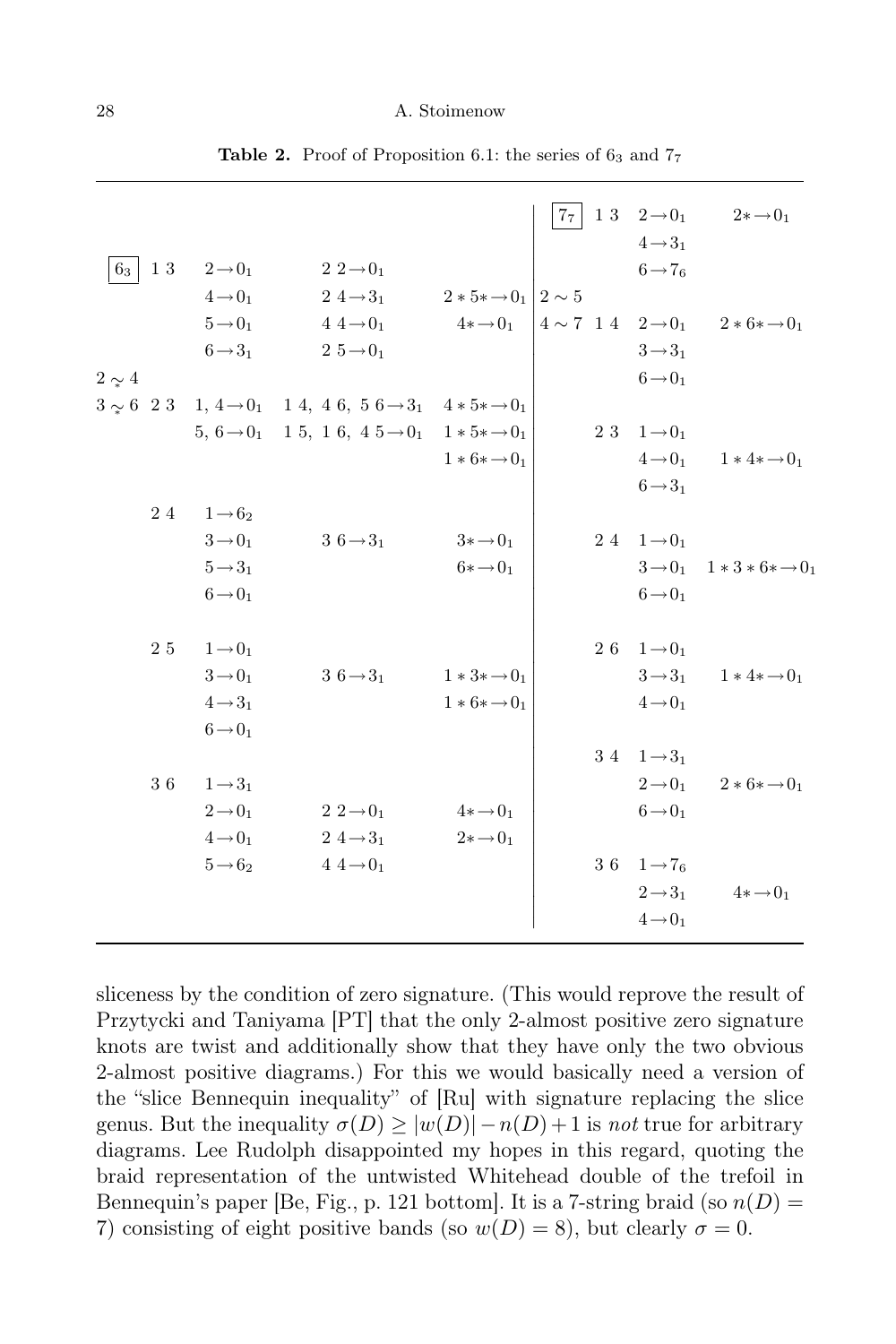|                |                            |                                                                                                 |                           | 7 <sub>7</sub> | 1 3 $2 \rightarrow 0_1$      | $2*\rightarrow 0_1$                               |
|----------------|----------------------------|-------------------------------------------------------------------------------------------------|---------------------------|----------------|------------------------------|---------------------------------------------------|
|                |                            |                                                                                                 |                           |                | $4 \rightarrow 3_1$          |                                                   |
| 6 <sub>3</sub> | $1\ 3\ \ 2\rightarrow 0_1$ | $2\ 2\rightarrow 0_1$                                                                           |                           |                | $6 \rightarrow 76$           |                                                   |
|                | $4\rightarrow 0_1$         | 2 4 $\rightarrow$ 3 <sub>1</sub> 2 $*$ 5 $*$ $\rightarrow$ 0 <sub>1</sub> 2 $\sim$ 5            |                           |                |                              |                                                   |
|                | $5 \rightarrow 0_1$        | $4\ 4\rightarrow 0_1$ $4*\rightarrow 0_1$ $4\sim 7$ 14 $2\rightarrow 0_1$ $2*6*\rightarrow 0_1$ |                           |                |                              |                                                   |
|                | $6 \rightarrow 3_1$        | $2\ 5 \rightarrow 0_1$                                                                          |                           |                | $3 \rightarrow 3_1$          |                                                   |
| $2 \sim 4$     |                            |                                                                                                 |                           |                | $6 \rightarrow 0_1$          |                                                   |
|                |                            | $3 \sim 6$ 2 3 1, $4 \rightarrow 0$ 1 4, 4 6, 5 6 $\rightarrow 3$ 4 $*$ 5 $* \rightarrow 0$     |                           |                |                              |                                                   |
|                |                            | 5, $6 \rightarrow 0_1$ 15, 16, $45 \rightarrow 0_1$ 1*5* $\rightarrow 0_1$                      |                           |                | 2 3 $1 \rightarrow 0_1$      |                                                   |
|                |                            |                                                                                                 | $1 * 6 * \rightarrow 0_1$ |                |                              | $4 \rightarrow 0_1$ $1 * 4 * \rightarrow 0_1$     |
|                |                            |                                                                                                 |                           |                | $6 \rightarrow 3_1$          |                                                   |
|                | 24 $1 \rightarrow 62$      |                                                                                                 |                           |                |                              |                                                   |
|                | $3 \rightarrow 0_1$        | $3\,6\rightarrow3_1$                                                                            | $3 \ast \rightarrow 0_1$  |                | 2 4 $1 \rightarrow 0_1$      |                                                   |
|                | $5 \rightarrow 3_1$        |                                                                                                 | $6 * \rightarrow 0_1$     |                |                              | $3 \rightarrow 0_1$ $1 * 3 * 6 * \rightarrow 0_1$ |
|                | $6 \rightarrow 0_1$        |                                                                                                 |                           |                | $6 \rightarrow 0_1$          |                                                   |
|                |                            |                                                                                                 |                           |                |                              |                                                   |
|                | 2 5 $1 \rightarrow 0_1$    |                                                                                                 |                           |                | 2 6 $1 \rightarrow 0_1$      |                                                   |
|                | $3\rightarrow 0_1$         | $3\text{ }6 \rightarrow 3_1$                                                                    | $1*3*\rightarrow 0_1$     |                |                              | $3 \rightarrow 3_1$ $1 * 4 * \rightarrow 0_1$     |
|                | $4 \rightarrow 3_1$        |                                                                                                 | $1 * 6 * \rightarrow 0_1$ |                | $4 \rightarrow 0_1$          |                                                   |
|                | $6 \rightarrow 0_1$        |                                                                                                 |                           |                |                              |                                                   |
|                |                            |                                                                                                 |                           |                | $3\;4\quad 1\rightarrow 3_1$ |                                                   |
|                | 36 $1 \rightarrow 3_1$     |                                                                                                 |                           |                |                              | $2 \rightarrow 0_1$ $2 * 6 * \rightarrow 0_1$     |
|                | $2 \rightarrow 0_1$        | $2\ 2\rightarrow 0_1$                                                                           | $4*\rightarrow 0_1$       |                | $6 \rightarrow 0_1$          |                                                   |
|                | $4 \rightarrow 0_1$        | $2\ 4 \rightarrow 3_1$                                                                          | $2*\rightarrow 0_1$       |                |                              |                                                   |
|                | $5 \rightarrow 6_2$        | $4\,4\rightarrow 0_1$                                                                           |                           |                | 36 $1 \rightarrow 7_6$       |                                                   |
|                |                            |                                                                                                 |                           |                | $2 \rightarrow 3_1$          | $4*\rightarrow 0_1$                               |
|                |                            |                                                                                                 |                           |                | $4\!\rightarrow\!0_1$        |                                                   |
|                |                            |                                                                                                 |                           |                |                              |                                                   |

Table 2. Proof of Proposition 6.1: the series of  $6<sub>3</sub>$  and  $7<sub>7</sub>$ 

sliceness by the condition of zero signature. (This would reprove the result of Przytycki and Taniyama [PT] that the only 2-almost positive zero signature knots are twist and additionally show that they have only the two obvious 2-almost positive diagrams.) For this we would basically need a version of the "slice Bennequin inequality" of [Ru] with signature replacing the slice genus. But the inequality  $\sigma(D) \ge |w(D)| - n(D) + 1$  is not true for arbitrary diagrams. Lee Rudolph disappointed my hopes in this regard, quoting the braid representation of the untwisted Whitehead double of the trefoil in Bennequin's paper [Be, Fig., p. 121 bottom]. It is a 7-string braid (so  $n(D)$  = 7) consisting of eight positive bands (so  $w(D) = 8$ ), but clearly  $\sigma = 0$ .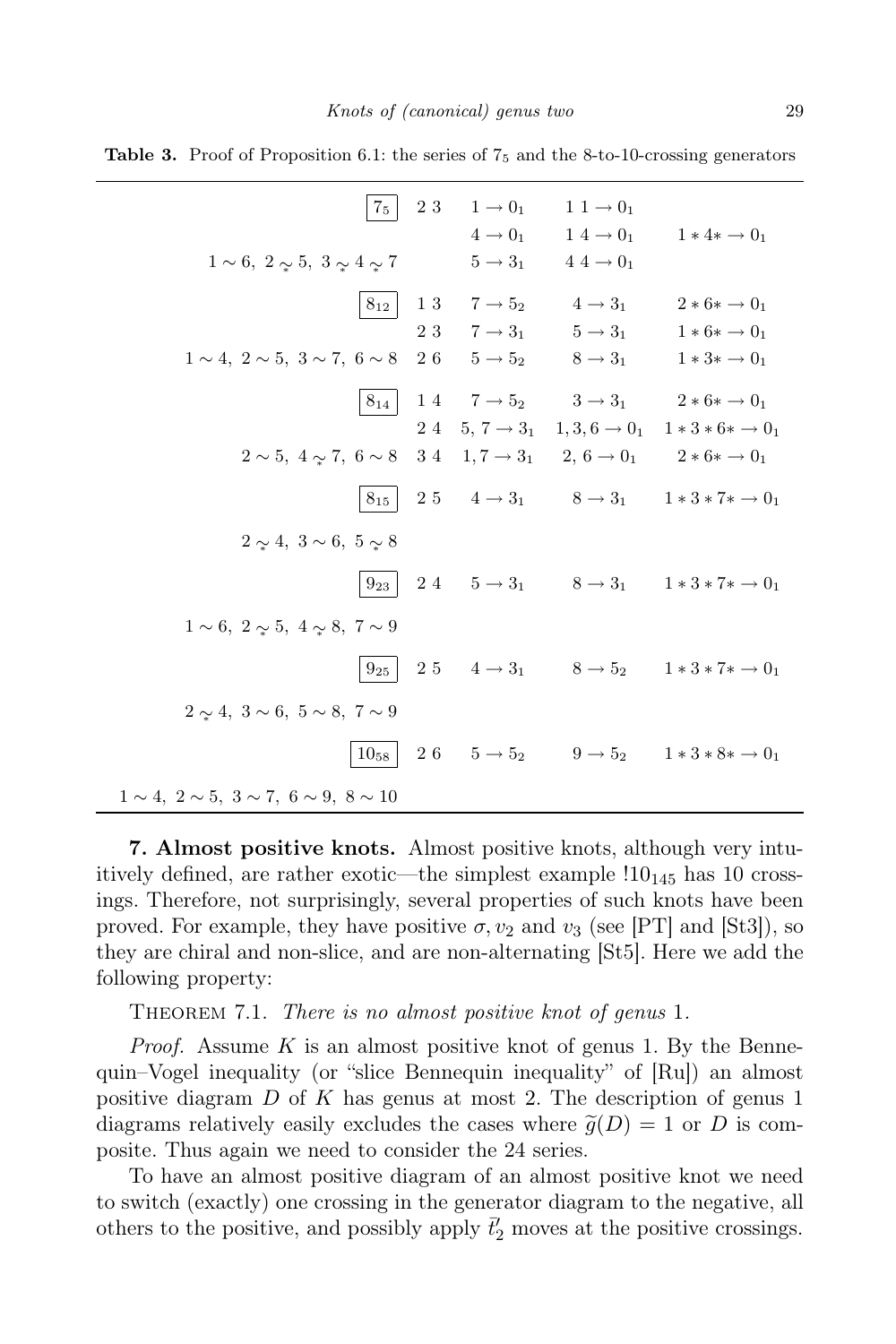| 7 <sub>5</sub>                                                                                                                                |    | 2 3 1 $\to 0_1$<br>$4 \rightarrow 0_1$                                                                                                         | $1\ 1\rightarrow 0_1$<br>$1\ 4\rightarrow 0_1$<br>$5 \rightarrow 3_1$ $4 \rightarrow 0_1$ | $1 * 4 * \rightarrow 0_1$                                                                                                                                                                                 |
|-----------------------------------------------------------------------------------------------------------------------------------------------|----|------------------------------------------------------------------------------------------------------------------------------------------------|-------------------------------------------------------------------------------------------|-----------------------------------------------------------------------------------------------------------------------------------------------------------------------------------------------------------|
| $1 \sim 6, 2 \sim 5, 3 \sim 4 \sim 7$<br>$8_{12}$<br>$1 \sim 4$ , $2 \sim 5$ , $3 \sim 7$ , $6 \sim 8$                                        | 26 | $\begin{matrix} 1 \ 3 & \phantom{-} 7 \rightarrow 5_2 & \phantom{-} 4 \rightarrow 3_1 \end{matrix}$<br>$5 \rightarrow 5_2$ $8 \rightarrow 3_1$ |                                                                                           | $2 * 6 * \rightarrow 0_1$<br>2 3 $7 \rightarrow 3_1$ $5 \rightarrow 3_1$ $1 * 6 * \rightarrow 0_1$<br>$1*3* \rightarrow 0_1$                                                                              |
|                                                                                                                                               |    |                                                                                                                                                |                                                                                           | $8_{14}$ 14 $7 \rightarrow 5_2$ $3 \rightarrow 3_1$ $2 * 6 * \rightarrow 0_1$<br>24 5, 7 $\rightarrow$ 3 <sub>1</sub> 1, 3, 6 $\rightarrow$ 0 <sub>1</sub> 1 $*$ 3 $*$ 6 $*$ $\rightarrow$ 0 <sub>1</sub> |
| $2 \sim 5, 4 \sim 7, 6 \sim 8$ $34$ $1, 7 \rightarrow 3_1$ $2, 6 \rightarrow 0_1$ $2 * 6 * \rightarrow 0_1$<br>$2 \sim 4, 3 \sim 6, 5 \sim 8$ |    |                                                                                                                                                |                                                                                           | $8_{15}$ 25 $4 \rightarrow 3_1$ $8 \rightarrow 3_1$ $1 * 3 * 7 * \rightarrow 0_1$                                                                                                                         |
| $1 \sim 6, 2 \sim 5, 4 \sim 8, 7 \sim 9$                                                                                                      |    |                                                                                                                                                |                                                                                           | $9_{23}$ 24 $5 \rightarrow 3_1$ $8 \rightarrow 3_1$ $1 * 3 * 7 * \rightarrow 0_1$                                                                                                                         |
| $2 \sim 4, 3 \sim 6, 5 \sim 8, 7 \sim 9$                                                                                                      |    |                                                                                                                                                |                                                                                           | $9_{25}\begin{array}{ l} 2\ 5 \end{array} \quad 4\rightarrow 3_1\qquad 8\rightarrow 5_2 \qquad 1*3*7* \rightarrow 0_1$                                                                                    |
| $1 \sim 4, 2 \sim 5, 3 \sim 7, 6 \sim 9, 8 \sim 10$                                                                                           |    |                                                                                                                                                |                                                                                           | $10_{58}$ 26 5 $\rightarrow$ 5 <sub>2</sub> 9 $\rightarrow$ 5 <sub>2</sub> 1 $*$ 3 $*$ 8 $*$ $\rightarrow$ 0 <sub>1</sub>                                                                                 |

**Table 3.** Proof of Proposition 6.1: the series of  $7<sub>5</sub>$  and the 8-to-10-crossing generators

7. Almost positive knots. Almost positive knots, although very intuitively defined, are rather exotic—the simplest example  $10_{145}$  has 10 crossings. Therefore, not surprisingly, several properties of such knots have been proved. For example, they have positive  $\sigma$ ,  $v_2$  and  $v_3$  (see [PT] and [St3]), so they are chiral and non-slice, and are non-alternating [St5]. Here we add the following property:

THEOREM 7.1. There is no almost positive knot of genus 1.

*Proof.* Assume K is an almost positive knot of genus 1. By the Bennequin–Vogel inequality (or "slice Bennequin inequality" of [Ru]) an almost positive diagram D of K has genus at most 2. The description of genus 1 diagrams relatively easily excludes the cases where  $\tilde{g}(D) = 1$  or D is composite. Thus again we need to consider the 24 series.

To have an almost positive diagram of an almost positive knot we need to switch (exactly) one crossing in the generator diagram to the negative, all others to the positive, and possibly apply  $\bar{t}'_2$  moves at the positive crossings.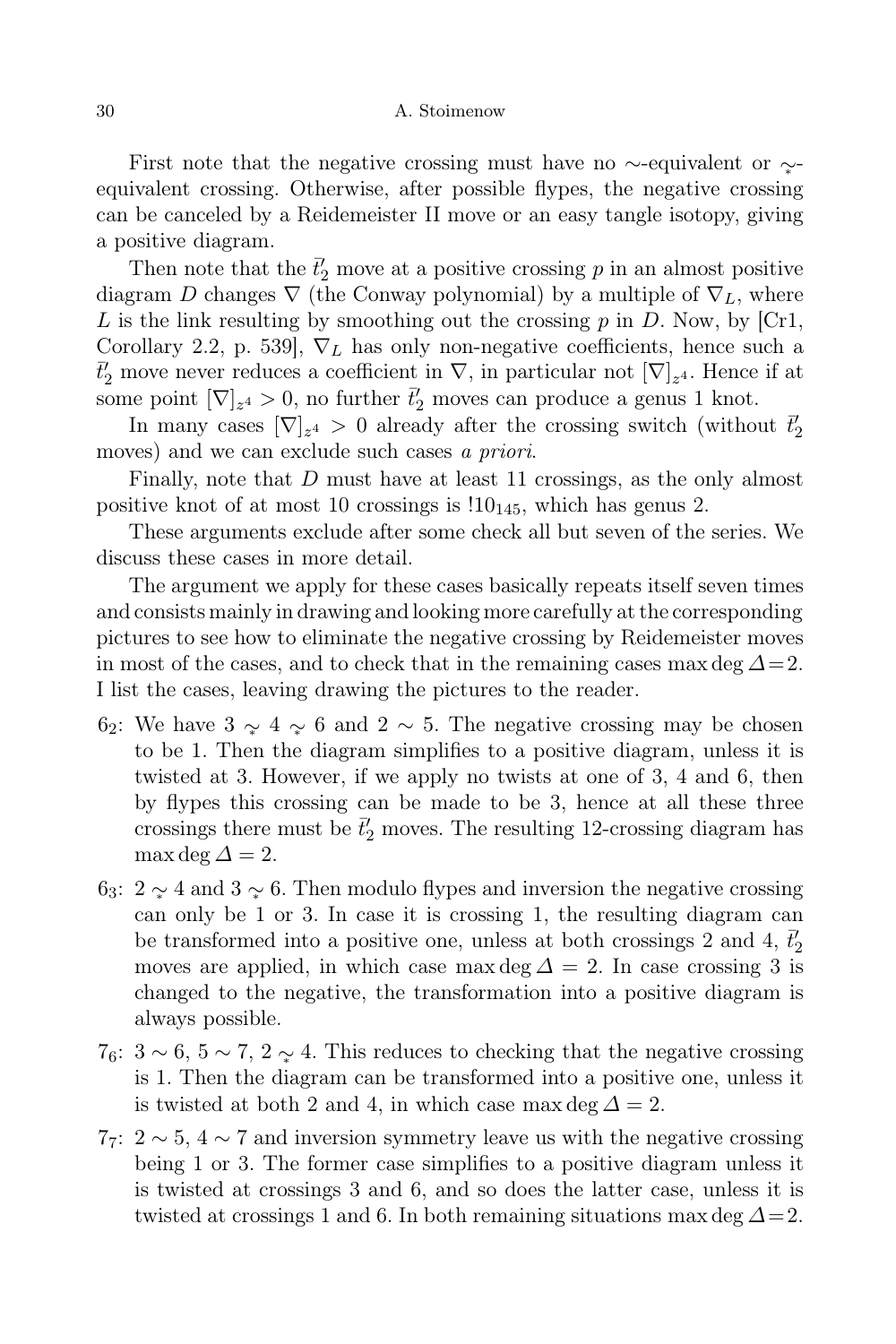First note that the negative crossing must have no ∼-equivalent or  $\sim$ equivalent crossing. Otherwise, after possible flypes, the negative crossing can be canceled by a Reidemeister II move or an easy tangle isotopy, giving a positive diagram.

Then note that the  $\bar{t}'_2$  move at a positive crossing p in an almost positive diagram D changes  $\nabla$  (the Conway polynomial) by a multiple of  $\nabla_L$ , where L is the link resulting by smoothing out the crossing  $p$  in D. Now, by [Cr1, Corollary 2.2, p. 539],  $\nabla_L$  has only non-negative coefficients, hence such a  $\bar{t}'_2$  move never reduces a coefficient in  $\nabla$ , in particular not  $[\nabla]_{z^4}$ . Hence if at some point  $[\nabla]_{z^4} > 0$ , no further  $\vec{t}'_2$  moves can produce a genus 1 knot.

In many cases  $[\nabla]_{z^4} > 0$  already after the crossing switch (without  $\vec{t}'_2$ moves) and we can exclude such cases a priori.

Finally, note that D must have at least 11 crossings, as the only almost positive knot of at most 10 crossings is  $10_{145}$ , which has genus 2.

These arguments exclude after some check all but seven of the series. We discuss these cases in more detail.

The argument we apply for these cases basically repeats itself seven times and consists mainly in drawing and looking more carefully at the corresponding pictures to see how to eliminate the negative crossing by Reidemeister moves in most of the cases, and to check that in the remaining cases max deg  $\Delta=2$ . I list the cases, leaving drawing the pictures to the reader.

- 62: We have  $3 \sim 4 \sim 6$  and  $2 \sim 5$ . The negative crossing may be chosen to be 1. Then the diagram simplifies to a positive diagram, unless it is twisted at 3. However, if we apply no twists at one of 3, 4 and 6, then by flypes this crossing can be made to be 3, hence at all these three crossings there must be  $\bar{t}'_2$  moves. The resulting 12-crossing diagram has  $\max$  deg  $\Delta = 2$ .
- 63: 2 ∼ 4 and 3 ∼ 6. Then modulo flypes and inversion the negative crossing can only be 1 or 3. In case it is crossing 1, the resulting diagram can be transformed into a positive one, unless at both crossings 2 and 4,  $\bar{t}'_2$ moves are applied, in which case max deg  $\Delta = 2$ . In case crossing 3 is changed to the negative, the transformation into a positive diagram is always possible.
- 7<sub>6</sub>:  $3 \sim 6$ ,  $5 \sim 7$ ,  $2 \sim 4$ . This reduces to checking that the negative crossing is 1. Then the diagram can be transformed into a positive one, unless it is twisted at both 2 and 4, in which case max deg  $\Delta = 2$ .
- $77: 2 \sim 5, 4 \sim 7$  and inversion symmetry leave us with the negative crossing being 1 or 3. The former case simplifies to a positive diagram unless it is twisted at crossings 3 and 6, and so does the latter case, unless it is twisted at crossings 1 and 6. In both remaining situations max deg  $\Delta = 2$ .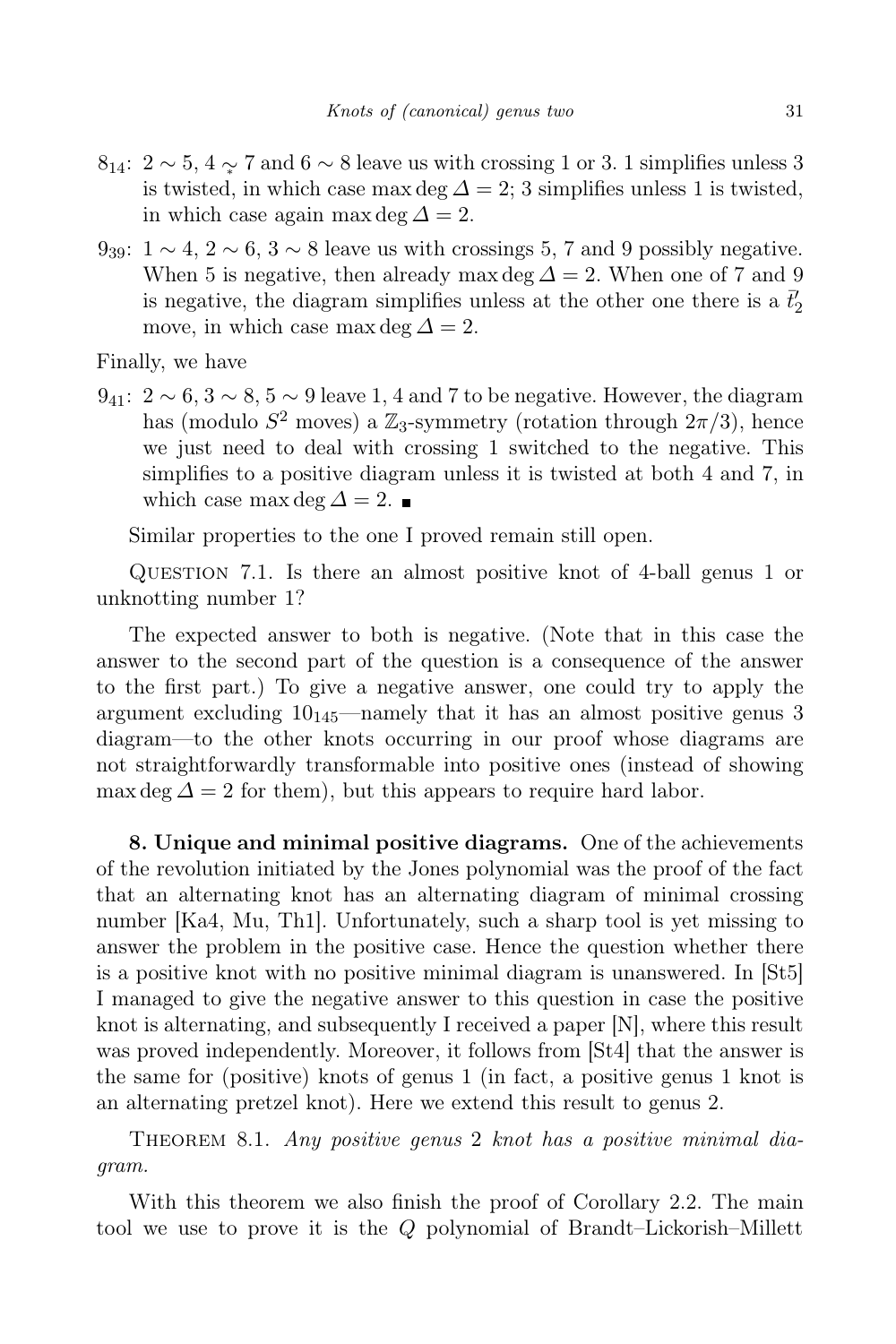- $8_{14}$ :  $2 \sim 5$ ,  $4 \sim 7$  and  $6 \sim 8$  leave us with crossing 1 or 3. 1 simplifies unless 3 is twisted, in which case max deg  $\Delta = 2$ ; 3 simplifies unless 1 is twisted, in which case again max deg  $\Delta = 2$ .
- $9_{39}$ :  $1 \sim 4$ ,  $2 \sim 6$ ,  $3 \sim 8$  leave us with crossings 5, 7 and 9 possibly negative. When 5 is negative, then already max deg  $\Delta = 2$ . When one of 7 and 9 is negative, the diagram simplifies unless at the other one there is a  $\bar t'_2$ move, in which case max deg  $\Delta = 2$ .

Finally, we have

 $9_{41}: 2 \sim 6, 3 \sim 8, 5 \sim 9$  leave 1, 4 and 7 to be negative. However, the diagram has (modulo  $S^2$  moves) a  $\mathbb{Z}_3$ -symmetry (rotation through  $2\pi/3$ ), hence we just need to deal with crossing 1 switched to the negative. This simplifies to a positive diagram unless it is twisted at both 4 and 7, in which case max deg  $\Delta = 2$ . ■

Similar properties to the one I proved remain still open.

Question 7.1. Is there an almost positive knot of 4-ball genus 1 or unknotting number 1?

The expected answer to both is negative. (Note that in this case the answer to the second part of the question is a consequence of the answer to the first part.) To give a negative answer, one could try to apply the argument excluding  $10_{145}$ —namely that it has an almost positive genus 3 diagram—to the other knots occurring in our proof whose diagrams are not straightforwardly transformable into positive ones (instead of showing max deg  $\Delta = 2$  for them), but this appears to require hard labor.

8. Unique and minimal positive diagrams. One of the achievements of the revolution initiated by the Jones polynomial was the proof of the fact that an alternating knot has an alternating diagram of minimal crossing number [Ka4, Mu, Th1]. Unfortunately, such a sharp tool is yet missing to answer the problem in the positive case. Hence the question whether there is a positive knot with no positive minimal diagram is unanswered. In [St5] I managed to give the negative answer to this question in case the positive knot is alternating, and subsequently I received a paper [N], where this result was proved independently. Moreover, it follows from [St4] that the answer is the same for (positive) knots of genus 1 (in fact, a positive genus 1 knot is an alternating pretzel knot). Here we extend this result to genus 2.

THEOREM 8.1. Any positive genus 2 knot has a positive minimal diagram.

With this theorem we also finish the proof of Corollary 2.2. The main tool we use to prove it is the Q polynomial of Brandt–Lickorish–Millett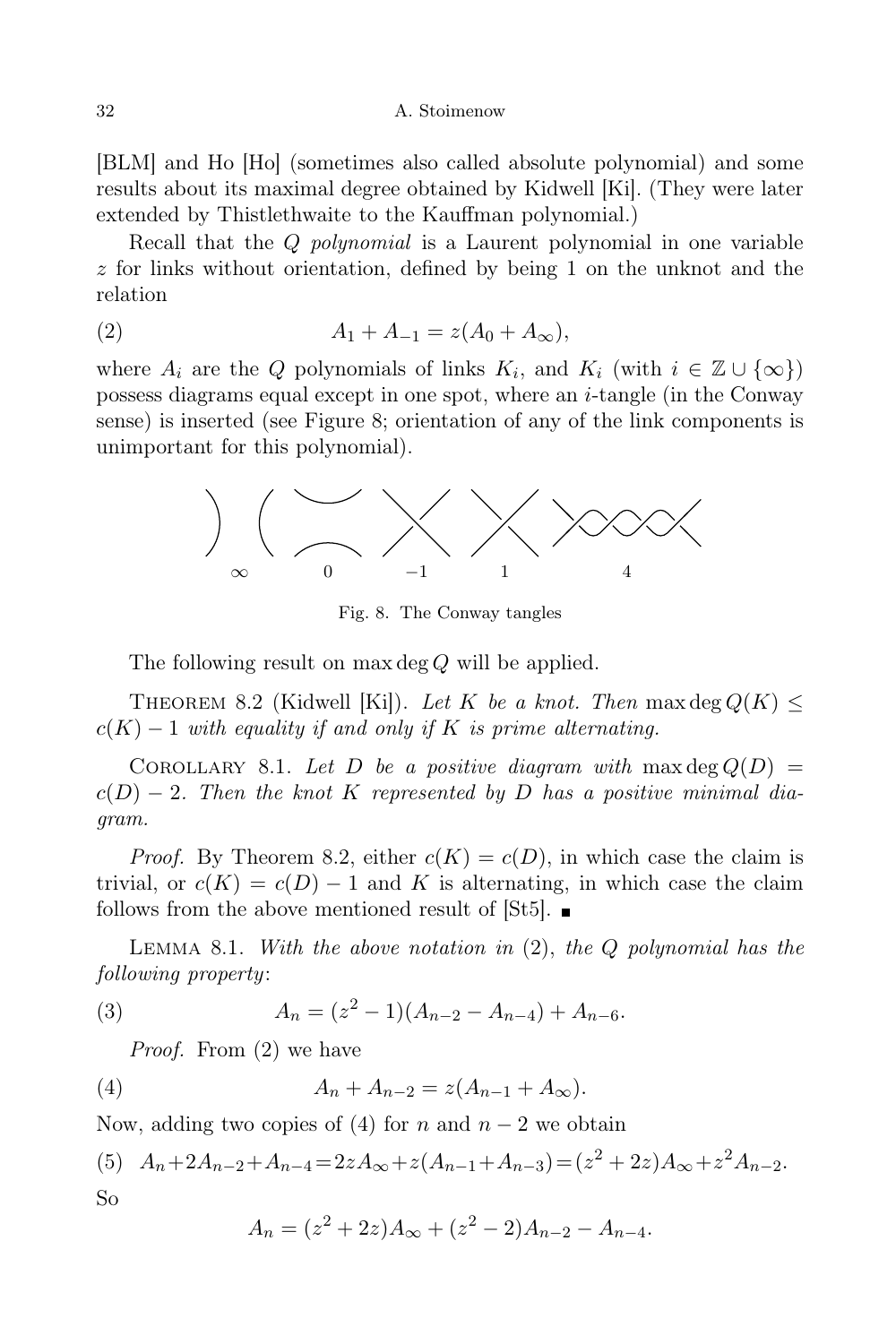[BLM] and Ho [Ho] (sometimes also called absolute polynomial) and some results about its maximal degree obtained by Kidwell [Ki]. (They were later extended by Thistlethwaite to the Kauffman polynomial.)

Recall that the Q *polynomial* is a Laurent polynomial in one variable z for links without orientation, defined by being 1 on the unknot and the relation

(2) 
$$
A_1 + A_{-1} = z(A_0 + A_{\infty}),
$$

where  $A_i$  are the Q polynomials of links  $K_i$ , and  $K_i$  (with  $i \in \mathbb{Z} \cup \{\infty\}$ ) possess diagrams equal except in one spot, where an i-tangle (in the Conway sense) is inserted (see Figure 8; orientation of any of the link components is unimportant for this polynomial).



Fig. 8. The Conway tangles

The following result on max deg Q will be applied.

THEOREM 8.2 (Kidwell [Ki]). Let K be a knot. Then max deg  $Q(K) \leq$  $c(K) - 1$  with equality if and only if K is prime alternating.

COROLLARY 8.1. Let D be a positive diagram with max deg  $Q(D)$  =  $c(D) - 2$ . Then the knot K represented by D has a positive minimal diagram.

*Proof.* By Theorem 8.2, either  $c(K) = c(D)$ , in which case the claim is trivial, or  $c(K) = c(D) - 1$  and K is alternating, in which case the claim follows from the above mentioned result of  $[St5]$ .

LEMMA 8.1. With the above notation in  $(2)$ , the Q polynomial has the following property:

(3) 
$$
A_n = (z^2 - 1)(A_{n-2} - A_{n-4}) + A_{n-6}.
$$

Proof. From (2) we have

(4) 
$$
A_n + A_{n-2} = z(A_{n-1} + A_{\infty}).
$$

Now, adding two copies of (4) for n and  $n-2$  we obtain

(5) 
$$
A_n + 2A_{n-2} + A_{n-4} = 2zA_{\infty} + z(A_{n-1} + A_{n-3}) = (z^2 + 2z)A_{\infty} + z^2A_{n-2}.
$$
  
So

$$
A_n = (z^2 + 2z)A_{\infty} + (z^2 - 2)A_{n-2} - A_{n-4}.
$$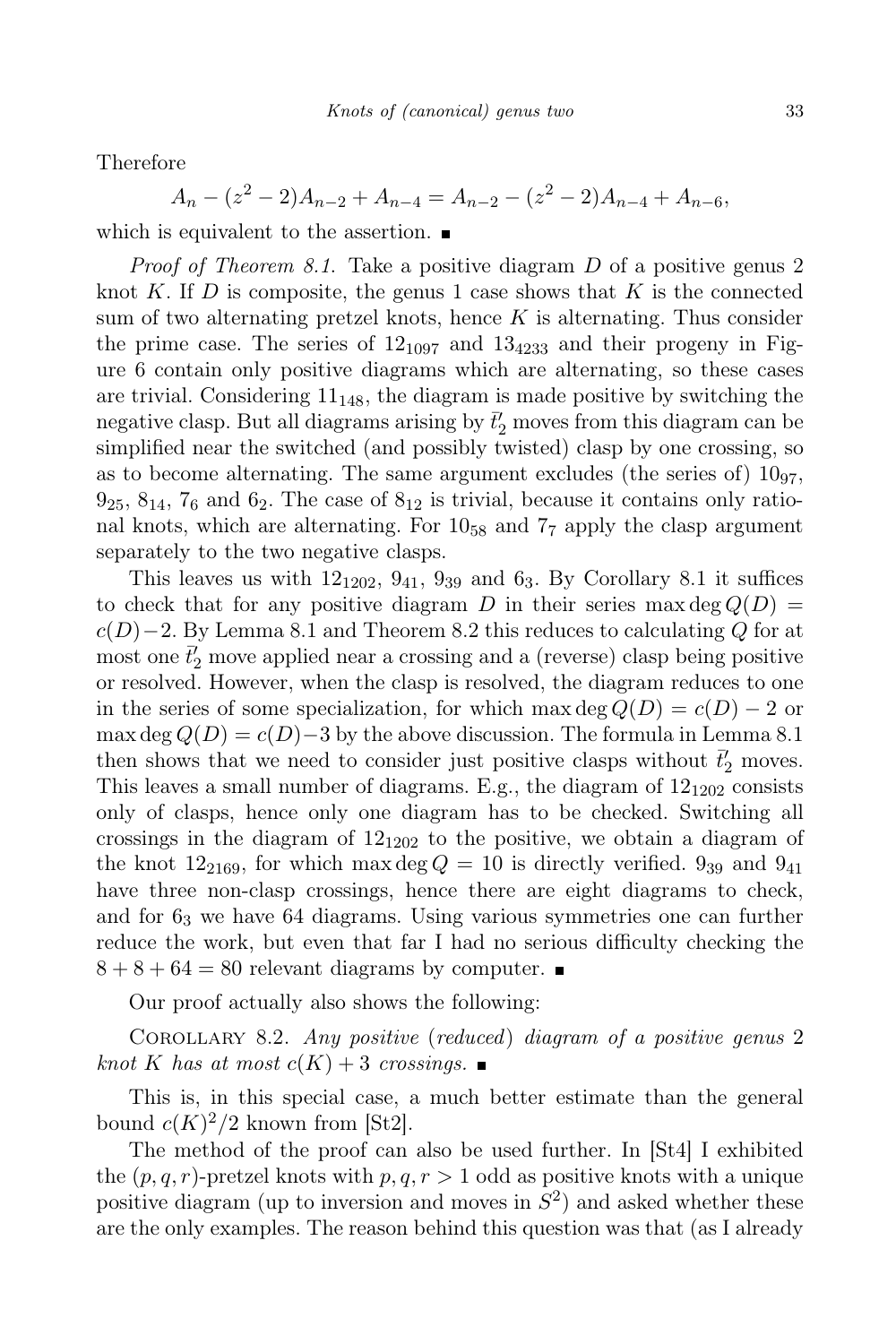Therefore

$$
A_n - (z^2 - 2)A_{n-2} + A_{n-4} = A_{n-2} - (z^2 - 2)A_{n-4} + A_{n-6},
$$

which is equivalent to the assertion.  $\blacksquare$ 

Proof of Theorem 8.1. Take a positive diagram D of a positive genus 2 knot K. If D is composite, the genus 1 case shows that K is the connected sum of two alternating pretzel knots, hence  $K$  is alternating. Thus consider the prime case. The series of  $12_{1097}$  and  $13_{4233}$  and their progeny in Figure 6 contain only positive diagrams which are alternating, so these cases are trivial. Considering  $11_{148}$ , the diagram is made positive by switching the negative clasp. But all diagrams arising by  $\bar{t}'_2$  moves from this diagram can be simplified near the switched (and possibly twisted) clasp by one crossing, so as to become alternating. The same argument excludes (the series of)  $10_{97}$ ,  $9_{25}$ ,  $8_{14}$ ,  $7_6$  and  $6_2$ . The case of  $8_{12}$  is trivial, because it contains only rational knots, which are alternating. For 10<sup>58</sup> and 7<sup>7</sup> apply the clasp argument separately to the two negative clasps.

This leaves us with  $12_{1202}$ ,  $9_{41}$ ,  $9_{39}$  and  $6_3$ . By Corollary 8.1 it suffices to check that for any positive diagram D in their series max deg  $Q(D)$  =  $c(D)-2$ . By Lemma 8.1 and Theorem 8.2 this reduces to calculating Q for at most one  $\bar{t}'_2$  move applied near a crossing and a (reverse) clasp being positive or resolved. However, when the clasp is resolved, the diagram reduces to one in the series of some specialization, for which max deg  $Q(D) = c(D) - 2$  or max deg  $Q(D) = c(D) - 3$  by the above discussion. The formula in Lemma 8.1 then shows that we need to consider just positive clasps without  $\bar{t}'_2$  moves. This leaves a small number of diagrams. E.g., the diagram of  $12_{1202}$  consists only of clasps, hence only one diagram has to be checked. Switching all crossings in the diagram of  $12_{1202}$  to the positive, we obtain a diagram of the knot  $12_{2169}$ , for which max deg  $Q = 10$  is directly verified.  $9_{39}$  and  $9_{41}$ have three non-clasp crossings, hence there are eight diagrams to check, and for  $6<sub>3</sub>$  we have 64 diagrams. Using various symmetries one can further reduce the work, but even that far I had no serious difficulty checking the  $8 + 8 + 64 = 80$  relevant diagrams by computer.

Our proof actually also shows the following:

Corollary 8.2. Any positive (reduced) diagram of a positive genus 2 knot K has at most  $c(K) + 3$  crossings.

This is, in this special case, a much better estimate than the general bound  $c(K)^2/2$  known from [St2].

The method of the proof can also be used further. In [St4] I exhibited the  $(p, q, r)$ -pretzel knots with  $p, q, r > 1$  odd as positive knots with a unique positive diagram (up to inversion and moves in  $S<sup>2</sup>$ ) and asked whether these are the only examples. The reason behind this question was that (as I already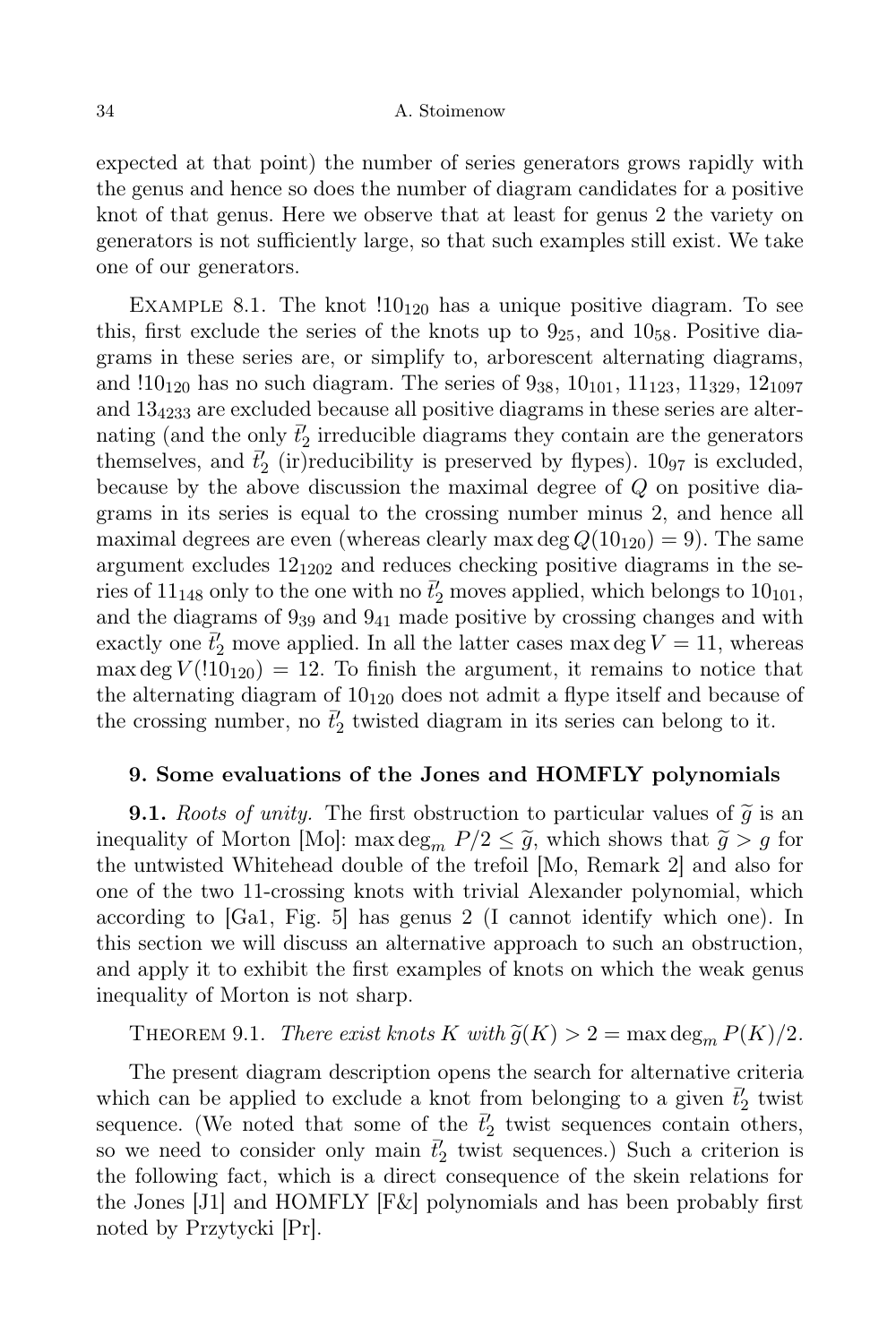expected at that point) the number of series generators grows rapidly with the genus and hence so does the number of diagram candidates for a positive knot of that genus. Here we observe that at least for genus 2 the variety on generators is not sufficiently large, so that such examples still exist. We take one of our generators.

EXAMPLE 8.1. The knot  $10_{120}$  has a unique positive diagram. To see this, first exclude the series of the knots up to  $9_{25}$ , and  $10_{58}$ . Positive diagrams in these series are, or simplify to, arborescent alternating diagrams, and  $10_{120}$  has no such diagram. The series of  $9_{38}$ ,  $10_{101}$ ,  $11_{123}$ ,  $11_{329}$ ,  $12_{1097}$ and 13<sup>4233</sup> are excluded because all positive diagrams in these series are alternating (and the only  $\vec{t}'_2$  irreducible diagrams they contain are the generators themselves, and  $\bar{t}'_2$  (ir)reducibility is preserved by flypes).  $10_{97}$  is excluded, because by the above discussion the maximal degree of Q on positive diagrams in its series is equal to the crossing number minus 2, and hence all maximal degrees are even (whereas clearly max deg  $Q(10_{120}) = 9$ ). The same argument excludes  $12_{1202}$  and reduces checking positive diagrams in the series of  $11_{148}$  only to the one with no  $\bar{t}'_2$  moves applied, which belongs to  $10_{101}$ , and the diagrams of 9<sup>39</sup> and 9<sup>41</sup> made positive by crossing changes and with exactly one  $\bar{t}'_2$  move applied. In all the latter cases max deg  $V = 11$ , whereas max deg  $V(110_{120}) = 12$ . To finish the argument, it remains to notice that the alternating diagram of  $10_{120}$  does not admit a flype itself and because of the crossing number, no  $\bar{t}'_2$  twisted diagram in its series can belong to it.

# 9. Some evaluations of the Jones and HOMFLY polynomials

**9.1.** Roots of unity. The first obstruction to particular values of  $\tilde{q}$  is an inequality of Morton [Mo]: max deg<sub>m</sub>  $P/2 \leq \tilde{g}$ , which shows that  $\tilde{g} > g$  for the untwisted Whitehead double of the trefoil [Mo, Remark 2] and also for one of the two 11-crossing knots with trivial Alexander polynomial, which according to [Ga1, Fig. 5] has genus 2 (I cannot identify which one). In this section we will discuss an alternative approach to such an obstruction, and apply it to exhibit the first examples of knots on which the weak genus inequality of Morton is not sharp.

THEOREM 9.1. There exist knots K with  $\tilde{g}(K) > 2 = \max \deg_m P(K)/2$ .

The present diagram description opens the search for alternative criteria which can be applied to exclude a knot from belonging to a given  $\bar{t}'_2$  twist sequence. (We noted that some of the  $\bar{t}'_2$  twist sequences contain others, so we need to consider only main  $\bar{t}'_2$  twist sequences.) Such a criterion is the following fact, which is a direct consequence of the skein relations for the Jones [J1] and HOMFLY [F&] polynomials and has been probably first noted by Przytycki [Pr].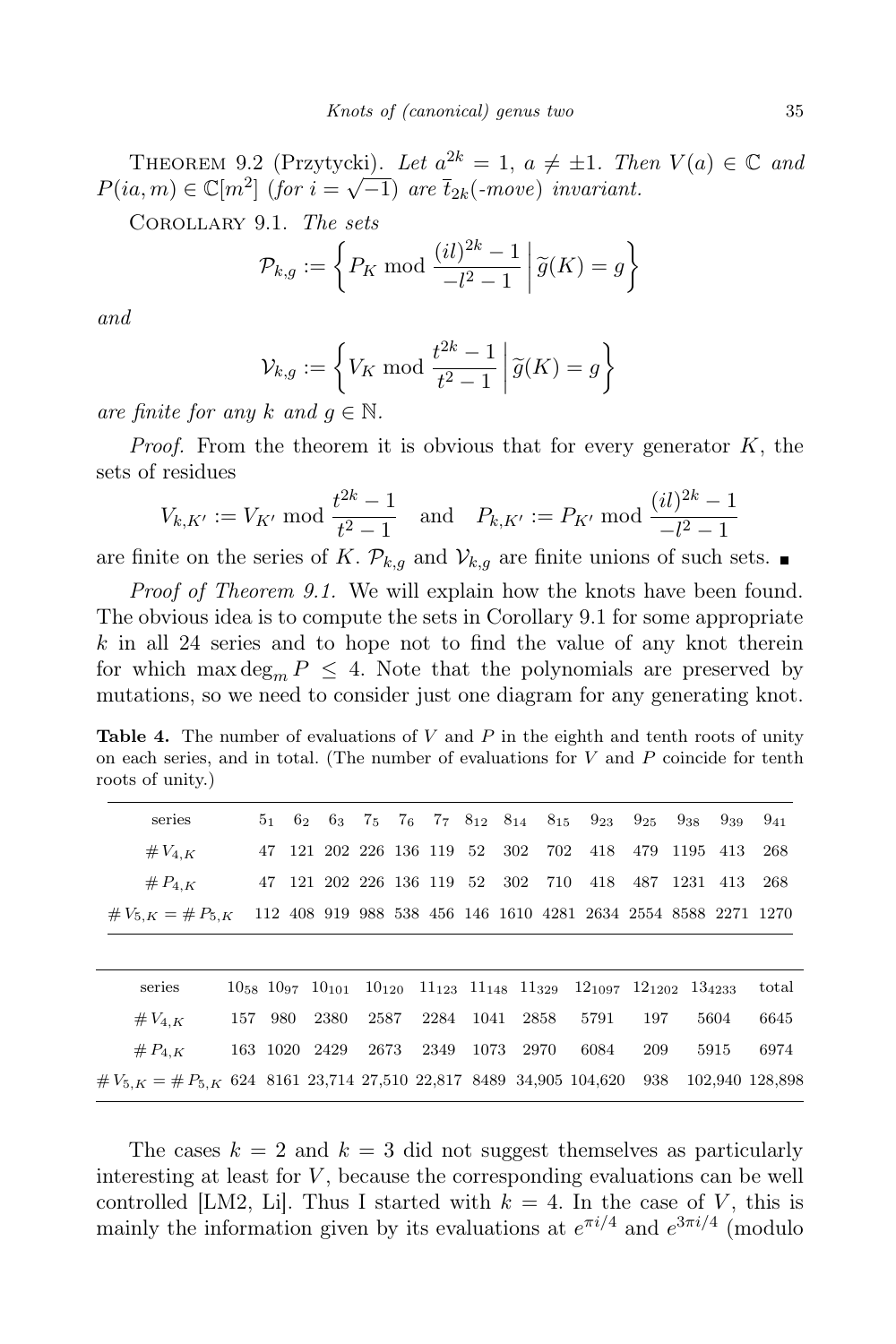THEOREM 9.2 (Przytycki). Let  $a^2^k = 1$ ,  $a \neq \pm 1$ . Then  $V(a) \in \mathbb{C}$  and  $P(ia, m) \in \mathbb{C}[m^2]$  (for  $i = \sqrt{-1}$ ) are  $\overline{t}_{2k}$ (-move) invariant.

Corollary 9.1. The sets

$$
\mathcal{P}_{k,g} := \left\{ P_K \bmod \frac{(il)^{2k} - 1}{-l^2 - 1} \middle| \widetilde{g}(K) = g \right\}
$$

and

$$
\mathcal{V}_{k,g} := \left\{ V_K \bmod \frac{t^{2k} - 1}{t^2 - 1} \middle| \widetilde{g}(K) = g \right\}
$$

are finite for any k and  $q \in \mathbb{N}$ .

*Proof.* From the theorem it is obvious that for every generator  $K$ , the sets of residues

$$
V_{k,K'} := V_{K'} \bmod \frac{t^{2k} - 1}{t^2 - 1} \quad \text{and} \quad P_{k,K'} := P_{K'} \bmod \frac{(il)^{2k} - 1}{-l^2 - 1}
$$

are finite on the series of K.  $\mathcal{P}_{k,q}$  and  $\mathcal{V}_{k,q}$  are finite unions of such sets.

Proof of Theorem 9.1. We will explain how the knots have been found. The obvious idea is to compute the sets in Corollary 9.1 for some appropriate  $k$  in all 24 series and to hope not to find the value of any knot therein for which max  $\deg_m P \leq 4$ . Note that the polynomials are preserved by mutations, so we need to consider just one diagram for any generating knot.

Table 4. The number of evaluations of  $V$  and  $P$  in the eighth and tenth roots of unity on each series, and in total. (The number of evaluations for  $V$  and  $P$  coincide for tenth roots of unity.)

| series                                                                    |         |               |                     |  | $5_1$ $6_2$ $6_3$ $7_5$ $7_6$ $7_7$ $8_{12}$ $8_{14}$ $8_{15}$ $9_{23}$ $9_{25}$ $9_{38}$ $9_{39}$             |     |      | $9_{41}$        |
|---------------------------------------------------------------------------|---------|---------------|---------------------|--|----------------------------------------------------------------------------------------------------------------|-----|------|-----------------|
| # $V_{4,K}$                                                               |         |               |                     |  | 47 121 202 226 136 119 52 302 702 418 479 1195 413                                                             |     |      | 268             |
| # $P_{4,K}$                                                               |         |               |                     |  | 47 121 202 226 136 119 52 302 710 418 487 1231 413 268                                                         |     |      |                 |
| $\#V_{5,K} = \#P_{5,K}$                                                   |         |               |                     |  | 112 408 919 988 538 456 146 1610 4281 2634 2554 8588 2271 1270                                                 |     |      |                 |
|                                                                           |         |               |                     |  |                                                                                                                |     |      |                 |
| series                                                                    |         |               |                     |  | $10_{58}$ $10_{97}$ $10_{101}$ $10_{120}$ $11_{123}$ $11_{148}$ $11_{329}$ $12_{1097}$ $12_{1202}$ $13_{4233}$ |     |      | total           |
| $\#V_{4,K}$                                                               | 157 980 | 2380          | 2587 2284 1041 2858 |  | 5791                                                                                                           | 197 | 5604 | 6645            |
| # $P_{4,K}$                                                               |         | 163 1020 2429 | 2673 2349 1073 2970 |  | 6084                                                                                                           | 209 | 5915 | 6974            |
| $\#V_{5,K} = \#P_{5,K}$ 624 8161 23,714 27,510 22,817 8489 34,905 104,620 |         |               |                     |  |                                                                                                                | 938 |      | 102,940 128,898 |

The cases  $k = 2$  and  $k = 3$  did not suggest themselves as particularly interesting at least for  $V$ , because the corresponding evaluations can be well controlled [LM2, Li]. Thus I started with  $k = 4$ . In the case of V, this is mainly the information given by its evaluations at  $e^{\pi i/4}$  and  $e^{3\pi i/4}$  (modulo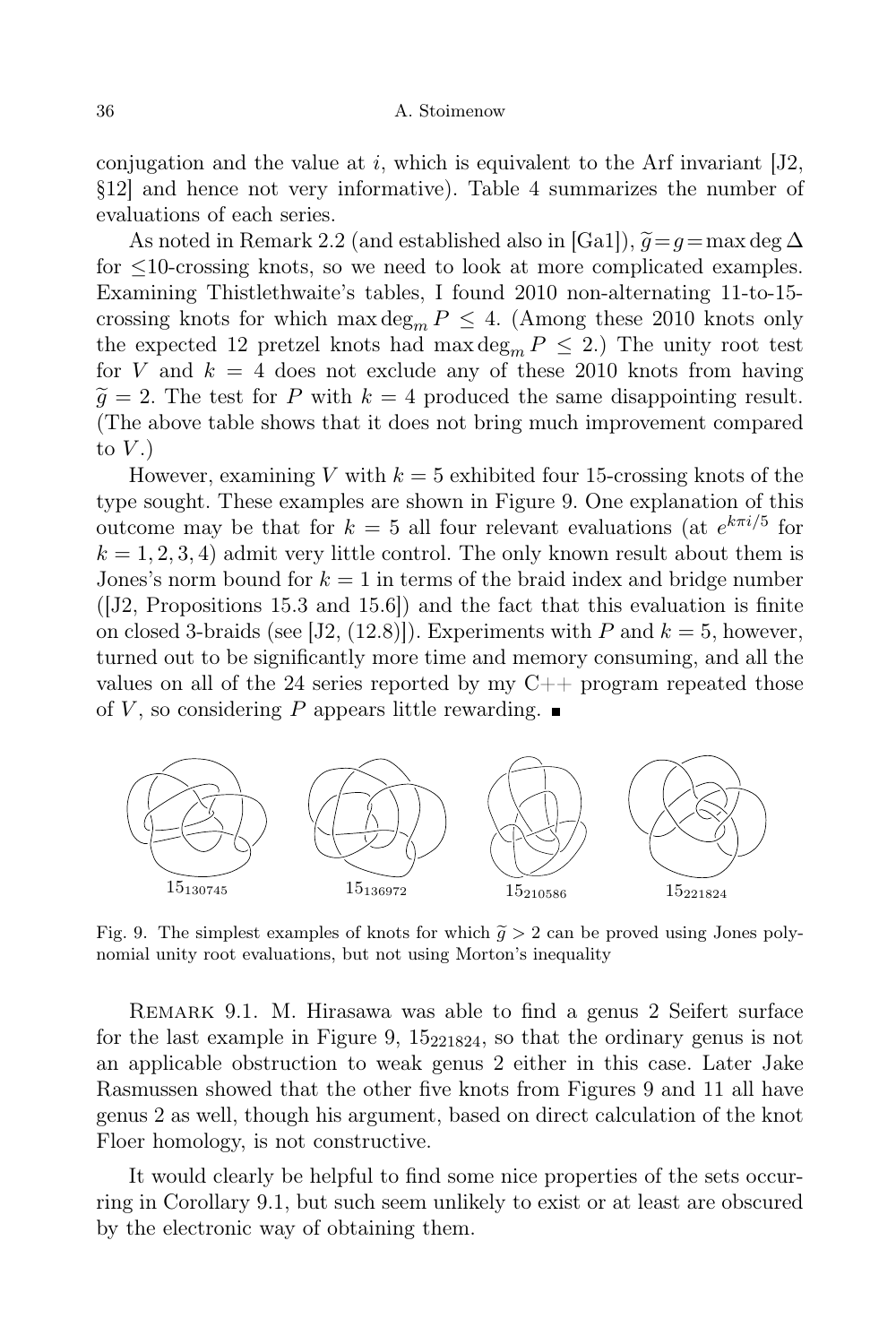conjugation and the value at  $i$ , which is equivalent to the Arf invariant  $[J2,$ §12] and hence not very informative). Table 4 summarizes the number of evaluations of each series.

As noted in Remark 2.2 (and established also in [Ga1]),  $\tilde{g}=g=\max \deg \Delta$ for ≤10-crossing knots, so we need to look at more complicated examples. Examining Thistlethwaite's tables, I found 2010 non-alternating 11-to-15 crossing knots for which max  $\deg_m P \leq 4$ . (Among these 2010 knots only the expected 12 pretzel knots had max  $\deg_m P \leq 2$ .) The unity root test for V and  $k = 4$  does not exclude any of these 2010 knots from having  $\tilde{q} = 2$ . The test for P with  $k = 4$  produced the same disappointing result. (The above table shows that it does not bring much improvement compared to  $V.$ )

However, examining V with  $k = 5$  exhibited four 15-crossing knots of the type sought. These examples are shown in Figure 9. One explanation of this outcome may be that for  $k = 5$  all four relevant evaluations (at  $e^{k\pi i/5}$  for  $k = 1, 2, 3, 4$ ) admit very little control. The only known result about them is Jones's norm bound for  $k = 1$  in terms of the braid index and bridge number  $([J2, Propositions 15.3 and 15.6])$  and the fact that this evaluation is finite on closed 3-braids (see [J2, (12.8)]). Experiments with P and  $k = 5$ , however, turned out to be significantly more time and memory consuming, and all the values on all of the 24 series reported by my  $C_{++}$  program repeated those of V, so considering P appears little rewarding.  $\blacksquare$ 



Fig. 9. The simplest examples of knots for which  $\tilde{g} > 2$  can be proved using Jones polynomial unity root evaluations, but not using Morton's inequality

Remark 9.1. M. Hirasawa was able to find a genus 2 Seifert surface for the last example in Figure 9,  $15_{221824}$ , so that the ordinary genus is not an applicable obstruction to weak genus 2 either in this case. Later Jake Rasmussen showed that the other five knots from Figures 9 and 11 all have genus 2 as well, though his argument, based on direct calculation of the knot Floer homology, is not constructive.

It would clearly be helpful to find some nice properties of the sets occurring in Corollary 9.1, but such seem unlikely to exist or at least are obscured by the electronic way of obtaining them.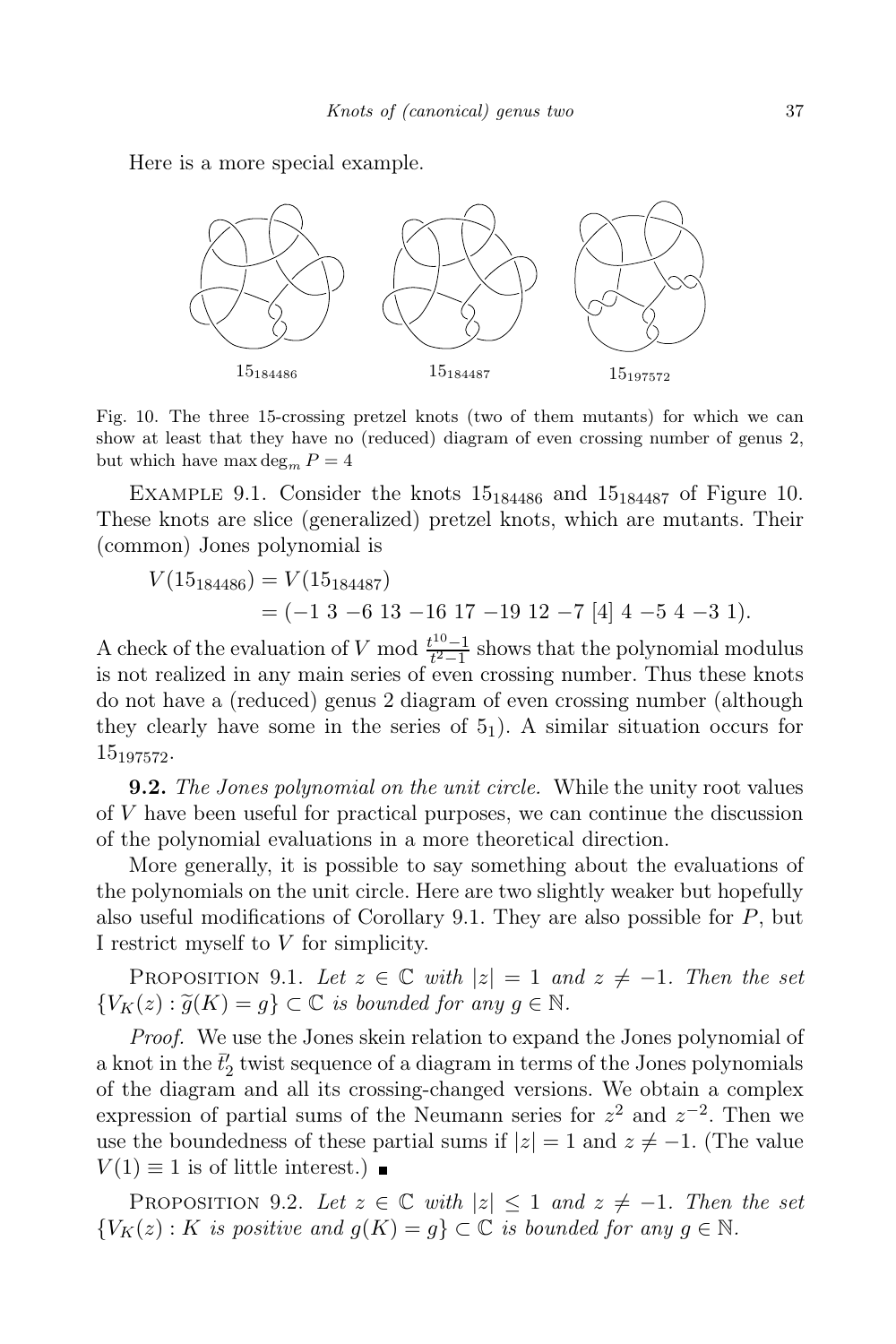Here is a more special example.



Fig. 10. The three 15-crossing pretzel knots (two of them mutants) for which we can show at least that they have no (reduced) diagram of even crossing number of genus 2, but which have max  $\deg_m P = 4$ 

EXAMPLE 9.1. Consider the knots  $15_{184486}$  and  $15_{184487}$  of Figure 10. These knots are slice (generalized) pretzel knots, which are mutants. Their (common) Jones polynomial is

$$
V(15_{184486}) = V(15_{184487})
$$
  
= (-1 3 -6 13 -16 17 -19 12 -7 [4] 4 -5 4 -3 1).

A check of the evaluation of V mod  $\frac{t^{10}-1}{t^2-1}$  $t^{\frac{10}{2}-1}$  shows that the polynomial modulus is not realized in any main series of even crossing number. Thus these knots do not have a (reduced) genus 2 diagram of even crossing number (although they clearly have some in the series of  $5<sub>1</sub>$ ). A similar situation occurs for 15197572.

**9.2.** The Jones polynomial on the unit circle. While the unity root values of  $V$  have been useful for practical purposes, we can continue the discussion of the polynomial evaluations in a more theoretical direction.

More generally, it is possible to say something about the evaluations of the polynomials on the unit circle. Here are two slightly weaker but hopefully also useful modifications of Corollary 9.1. They are also possible for  $P$ , but I restrict myself to V for simplicity.

PROPOSITION 9.1. Let  $z \in \mathbb{C}$  with  $|z| = 1$  and  $z \neq -1$ . Then the set  ${V_K(z) : \tilde{g}(K) = g} \subset \mathbb{C}$  is bounded for any  $g \in \mathbb{N}$ .

Proof. We use the Jones skein relation to expand the Jones polynomial of a knot in the  $\bar{t}'_2$  twist sequence of a diagram in terms of the Jones polynomials of the diagram and all its crossing-changed versions. We obtain a complex expression of partial sums of the Neumann series for  $z^2$  and  $z^{-2}$ . Then we use the boundedness of these partial sums if  $|z|=1$  and  $z \neq -1$ . (The value  $V(1) \equiv 1$  is of little interest.)  $\blacksquare$ 

PROPOSITION 9.2. Let  $z \in \mathbb{C}$  with  $|z| \leq 1$  and  $z \neq -1$ . Then the set  ${V_K(z) : K \text{ is positive and } g(K) = q} \subset \mathbb{C}$  is bounded for any  $q \in \mathbb{N}$ .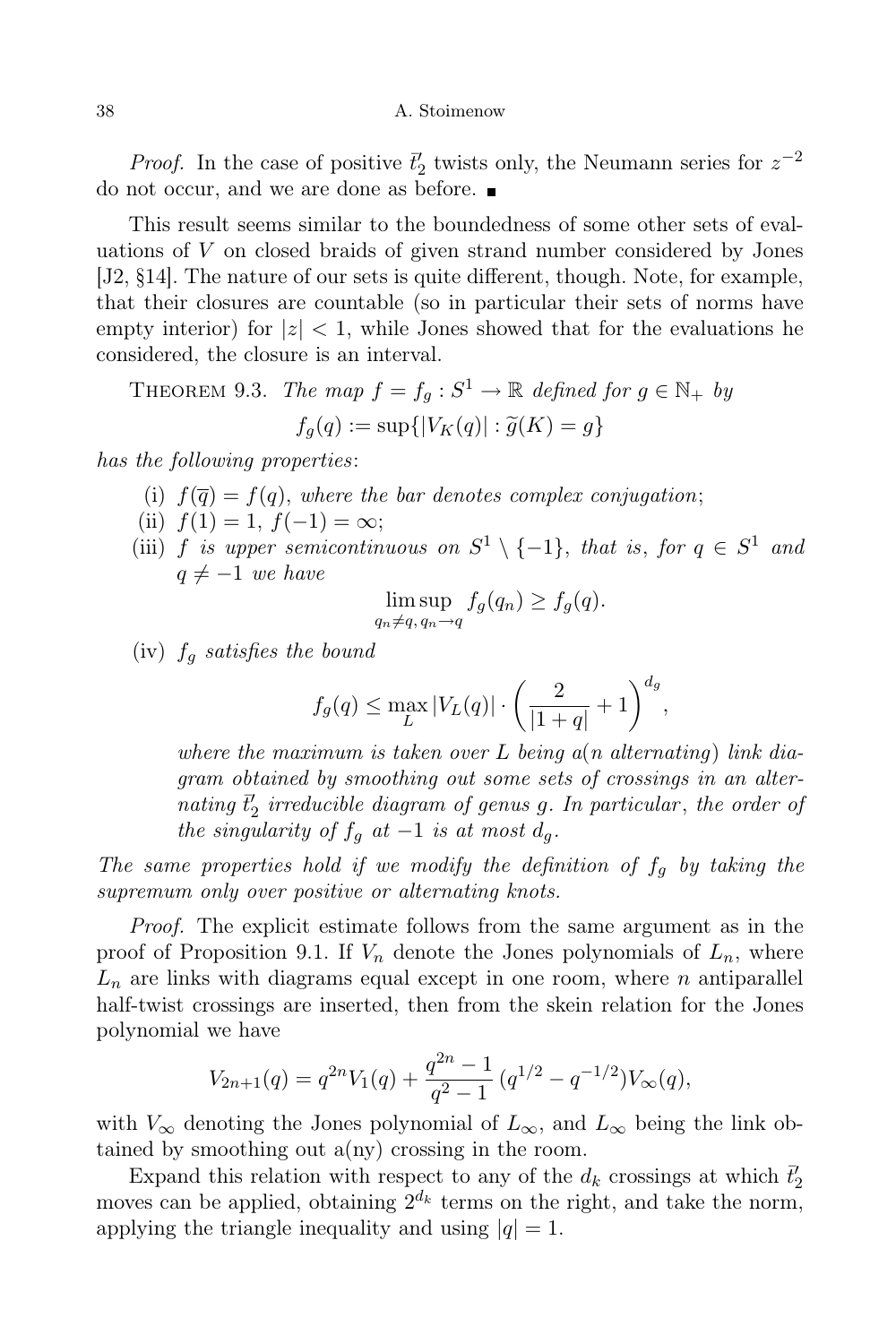*Proof.* In the case of positive  $\vec{t}'_2$  twists only, the Neumann series for  $z^{-2}$ do not occur, and we are done as before.

This result seems similar to the boundedness of some other sets of evaluations of V on closed braids of given strand number considered by Jones [J2, §14]. The nature of our sets is quite different, though. Note, for example, that their closures are countable (so in particular their sets of norms have empty interior) for  $|z| < 1$ , while Jones showed that for the evaluations he considered, the closure is an interval.

THEOREM 9.3. The map  $f = f_g : S^1 \to \mathbb{R}$  defined for  $g \in \mathbb{N}_+$  by  $f_q(q) := \sup\{|V_K(q)| : \widetilde{g}(K) = q\}$ 

has the following properties:

- (i)  $f(\overline{q}) = f(q)$ , where the bar denotes complex conjugation;
- (ii)  $f(1) = 1, f(-1) = \infty;$
- (iii) f is upper semicontinuous on  $S^1 \setminus \{-1\}$ , that is, for  $q \in S^1$  and  $q \neq -1$  we have

$$
\limsup_{q_n \neq q, q_n \to q} f_g(q_n) \geq f_g(q).
$$

(iv)  $f_q$  satisfies the bound

$$
f_g(q) \le \max_{L} |V_L(q)| \cdot \left(\frac{2}{|1+q|} + 1\right)^{d_g},
$$

where the maximum is taken over L being  $a(n$  alternating) link diagram obtained by smoothing out some sets of crossings in an alternating  $\bar{t}'_2$  irreducible diagram of genus g. In particular, the order of the singularity of  $f_q$  at  $-1$  is at most  $d_q$ .

The same properties hold if we modify the definition of  $f<sub>g</sub>$  by taking the supremum only over positive or alternating knots.

Proof. The explicit estimate follows from the same argument as in the proof of Proposition 9.1. If  $V_n$  denote the Jones polynomials of  $L_n$ , where  $L_n$  are links with diagrams equal except in one room, where n antiparallel half-twist crossings are inserted, then from the skein relation for the Jones polynomial we have

$$
V_{2n+1}(q) = q^{2n}V_1(q) + \frac{q^{2n} - 1}{q^2 - 1} (q^{1/2} - q^{-1/2})V_{\infty}(q),
$$

with  $V_{\infty}$  denoting the Jones polynomial of  $L_{\infty}$ , and  $L_{\infty}$  being the link obtained by smoothing out  $a(ny)$  crossing in the room.

Expand this relation with respect to any of the  $d_k$  crossings at which  $\bar{t}'_2$ moves can be applied, obtaining  $2^{d_k}$  terms on the right, and take the norm, applying the triangle inequality and using  $|q| = 1$ .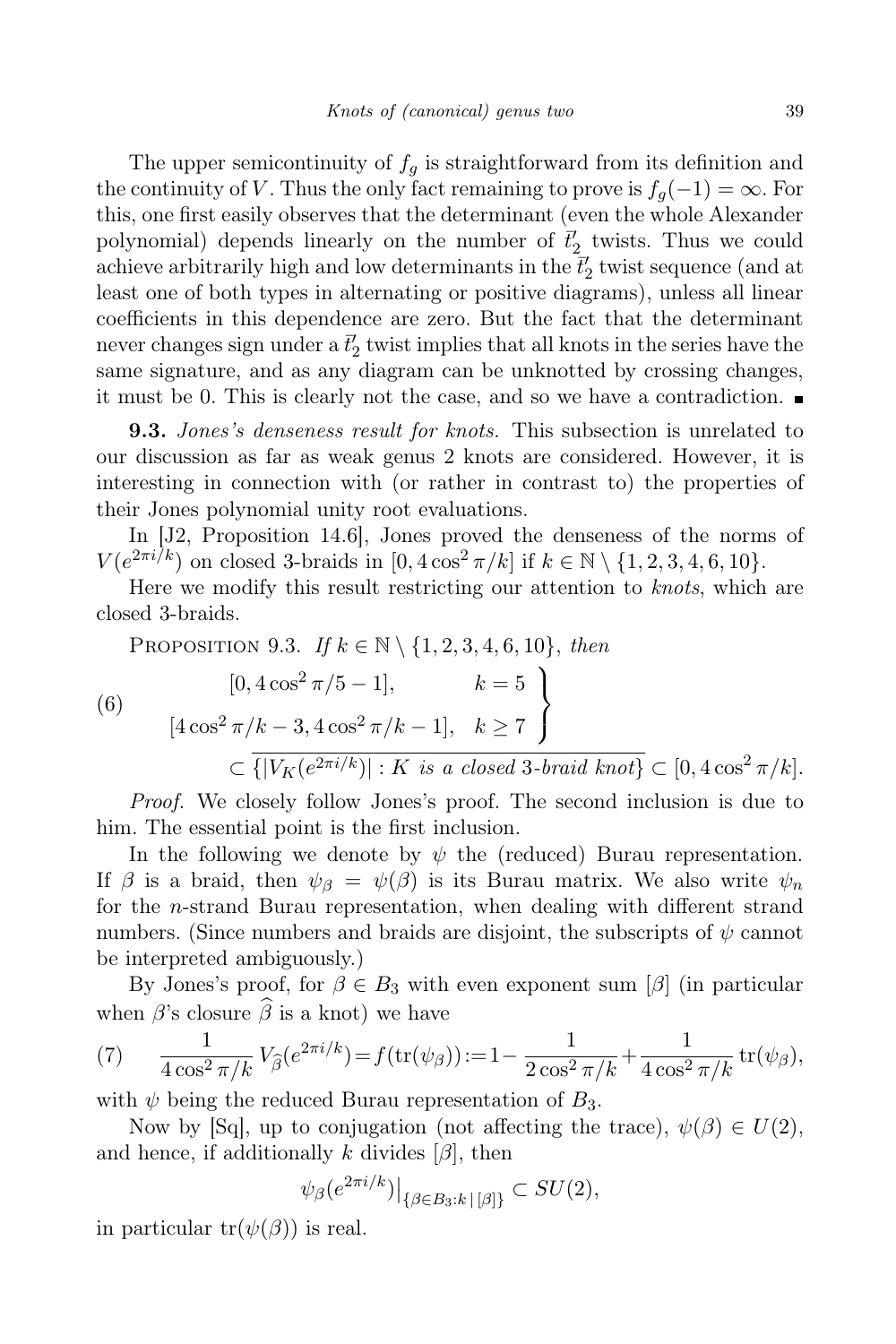The upper semicontinuity of  $f_q$  is straightforward from its definition and the continuity of V. Thus the only fact remaining to prove is  $f_q(-1) = \infty$ . For this, one first easily observes that the determinant (even the whole Alexander polynomial) depends linearly on the number of  $\vec{t}'_2$  twists. Thus we could achieve arbitrarily high and low determinants in the  $\bar{t}'_2$  twist sequence (and at least one of both types in alternating or positive diagrams), unless all linear coefficients in this dependence are zero. But the fact that the determinant never changes sign under a  $\bar{t}'_2$  twist implies that all knots in the series have the same signature, and as any diagram can be unknotted by crossing changes, it must be 0. This is clearly not the case, and so we have a contradiction.

**9.3.** Jones's denseness result for knots. This subsection is unrelated to our discussion as far as weak genus 2 knots are considered. However, it is interesting in connection with (or rather in contrast to) the properties of their Jones polynomial unity root evaluations.

In [J2, Proposition 14.6], Jones proved the denseness of the norms of  $V(e^{2\pi i/k})$  on closed 3-braids in  $[0, 4\cos^2 \pi / k]$  if  $k \in \mathbb{N} \setminus \{1, 2, 3, 4, 6, 10\}.$ 

Here we modify this result restricting our attention to knots, which are closed 3-braids.

PROPOSITION 9.3. If  $k \in \mathbb{N} \setminus \{1, 2, 3, 4, 6, 10\}$ , then

(6)  
\n
$$
\left[0, 4\cos^2 \pi/5 - 1\right], \quad k = 5
$$
\n
$$
\left[4\cos^2 \pi/k - 3, 4\cos^2 \pi/k - 1\right], \quad k \ge 7
$$
\n
$$
\subset \overline{\{|V_K(e^{2\pi i/k})| : K \text{ is a closed 3-braid knot}\}} \subset [0, 4\cos^2 \pi/k].
$$

Proof. We closely follow Jones's proof. The second inclusion is due to him. The essential point is the first inclusion.

In the following we denote by  $\psi$  the (reduced) Burau representation. If  $\beta$  is a braid, then  $\psi_{\beta} = \psi(\beta)$  is its Burau matrix. We also write  $\psi_n$ for the n-strand Burau representation, when dealing with different strand numbers. (Since numbers and braids are disjoint, the subscripts of  $\psi$  cannot be interpreted ambiguously.)

By Jones's proof, for  $\beta \in B_3$  with even exponent sum  $[\beta]$  (in particular when  $\beta$ 's closure  $\widehat{\beta}$  is a knot) we have

(7) 
$$
\frac{1}{4\cos^2 \pi/k} V_{\hat{\beta}}(e^{2\pi i/k}) = f(\text{tr}(\psi_{\beta})) := 1 - \frac{1}{2\cos^2 \pi/k} + \frac{1}{4\cos^2 \pi/k} \text{tr}(\psi_{\beta}),
$$

with  $\psi$  being the reduced Burau representation of  $B_3$ .

Now by [Sq], up to conjugation (not affecting the trace),  $\psi(\beta) \in U(2)$ , and hence, if additionally k divides  $[\beta]$ , then

$$
\psi_{\beta}(e^{2\pi i/k})\big|_{\{\beta\in B_3:k\,|\,[\beta]\}}\subset SU(2),
$$

in particular  $tr(\psi(\beta))$  is real.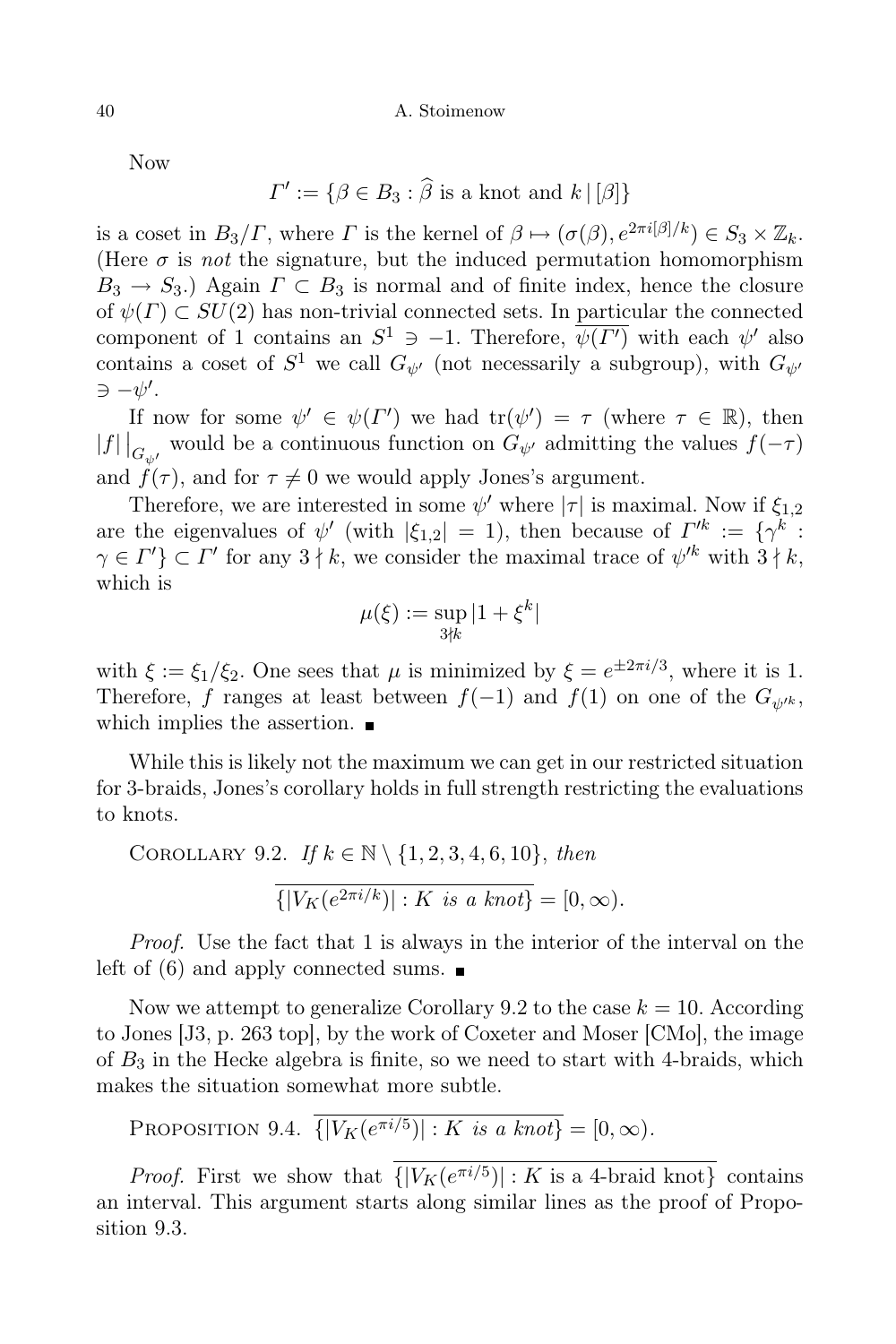Now

$$
\Gamma' := \{ \beta \in B_3 : \widehat{\beta} \text{ is a knot and } k \mid [\beta] \}
$$

is a coset in  $B_3/\Gamma$ , where  $\Gamma$  is the kernel of  $\beta \mapsto (\sigma(\beta), e^{2\pi i[\beta]/k}) \in S_3 \times \mathbb{Z}_k$ . (Here  $\sigma$  is not the signature, but the induced permutation homomorphism  $B_3 \rightarrow S_3$ .) Again  $\Gamma \subset B_3$  is normal and of finite index, hence the closure of  $\psi(\Gamma) \subset SU(2)$  has non-trivial connected sets. In particular the connected component of 1 contains an  $S^1 \ni -1$ . Therefore,  $\overline{\psi(\Gamma')}$  with each  $\psi'$  also contains a coset of  $S^1$  we call  $G_{\psi'}$  (not necessarily a subgroup), with  $G_{\psi'}$  $\Rightarrow -\psi'.$ 

If now for some  $\psi' \in \psi(\Gamma')$  we had  $\text{tr}(\psi') = \tau$  (where  $\tau \in \mathbb{R}$ ), then  $|f|\left|_{G_{\psi'}}\right|$  would be a continuous function on  $G_{\psi'}$  admitting the values  $f(-\tau)$ and  $f(\tau)$ , and for  $\tau \neq 0$  we would apply Jones's argument.

Therefore, we are interested in some  $\psi'$  where  $|\tau|$  is maximal. Now if  $\xi_{1,2}$ are the eigenvalues of  $\psi'$  (with  $|\xi_{1,2}| = 1$ ), then because of  $\Gamma'^k := {\gamma^k : \mathbb{R}^n \atop \gamma \to 0}$  $\gamma \in \Gamma'$   $\subset \Gamma'$  for any  $3 \nmid k$ , we consider the maximal trace of  $\psi'^k$  with  $3 \nmid k$ , which is

$$
\mu(\xi):=\sup_{3\nmid k}|1+\xi^k|
$$

with  $\xi := \xi_1/\xi_2$ . One sees that  $\mu$  is minimized by  $\xi = e^{\pm 2\pi i/3}$ , where it is 1. Therefore, f ranges at least between  $f(-1)$  and  $f(1)$  on one of the  $G_{\psi'k}$ , which implies the assertion.

While this is likely not the maximum we can get in our restricted situation for 3-braids, Jones's corollary holds in full strength restricting the evaluations to knots.

COROLLARY 9.2. If  $k \in \mathbb{N} \setminus \{1, 2, 3, 4, 6, 10\}$ , then  $\{|V_K(e^{2\pi i/k})| : K \text{ is a knot}\}= [0, \infty).$ 

Proof. Use the fact that 1 is always in the interior of the interval on the left of  $(6)$  and apply connected sums.

Now we attempt to generalize Corollary 9.2 to the case  $k = 10$ . According to Jones [J3, p. 263 top], by the work of Coxeter and Moser [CMo], the image of  $B_3$  in the Hecke algebra is finite, so we need to start with 4-braids, which makes the situation somewhat more subtle.

PROPOSITION 9.4.  $\{ |V_K(e^{\pi i/5})| : K \text{ is a knot} \} = [0, \infty).$ 

*Proof.* First we show that  $\{ |V_K(e^{\pi i/5})| : K \text{ is a 4-braid knot} \}$  contains an interval. This argument starts along similar lines as the proof of Proposition 9.3.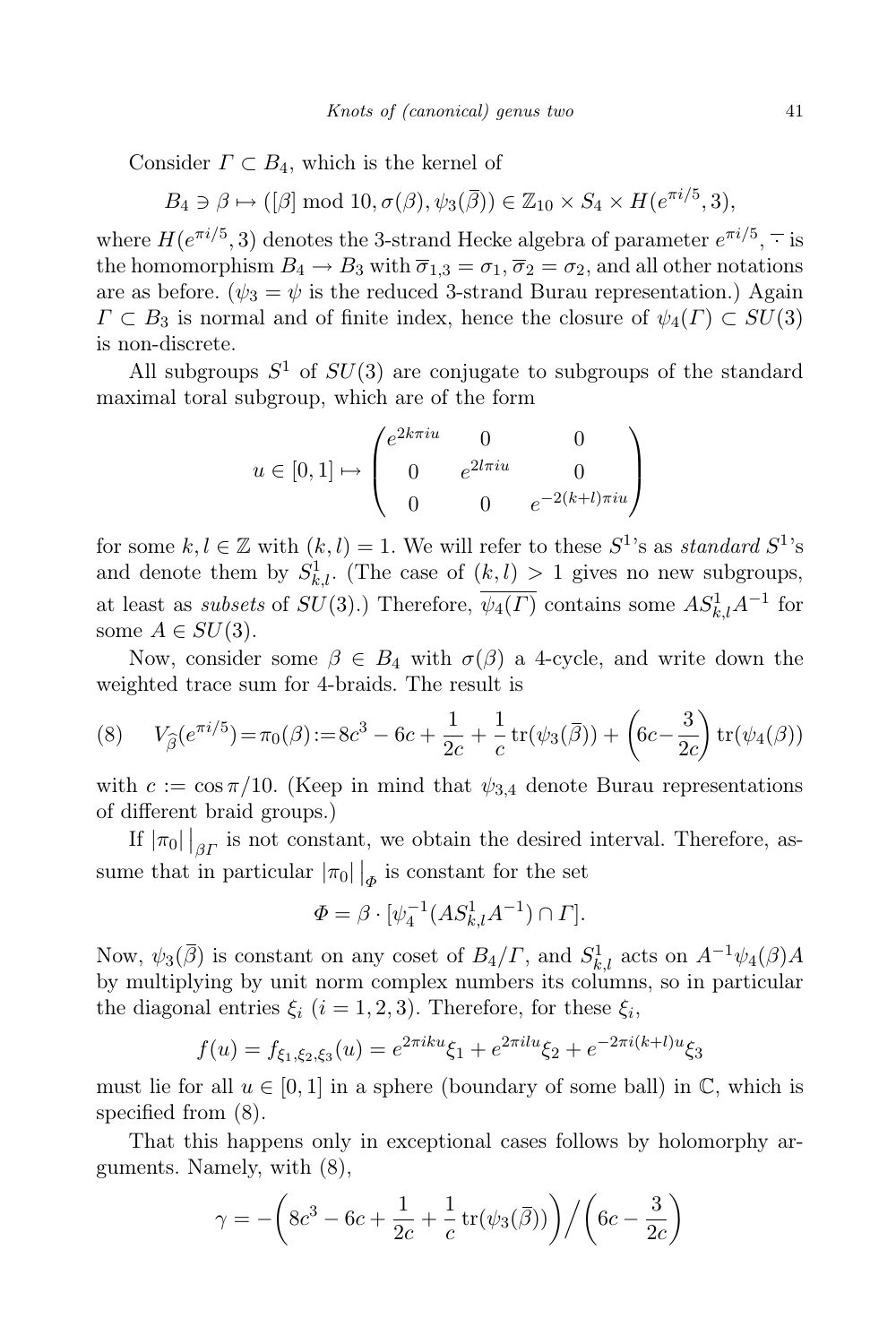Consider  $\Gamma \subset B_4$ , which is the kernel of

 $B_4 \ni \beta \mapsto ([\beta] \text{ mod } 10, \sigma(\beta), \psi_3(\overline{\beta})) \in \mathbb{Z}_{10} \times S_4 \times H(e^{\pi i/5}, 3),$ 

where  $H(e^{\pi i/5}, 3)$  denotes the 3-strand Hecke algebra of parameter  $e^{\pi i/5}$ ,  $\overline{\cdot}$  is the homomorphism  $B_4 \to B_3$  with  $\overline{\sigma}_{1,3} = \sigma_1, \overline{\sigma}_2 = \sigma_2$ , and all other notations are as before. ( $\psi_3 = \psi$  is the reduced 3-strand Burau representation.) Again  $\Gamma \subset B_3$  is normal and of finite index, hence the closure of  $\psi_4(\Gamma) \subset SU(3)$ is non-discrete.

All subgroups  $S^1$  of  $SU(3)$  are conjugate to subgroups of the standard maximal toral subgroup, which are of the form

$$
u \in [0, 1] \mapsto \begin{pmatrix} e^{2k\pi i u} & 0 & 0 \\ 0 & e^{2l\pi i u} & 0 \\ 0 & 0 & e^{-2(k+l)\pi i u} \end{pmatrix}
$$

for some  $k, l \in \mathbb{Z}$  with  $(k, l) = 1$ . We will refer to these  $S^1$ 's as standard  $S^1$ 's and denote them by  $S^1_{k,l}$ . (The case of  $(k, l) > 1$  gives no new subgroups, at least as *subsets* of  $SU(3)$ .) Therefore,  $\overline{\psi_4(\Gamma)}$  contains some  $AS_{k,l}^1A^{-1}$  for some  $A \in SU(3)$ .

Now, consider some  $\beta \in B_4$  with  $\sigma(\beta)$  a 4-cycle, and write down the weighted trace sum for 4-braids. The result is

(8) 
$$
V_{\hat{\beta}}(e^{\pi i/5}) = \pi_0(\beta) := 8c^3 - 6c + \frac{1}{2c} + \frac{1}{c}\operatorname{tr}(\psi_3(\bar{\beta})) + (6c - \frac{3}{2c})\operatorname{tr}(\psi_4(\beta))
$$

with  $c := \cos \pi/10$ . (Keep in mind that  $\psi_{3,4}$  denote Burau representations of different braid groups.)

If  $|\pi_0|$   $|_{\beta}$  is not constant, we obtain the desired interval. Therefore, assume that in particular  $|\pi_0| \big|_{\phi}$  is constant for the set

$$
\Phi = \beta \cdot [\psi_4^{-1}(AS_{k,l}^1 A^{-1}) \cap \Gamma].
$$

Now,  $\psi_3(\overline{\beta})$  is constant on any coset of  $B_4/\Gamma$ , and  $S^1_{k,l}$  acts on  $A^{-1}\psi_4(\beta)A$ by multiplying by unit norm complex numbers its columns, so in particular the diagonal entries  $\xi_i$   $(i = 1, 2, 3)$ . Therefore, for these  $\xi_i$ ,

$$
f(u) = f_{\xi_1, \xi_2, \xi_3}(u) = e^{2\pi i k u} \xi_1 + e^{2\pi i l u} \xi_2 + e^{-2\pi i (k+l) u} \xi_3
$$

must lie for all  $u \in [0,1]$  in a sphere (boundary of some ball) in  $\mathbb{C}$ , which is specified from (8).

That this happens only in exceptional cases follows by holomorphy arguments. Namely, with (8),

$$
\gamma = -\bigg(8c^3 - 6c + \frac{1}{2c} + \frac{1}{c}\operatorname{tr}(\psi_3(\overline{\beta}))\bigg) \bigg/ \bigg(6c - \frac{3}{2c}\bigg)
$$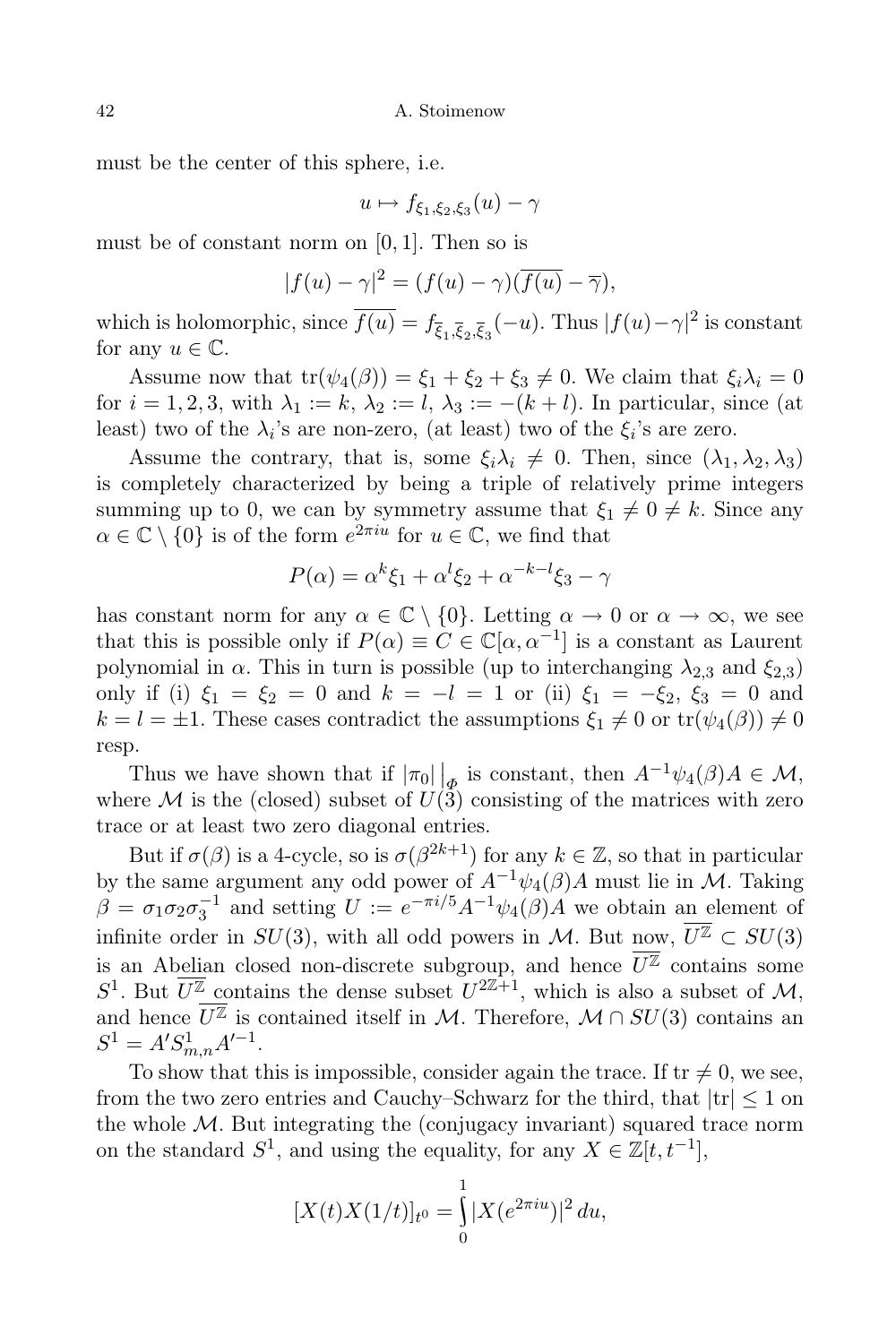must be the center of this sphere, i.e.

$$
u \mapsto f_{\xi_1,\xi_2,\xi_3}(u) - \gamma
$$

must be of constant norm on  $[0, 1]$ . Then so is

$$
|f(u) - \gamma|^2 = (f(u) - \gamma)(\overline{f(u)} - \overline{\gamma}),
$$

which is holomorphic, since  $f(u) = f_{\overline{\xi}_1, \overline{\xi}_2, \overline{\xi}_3}(-u)$ . Thus  $|f(u) - \gamma|^2$  is constant for any  $u \in \mathbb{C}$ .

Assume now that  $tr(\psi_4(\beta)) = \xi_1 + \xi_2 + \xi_3 \neq 0$ . We claim that  $\xi_i \lambda_i = 0$ for  $i = 1, 2, 3$ , with  $\lambda_1 := k$ ,  $\lambda_2 := l$ ,  $\lambda_3 := -(k+l)$ . In particular, since (at least) two of the  $\lambda_i$ 's are non-zero, (at least) two of the  $\xi_i$ 's are zero.

Assume the contrary, that is, some  $\xi_i \lambda_i \neq 0$ . Then, since  $(\lambda_1, \lambda_2, \lambda_3)$ is completely characterized by being a triple of relatively prime integers summing up to 0, we can by symmetry assume that  $\xi_1 \neq 0 \neq k$ . Since any  $\alpha \in \mathbb{C} \setminus \{0\}$  is of the form  $e^{2\pi i u}$  for  $u \in \mathbb{C}$ , we find that

$$
P(\alpha) = \alpha^k \xi_1 + \alpha^l \xi_2 + \alpha^{-k-l} \xi_3 - \gamma
$$

has constant norm for any  $\alpha \in \mathbb{C} \setminus \{0\}$ . Letting  $\alpha \to 0$  or  $\alpha \to \infty$ , we see that this is possible only if  $P(\alpha) \equiv C \in \mathbb{C}[\alpha, \alpha^{-1}]$  is a constant as Laurent polynomial in  $\alpha$ . This in turn is possible (up to interchanging  $\lambda_{2,3}$  and  $\xi_{2,3}$ ) only if (i)  $\xi_1 = \xi_2 = 0$  and  $k = -l = 1$  or (ii)  $\xi_1 = -\xi_2$ ,  $\xi_3 = 0$  and  $k = l = \pm 1$ . These cases contradict the assumptions  $\xi_1 \neq 0$  or  $tr(\psi_4(\beta)) \neq 0$ resp.

Thus we have shown that if  $|\pi_0| \big|_{\Phi}$  is constant, then  $A^{-1}\psi_4(\beta)A \in \mathcal{M}$ , where M is the (closed) subset of  $U(3)$  consisting of the matrices with zero trace or at least two zero diagonal entries.

But if  $\sigma(\beta)$  is a 4-cycle, so is  $\sigma(\beta^{2k+1})$  for any  $k \in \mathbb{Z}$ , so that in particular by the same argument any odd power of  $A^{-1}\psi_4(\beta)A$  must lie in M. Taking  $\beta = \sigma_1 \sigma_2 \sigma_3^{-1}$  and setting  $U := e^{-\pi i/5} A^{-1} \psi_4(\beta) A$  we obtain an element of infinite order in  $SU(3)$ , with all odd powers in M. But now,  $\overline{U^{\mathbb{Z}}}\subset SU(3)$ is an Abelian closed non-discrete subgroup, and hence  $\overline{U^{\mathbb{Z}}}$  contains some  $S^1$ . But  $U^{\mathbb{Z}}$  contains the dense subset  $U^{2\mathbb{Z}+1}$ , which is also a subset of  $\mathcal{M}$ , and hence  $\overline{U^{\mathbb{Z}}}$  is contained itself in M. Therefore,  $\mathcal{M} \cap SU(3)$  contains an  $S^1 = A'S_{m,n}^1 A'^{-1}.$ 

To show that this is impossible, consider again the trace. If  $tr \neq 0$ , we see, from the two zero entries and Cauchy–Schwarz for the third, that  $|tr| \leq 1$  on the whole  $M$ . But integrating the (conjugacy invariant) squared trace norm on the standard  $S^1$ , and using the equality, for any  $X \in \mathbb{Z}[t, t^{-1}]$ ,

$$
[X(t)X(1/t)]_{t^0} = \int_0^1 |X(e^{2\pi iu})|^2 du,
$$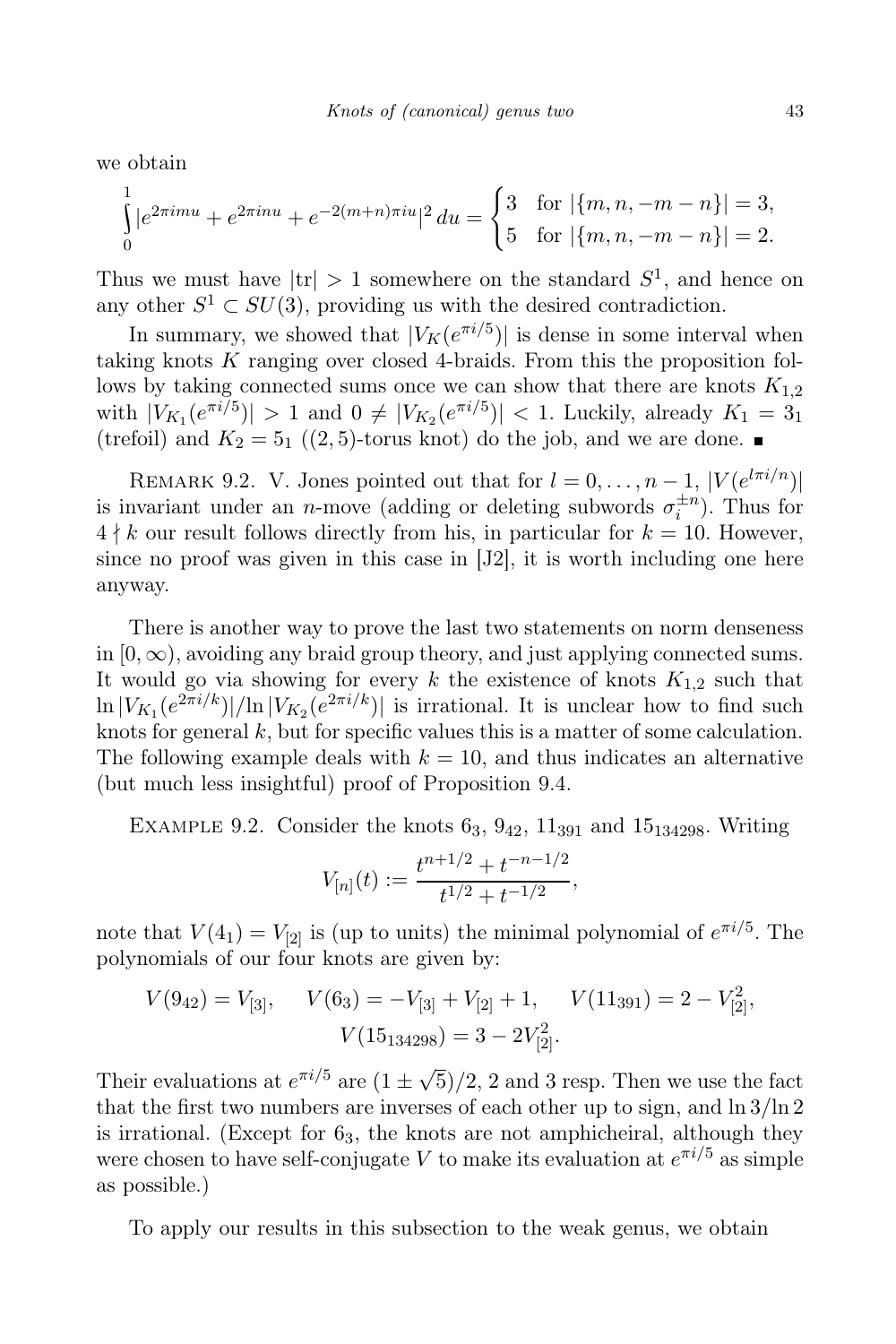we obtain

$$
\int_{0}^{1} |e^{2\pi imu} + e^{2\pi inu} + e^{-2(m+n)\pi inu}|^{2} du = \begin{cases} 3 & \text{for } |\{m, n, -m-n\}| = 3, \\ 5 & \text{for } |\{m, n, -m-n\}| = 2. \end{cases}
$$

Thus we must have  $|\text{tr}| > 1$  somewhere on the standard  $S^1$ , and hence on any other  $S^1 \subset SU(3)$ , providing us with the desired contradiction.

In summary, we showed that  $|V_K(e^{\pi i/5})|$  is dense in some interval when taking knots  $K$  ranging over closed 4-braids. From this the proposition follows by taking connected sums once we can show that there are knots  $K_{1,2}$ with  $|V_{K_1}(e^{\pi i/5})| > 1$  and  $0 \neq |V_{K_2}(e^{\pi i/5})| < 1$ . Luckily, already  $K_1 = 3_1$ (trefoil) and  $K_2 = 5_1$  ((2,5)-torus knot) do the job, and we are done.

REMARK 9.2. V. Jones pointed out that for  $l = 0, \ldots, n-1, |V(e^{l\pi i/n})|$ is invariant under an *n*-move (adding or deleting subwords  $\sigma_i^{\pm n}$ ). Thus for  $4 \nmid k$  our result follows directly from his, in particular for  $k = 10$ . However, since no proof was given in this case in [J2], it is worth including one here anyway.

There is another way to prove the last two statements on norm denseness in  $[0, \infty)$ , avoiding any braid group theory, and just applying connected sums. It would go via showing for every k the existence of knots  $K_{1,2}$  such that  $\ln |V_{K_1}(e^{2\pi i/k})|/\ln |V_{K_2}(e^{2\pi i/k})|$  is irrational. It is unclear how to find such knots for general  $k$ , but for specific values this is a matter of some calculation. The following example deals with  $k = 10$ , and thus indicates an alternative (but much less insightful) proof of Proposition 9.4.

EXAMPLE 9.2. Consider the knots  $6_3$ ,  $9_{42}$ ,  $11_{391}$  and  $15_{134298}$ . Writing

$$
V_{[n]}(t) := \frac{t^{n+1/2} + t^{-n-1/2}}{t^{1/2} + t^{-1/2}},
$$

note that  $V(4_1) = V_{[2]}$  is (up to units) the minimal polynomial of  $e^{\pi i/5}$ . The polynomials of our four knots are given by:

$$
V(9_{42}) = V_{[3]}, \quad V(6_3) = -V_{[3]} + V_{[2]} + 1, \quad V(11_{391}) = 2 - V_{[2]}^2,
$$

$$
V(15_{134298}) = 3 - 2V_{[2]}^2.
$$

Their evaluations at  $e^{\pi i/5}$  are  $(1 \pm \sqrt{5})/2$ , 2 and 3 resp. Then we use the fact that the first two numbers are inverses of each other up to sign, and  $\ln 3/\ln 2$ is irrational. (Except for  $6<sub>3</sub>$ , the knots are not amphicheiral, although they were chosen to have self-conjugate V to make its evaluation at  $e^{\pi i/5}$  as simple as possible.)

To apply our results in this subsection to the weak genus, we obtain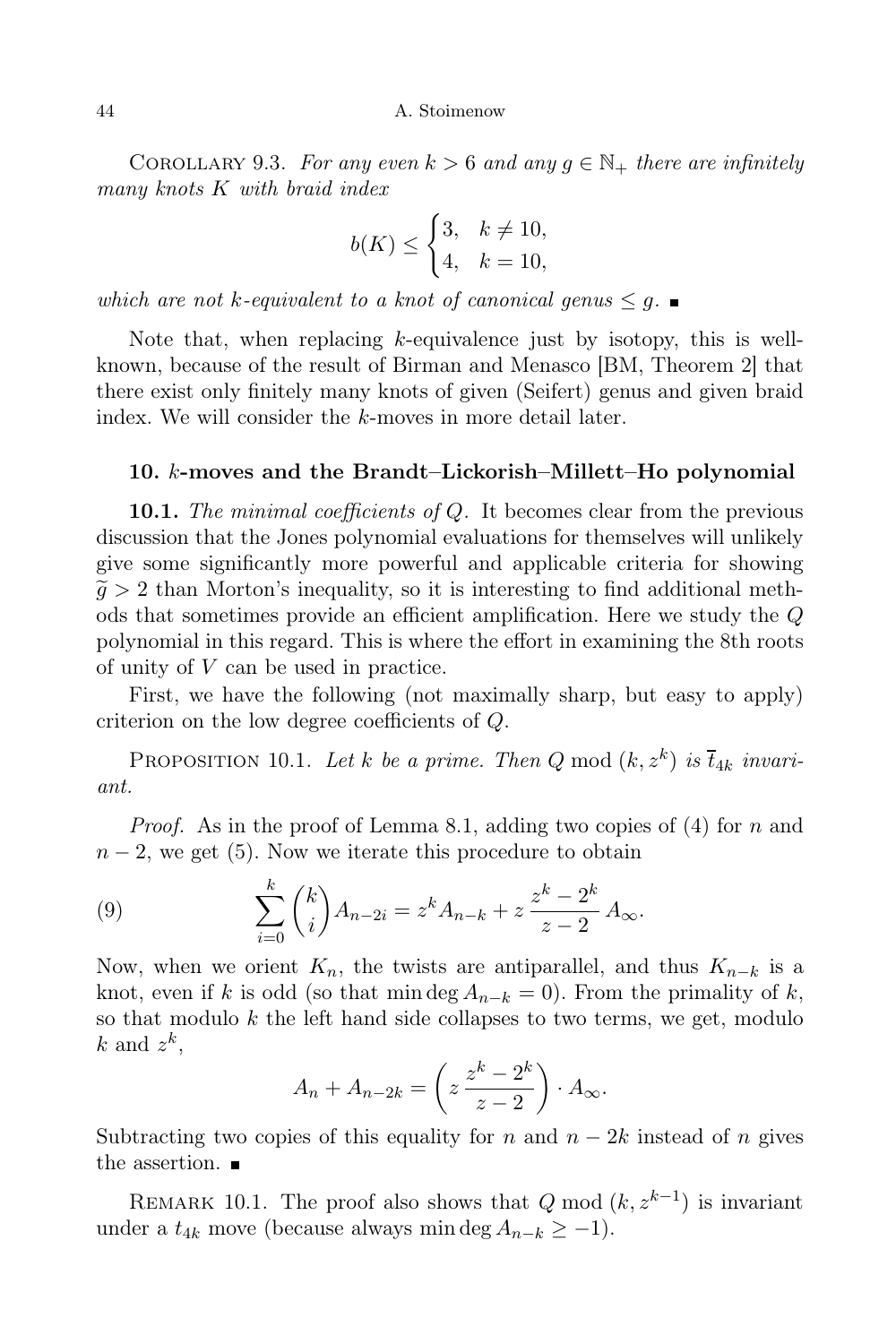COROLLARY 9.3. For any even  $k > 6$  and any  $g \in \mathbb{N}_+$  there are infinitely many knots K with braid index

$$
b(K) \le \begin{cases} 3, & k \ne 10, \\ 4, & k = 10, \end{cases}
$$

which are not k-equivalent to a knot of canonical genus  $\leq q$ .

Note that, when replacing  $k$ -equivalence just by isotopy, this is wellknown, because of the result of Birman and Menasco [BM, Theorem 2] that there exist only finitely many knots of given (Seifert) genus and given braid index. We will consider the k-moves in more detail later.

## 10. k-moves and the Brandt–Lickorish–Millett–Ho polynomial

**10.1.** The minimal coefficients of Q. It becomes clear from the previous discussion that the Jones polynomial evaluations for themselves will unlikely give some significantly more powerful and applicable criteria for showing  $\tilde{q} > 2$  than Morton's inequality, so it is interesting to find additional methods that sometimes provide an efficient amplification. Here we study the Q polynomial in this regard. This is where the effort in examining the 8th roots of unity of V can be used in practice.

First, we have the following (not maximally sharp, but easy to apply) criterion on the low degree coefficients of Q.

PROPOSITION 10.1. Let k be a prime. Then Q mod  $(k, z^k)$  is  $\overline{t}_{4k}$  invariant.

*Proof.* As in the proof of Lemma 8.1, adding two copies of  $(4)$  for n and  $n-2$ , we get (5). Now we iterate this procedure to obtain

(9) 
$$
\sum_{i=0}^{k} {k \choose i} A_{n-2i} = z^{k} A_{n-k} + z \frac{z^{k} - 2^{k}}{z - 2} A_{\infty}.
$$

Now, when we orient  $K_n$ , the twists are antiparallel, and thus  $K_{n-k}$  is a knot, even if k is odd (so that min deg  $A_{n-k} = 0$ ). From the primality of k, so that modulo  $k$  the left hand side collapses to two terms, we get, modulo  $k$  and  $z^k$ ,

$$
A_n + A_{n-2k} = \left(z\,\frac{z^k - 2^k}{z - 2}\right) \cdot A_{\infty}.
$$

Subtracting two copies of this equality for n and  $n - 2k$  instead of n gives the assertion.  $\blacksquare$ 

REMARK 10.1. The proof also shows that  $Q \mod (k, z^{k-1})$  is invariant under a  $t_{4k}$  move (because always min deg  $A_{n-k} \geq -1$ ).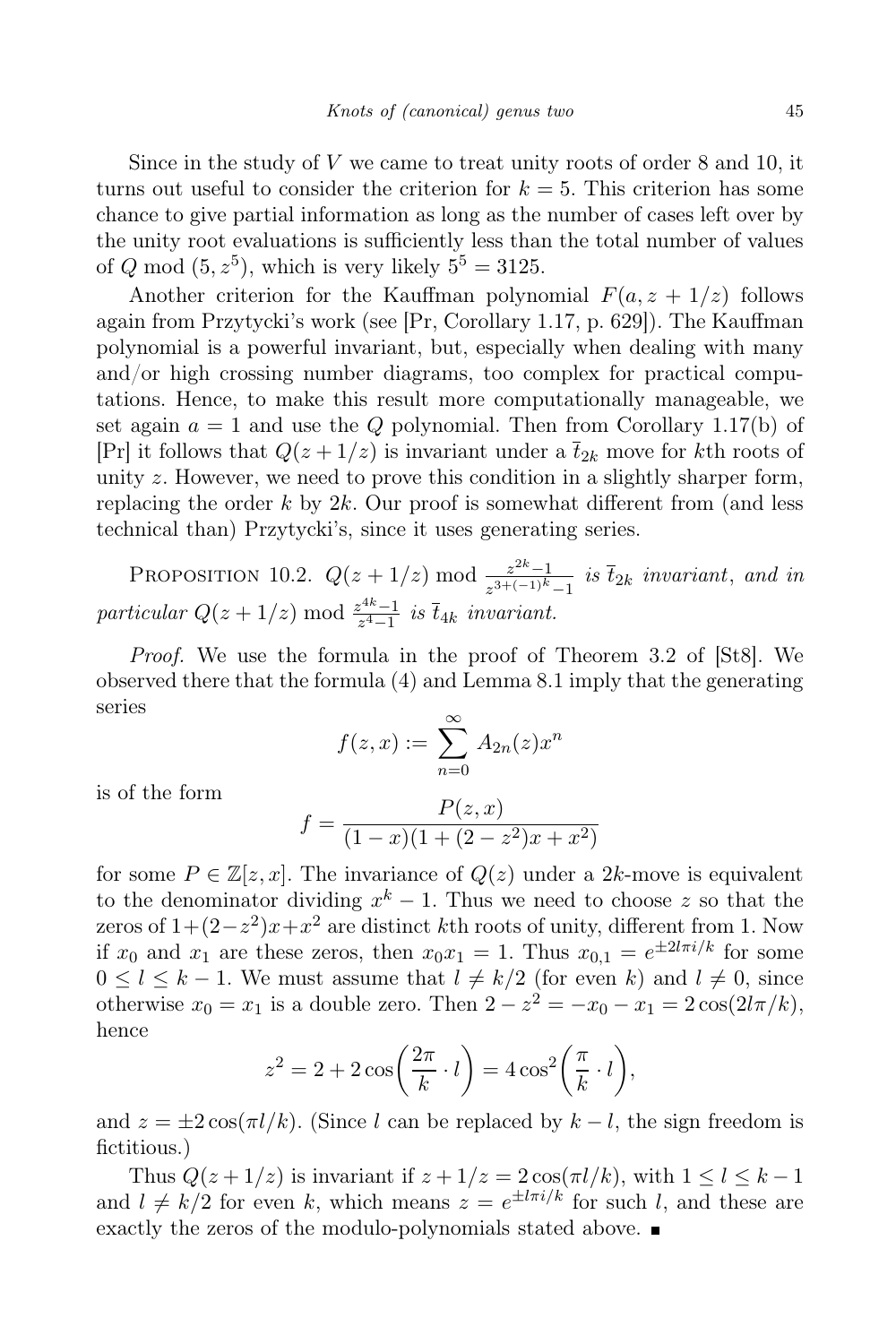Since in the study of  $V$  we came to treat unity roots of order  $8$  and  $10$ , it turns out useful to consider the criterion for  $k = 5$ . This criterion has some chance to give partial information as long as the number of cases left over by the unity root evaluations is sufficiently less than the total number of values of Q mod  $(5, z^5)$ , which is very likely  $5^5 = 3125$ .

Another criterion for the Kauffman polynomial  $F(a, z + 1/z)$  follows again from Przytycki's work (see [Pr, Corollary 1.17, p. 629]). The Kauffman polynomial is a powerful invariant, but, especially when dealing with many and/or high crossing number diagrams, too complex for practical computations. Hence, to make this result more computationally manageable, we set again  $a = 1$  and use the Q polynomial. Then from Corollary 1.17(b) of [Pr] it follows that  $Q(z + 1/z)$  is invariant under a  $\bar{t}_{2k}$  move for kth roots of unity z. However, we need to prove this condition in a slightly sharper form, replacing the order k by  $2k$ . Our proof is somewhat different from (and less technical than) Przytycki's, since it uses generating series.

PROPOSITION 10.2.  $Q(z + 1/z) \mod \frac{z^{2k-1}}{z^{3+(-1)k}}$  $\frac{z^{2m}-1}{z^{3+(-1)^k}-1}$  is  $t_{2k}$  invariant, and in particular  $Q(z+1/z) \mod \frac{z^{4k}-1}{z^4-1}$  $\frac{z^{m}-1}{z^{4}-1}$  is  $t_{4k}$  invariant.

Proof. We use the formula in the proof of Theorem 3.2 of [St8]. We observed there that the formula (4) and Lemma 8.1 imply that the generating series

$$
f(z,x) := \sum_{n=0}^{\infty} A_{2n}(z)x^n
$$

is of the form

$$
f = \frac{P(z, x)}{(1 - x)(1 + (2 - z^2)x + x^2)}
$$

for some  $P \in \mathbb{Z}[z, x]$ . The invariance of  $Q(z)$  under a 2k-move is equivalent to the denominator dividing  $x^k - 1$ . Thus we need to choose z so that the zeros of  $1+(2-z^2)x+x^2$  are distinct kth roots of unity, different from 1. Now if  $x_0$  and  $x_1$  are these zeros, then  $x_0x_1 = 1$ . Thus  $x_{0,1} = e^{\pm 2l\pi i/k}$  for some  $0 \leq l \leq k-1$ . We must assume that  $l \neq k/2$  (for even k) and  $l \neq 0$ , since otherwise  $x_0 = x_1$  is a double zero. Then  $2 - z^2 = -x_0 - x_1 = 2\cos(2l\pi/k)$ , hence

$$
z^{2} = 2 + 2\cos\left(\frac{2\pi}{k} \cdot l\right) = 4\cos^{2}\left(\frac{\pi}{k} \cdot l\right),
$$

and  $z = \pm 2 \cos(\pi l / k)$ . (Since l can be replaced by  $k - l$ , the sign freedom is fictitious.)

Thus  $Q(z + 1/z)$  is invariant if  $z + 1/z = 2\cos(\pi l/k)$ , with  $1 \leq l \leq k - 1$ and  $l \neq k/2$  for even k, which means  $z = e^{\pm l\pi i/k}$  for such l, and these are exactly the zeros of the modulo-polynomials stated above.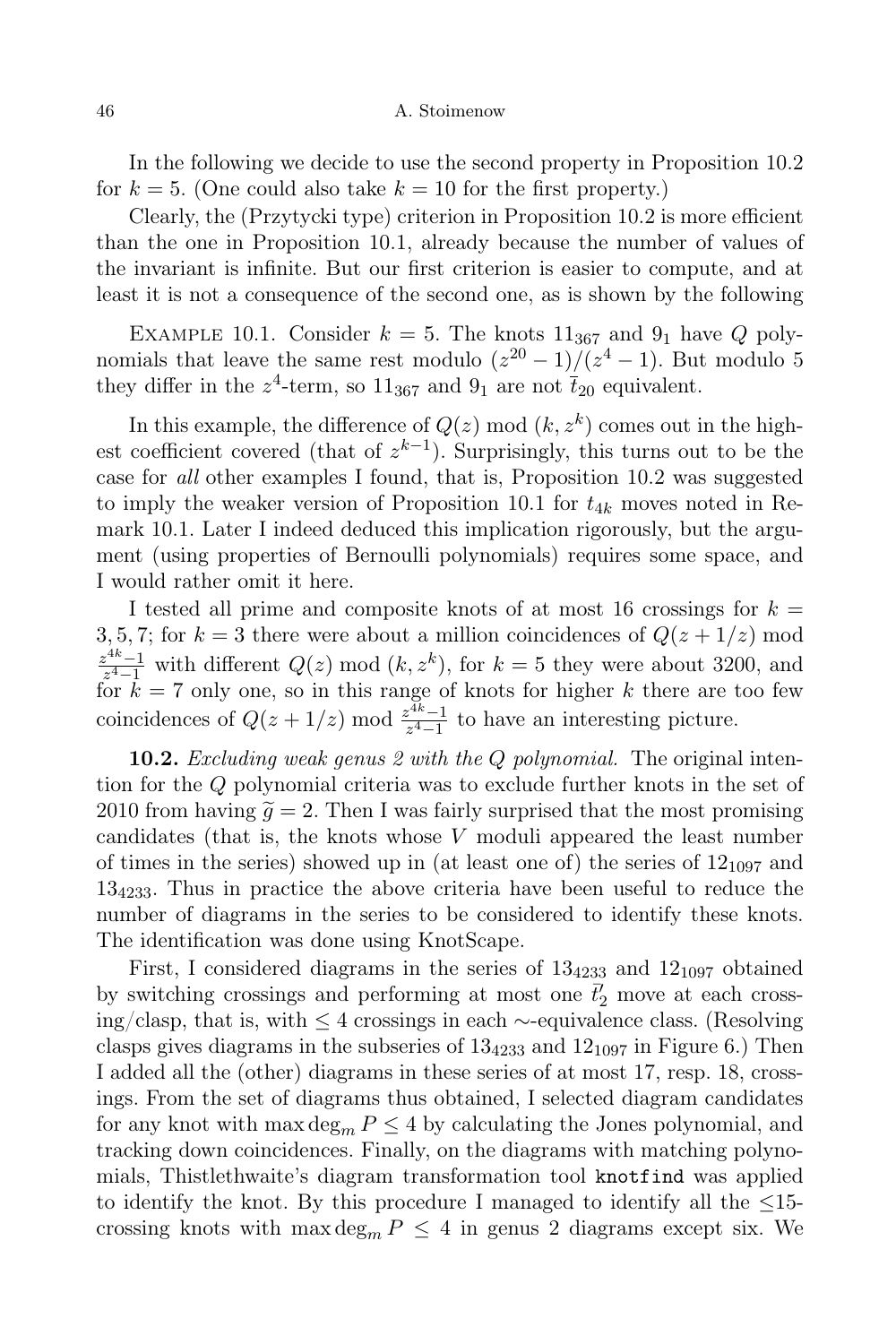In the following we decide to use the second property in Proposition 10.2 for  $k = 5$ . (One could also take  $k = 10$  for the first property.)

Clearly, the (Przytycki type) criterion in Proposition 10.2 is more efficient than the one in Proposition 10.1, already because the number of values of the invariant is infinite. But our first criterion is easier to compute, and at least it is not a consequence of the second one, as is shown by the following

EXAMPLE 10.1. Consider  $k = 5$ . The knots  $11_{367}$  and  $9_1$  have Q polynomials that leave the same rest modulo  $(z^{20} - 1)/(z^4 - 1)$ . But modulo 5 they differ in the  $z^4$ -term, so  $11_{367}$  and  $9_1$  are not  $\bar{t}_{20}$  equivalent.

In this example, the difference of  $Q(z) \mod (k, z^k)$  comes out in the highest coefficient covered (that of  $z^{k-1}$ ). Surprisingly, this turns out to be the case for all other examples I found, that is, Proposition 10.2 was suggested to imply the weaker version of Proposition 10.1 for  $t_{4k}$  moves noted in Remark 10.1. Later I indeed deduced this implication rigorously, but the argument (using properties of Bernoulli polynomials) requires some space, and I would rather omit it here.

I tested all prime and composite knots of at most 16 crossings for  $k =$ 3, 5, 7; for  $k = 3$  there were about a million coincidences of  $Q(z + 1/z)$  mod  $z^{4k}-1$  $z^{4k-1}$  with different  $Q(z) \mod (k, z^k)$ , for  $k = 5$  they were about 3200, and for  $k = 7$  only one, so in this range of knots for higher k there are too few coincidences of  $Q(z+1/z) \mod \frac{z^{4k}-1}{z^4-1}$  $\frac{z^{n}-1}{z^{4}-1}$  to have an interesting picture.

**10.2.** Excluding weak genus 2 with the Q polynomial. The original intention for the Q polynomial criteria was to exclude further knots in the set of 2010 from having  $\tilde{q} = 2$ . Then I was fairly surprised that the most promising candidates (that is, the knots whose  $V$  moduli appeared the least number of times in the series) showed up in (at least one of) the series of  $12_{1097}$  and 134233. Thus in practice the above criteria have been useful to reduce the number of diagrams in the series to be considered to identify these knots. The identification was done using KnotScape.

First, I considered diagrams in the series of  $13<sub>4233</sub>$  and  $12<sub>1097</sub>$  obtained by switching crossings and performing at most one  $\bar{t}'_2$  move at each crossing/clasp, that is, with ≤ 4 crossings in each ∼-equivalence class. (Resolving clasps gives diagrams in the subseries of  $13<sub>4233</sub>$  and  $12<sub>1097</sub>$  in Figure 6.) Then I added all the (other) diagrams in these series of at most 17, resp. 18, crossings. From the set of diagrams thus obtained, I selected diagram candidates for any knot with  $\max \deg_m P \leq 4$  by calculating the Jones polynomial, and tracking down coincidences. Finally, on the diagrams with matching polynomials, Thistlethwaite's diagram transformation tool knotfind was applied to identify the knot. By this procedure I managed to identify all the  $\leq 15$ crossing knots with  $\max \deg_m P \leq 4$  in genus 2 diagrams except six. We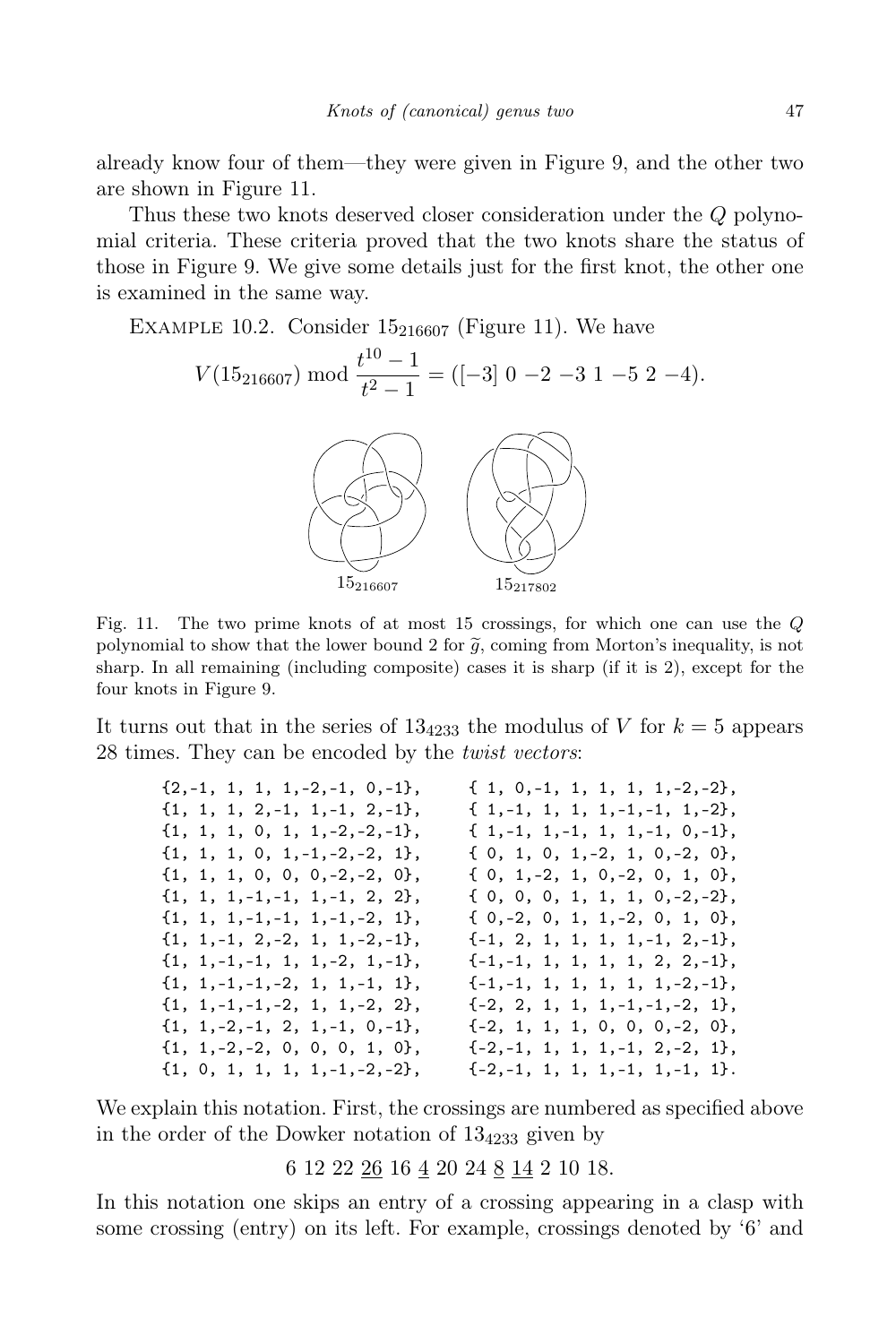already know four of them—they were given in Figure 9, and the other two are shown in Figure 11.

Thus these two knots deserved closer consideration under the Q polynomial criteria. These criteria proved that the two knots share the status of those in Figure 9. We give some details just for the first knot, the other one is examined in the same way.

EXAMPLE 10.2. Consider  $15_{216607}$  (Figure 11). We have

$$
V(15_{216607}) \bmod \frac{t^{10}-1}{t^2-1} = ([-3] \ 0 \ -2 \ -3 \ 1 \ -5 \ 2 \ -4).
$$



Fig. 11. The two prime knots of at most 15 crossings, for which one can use the Q polynomial to show that the lower bound 2 for  $\tilde{g}$ , coming from Morton's inequality, is not sharp. In all remaining (including composite) cases it is sharp (if it is 2), except for the four knots in Figure 9.

It turns out that in the series of  $13<sub>4233</sub>$  the modulus of V for  $k = 5$  appears 28 times. They can be encoded by the *twist vectors*:

| $\{2,-1, 1, 1, 1,-2,-1, 0,-1\}$ ,     | $\{1, 0, -1, 1, 1, 1, 1, -2, -2\},\$ |
|---------------------------------------|--------------------------------------|
| $\{1, 1, 1, 2, -1, 1, -1, 2, -1\},$   | $\{1, -1, 1, 1, 1, -1, -1, 1, -2\},$ |
| $\{1, 1, 1, 0, 1, 1, -2, -2, -1\},$   | $\{1,-1, 1,-1, 1, 1,-1, 0,-1\},$     |
| $\{1, 1, 1, 0, 1, -1, -2, -2, 1\},$   | $\{0, 1, 0, 1, -2, 1, 0, -2, 0\},$   |
| $\{1, 1, 1, 0, 0, 0, -2, -2, 0\},$    | $\{0, 1, -2, 1, 0, -2, 0, 1, 0\},\$  |
| $\{1, 1, 1, -1, -1, 1, -1, 2, 2\},$   | $\{0, 0, 0, 1, 1, 1, 0, -2, -2\},\$  |
| $\{1, 1, 1, -1, -1, 1, -1, -2, 1\},$  | $\{0,-2, 0, 1, 1,-2, 0, 1, 0\}.$     |
| $\{1, 1, -1, 2, -2, 1, 1, -2, -1\},\$ | $\{-1, 2, 1, 1, 1, 1, -1, 2, -1\},$  |
| $\{1, 1, -1, -1, 1, 1, -2, 1, -1\},$  | $\{-1,-1, 1, 1, 1, 1, 2, 2,-1\},$    |
| $\{1, 1, -1, -1, -2, 1, 1, -1, 1\},\$ | $\{-1,-1, 1, 1, 1, 1, 1,-2,-1\}$     |
| $\{1, 1, -1, -1, -2, 1, 1, -2, 2\},$  | $\{-2, 2, 1, 1, 1, -1, -1, -2, 1\},$ |
| $\{1, 1, -2, -1, 2, 1, -1, 0, -1\},$  | $\{-2, 1, 1, 1, 0, 0, 0, -2, 0\},$   |
| $\{1, 1, -2, -2, 0, 0, 0, 1, 0\},\$   | $\{-2,-1, 1, 1, 1,-1, 2,-2, 1\},$    |
| $\{1, 0, 1, 1, 1, 1, -1, -2, -2\},\$  | $\{-2,-1, 1, 1, 1,-1, 1,-1, 1\}.$    |
|                                       |                                      |

We explain this notation. First, the crossings are numbered as specified above in the order of the Dowker notation of  $13<sub>4233</sub>$  given by

6 12 22 26 16 4 20 24 8 14 2 10 18.

In this notation one skips an entry of a crossing appearing in a clasp with some crossing (entry) on its left. For example, crossings denoted by '6' and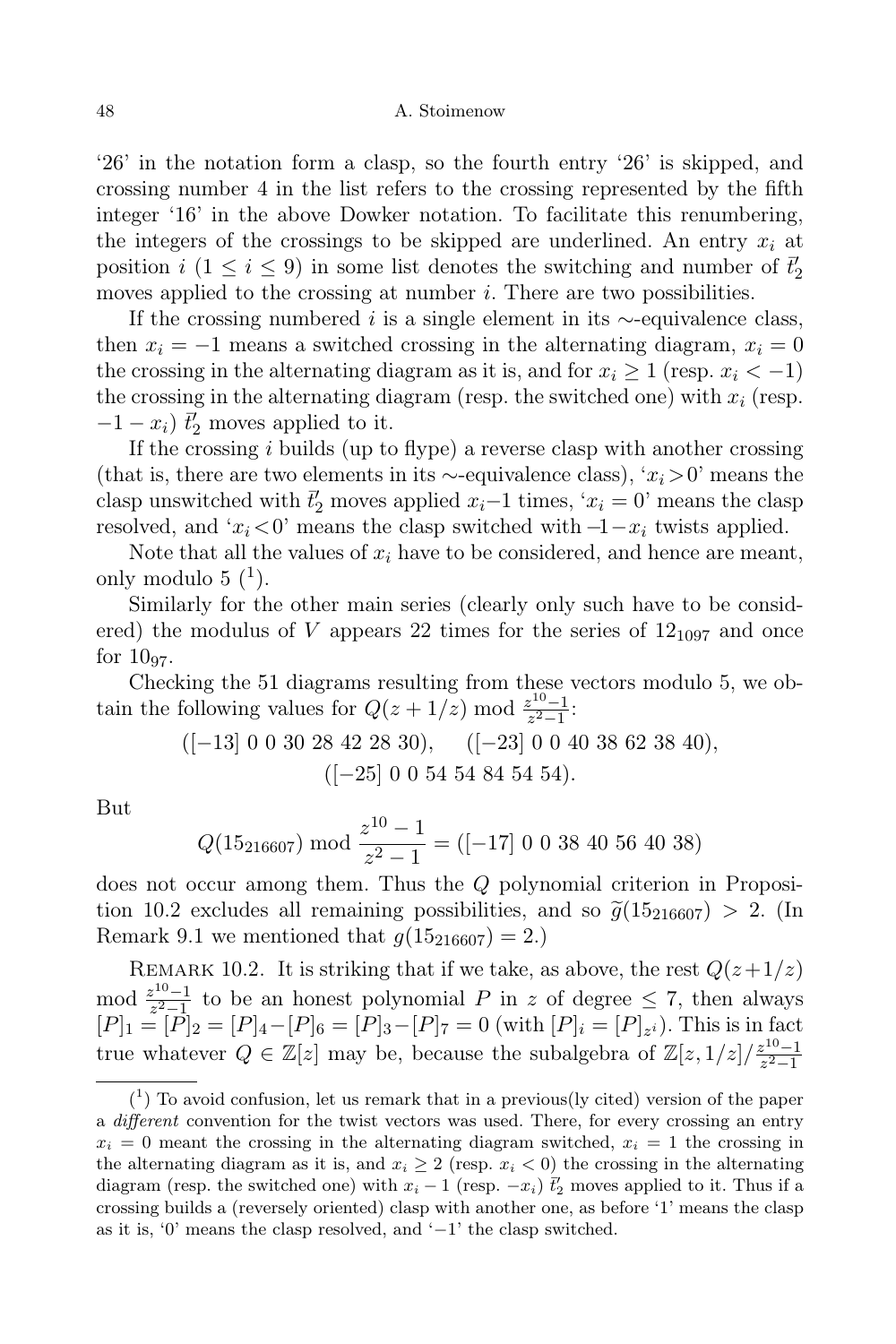'26' in the notation form a clasp, so the fourth entry '26' is skipped, and crossing number 4 in the list refers to the crossing represented by the fifth integer '16' in the above Dowker notation. To facilitate this renumbering, the integers of the crossings to be skipped are underlined. An entry  $x_i$  at position  $i$  (1 ≤  $i$  ≤ 9) in some list denotes the switching and number of  $\bar{t}'_2$ moves applied to the crossing at number *i*. There are two possibilities.

If the crossing numbered *i* is a single element in its  $\sim$ -equivalence class, then  $x_i = -1$  means a switched crossing in the alternating diagram,  $x_i = 0$ the crossing in the alternating diagram as it is, and for  $x_i \geq 1$  (resp.  $x_i < -1$ ) the crossing in the alternating diagram (resp. the switched one) with  $x_i$  (resp.  $-1 - x_i$ )  $\bar{t}_2$  moves applied to it.

If the crossing  $i$  builds (up to flype) a reverse clasp with another crossing (that is, there are two elements in its ∼-equivalence class), ' $x_i > 0$ ' means the clasp unswitched with  $\bar{t}'_2$  moves applied  $x_i-1$  times, ' $x_i = 0$ ' means the clasp resolved, and ' $x_i < 0$ ' means the clasp switched with  $-1-x_i$  twists applied.

Note that all the values of  $x_i$  have to be considered, and hence are meant, only modulo  $5<sup>(1)</sup>$ .

Similarly for the other main series (clearly only such have to be considered) the modulus of V appears 22 times for the series of  $12_{1097}$  and once for  $10_{97}$ .

Checking the 51 diagrams resulting from these vectors modulo 5, we obtain the following values for  $Q(z+1/z) \mod \frac{z^{10}-1}{z^2-1}$  $\frac{z^{18}-1}{z^2-1}$ :

$$
([-13] 0 0 30 28 42 28 30), \quad ([-23] 0 0 40 38 62 38 40),([-25] 0 0 54 54 84 54 54).
$$

But

$$
Q(15_{216607}) \text{ mod } \frac{z^{10} - 1}{z^2 - 1} = ([-17] \ 0 \ 0 \ 38 \ 40 \ 56 \ 40 \ 38)
$$

does not occur among them. Thus the Q polynomial criterion in Proposition 10.2 excludes all remaining possibilities, and so  $\tilde{q}(15_{216607}) > 2$ . (In Remark 9.1 we mentioned that  $g(15_{216607}) = 2$ .

REMARK 10.2. It is striking that if we take, as above, the rest  $Q(z+1/z)$ mod  $\frac{z^{10}-1}{z^2-1}$  $\frac{z^{10}-1}{z^2-1}$  to be an honest polynomial P in z of degree  $\leq 7$ , then always  $[P]_1 = [P]_2 = [P]_4 - [P]_6 = [P]_3 - [P]_7 = 0$  (with  $[P]_i = [P]_{z_i}$ ). This is in fact true whatever  $Q \in \mathbb{Z}[z]$  may be, because the subalgebra of  $\mathbb{Z}[z,1/z]/\frac{z^{10}-1}{z^2-1}$  $z^2-1$ 

 $(1)$  To avoid confusion, let us remark that in a previous(ly cited) version of the paper a different convention for the twist vectors was used. There, for every crossing an entry  $x_i = 0$  meant the crossing in the alternating diagram switched,  $x_i = 1$  the crossing in the alternating diagram as it is, and  $x_i \geq 2$  (resp.  $x_i < 0$ ) the crossing in the alternating diagram (resp. the switched one) with  $x_i - 1$  (resp.  $-x_i$ )  $\tilde{t}'_2$  moves applied to it. Thus if a crossing builds a (reversely oriented) clasp with another one, as before '1' means the clasp as it is, '0' means the clasp resolved, and '−1' the clasp switched.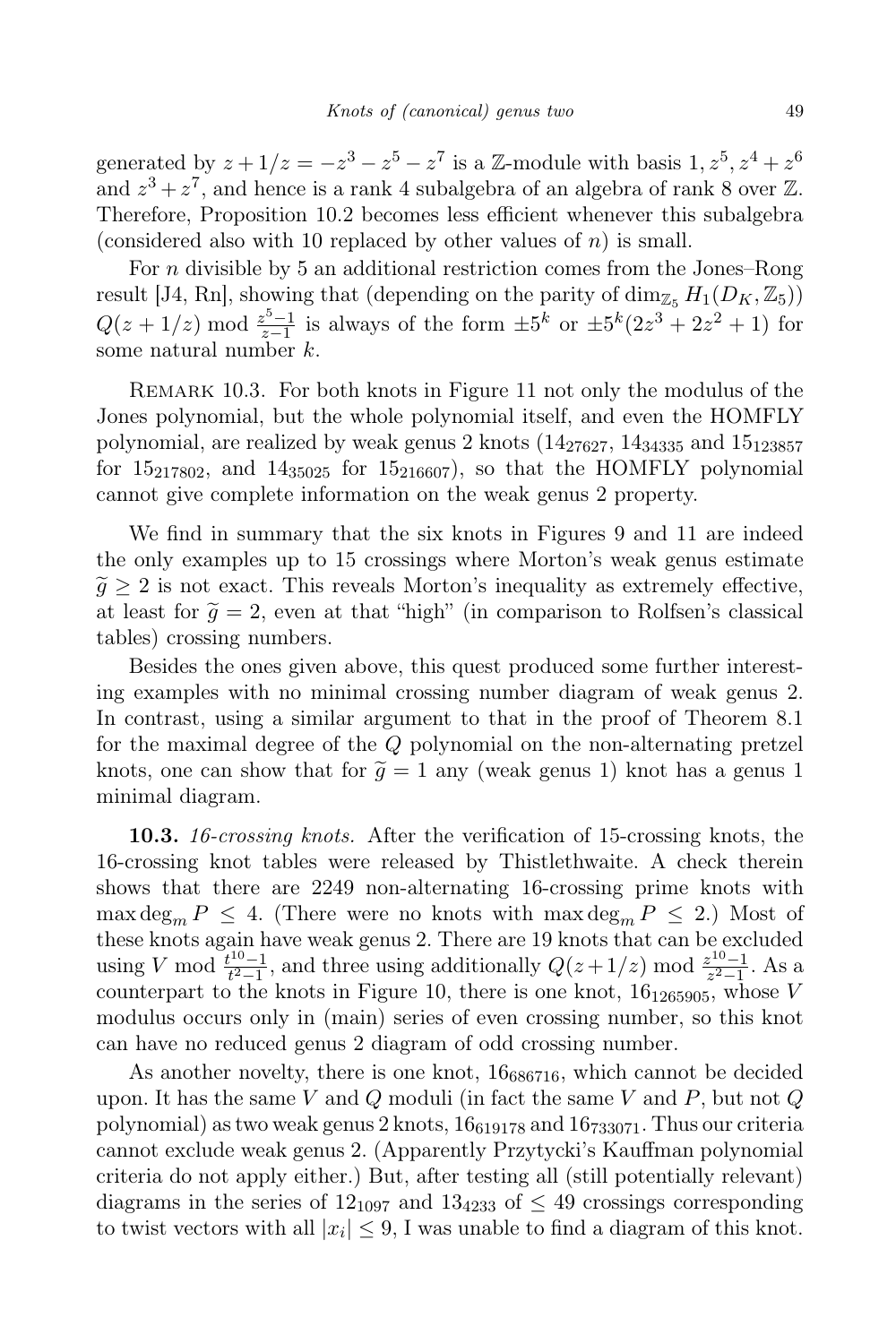generated by  $z + 1/z = -z^3 - z^5 - z^7$  is a Z-module with basis  $1, z^5, z^4 + z^6$ and  $z^3 + z^7$ , and hence is a rank 4 subalgebra of an algebra of rank 8 over  $\mathbb{Z}$ . Therefore, Proposition 10.2 becomes less efficient whenever this subalgebra (considered also with 10 replaced by other values of  $n$ ) is small.

For n divisible by 5 an additional restriction comes from the Jones–Rong result [J4, Rn], showing that (depending on the parity of  $\dim_{\mathbb{Z}_5} H_1(D_K, \mathbb{Z}_5)$ )  $Q(z + 1/z) \bmod \frac{z^5 - 1}{z - 1}$  $\frac{z^{5}-1}{z-1}$  is always of the form  $\pm 5^{k}$  or  $\pm 5^{k}(2z^{3}+2z^{2}+1)$  for some natural number  $k$ .

REMARK 10.3. For both knots in Figure 11 not only the modulus of the Jones polynomial, but the whole polynomial itself, and even the HOMFLY polynomial, are realized by weak genus 2 knots  $(14<sub>27627</sub>, 14<sub>34335</sub>$  and  $15<sub>123857</sub>$ for  $15_{217802}$ , and  $14_{35025}$  for  $15_{216607}$ , so that the HOMFLY polynomial cannot give complete information on the weak genus 2 property.

We find in summary that the six knots in Figures 9 and 11 are indeed the only examples up to 15 crossings where Morton's weak genus estimate  $\tilde{g} \geq 2$  is not exact. This reveals Morton's inequality as extremely effective, at least for  $\tilde{q} = 2$ , even at that "high" (in comparison to Rolfsen's classical tables) crossing numbers.

Besides the ones given above, this quest produced some further interesting examples with no minimal crossing number diagram of weak genus 2. In contrast, using a similar argument to that in the proof of Theorem 8.1 for the maximal degree of the Q polynomial on the non-alternating pretzel knots, one can show that for  $\tilde{g} = 1$  any (weak genus 1) knot has a genus 1 minimal diagram.

10.3. 16-crossing knots. After the verification of 15-crossing knots, the 16-crossing knot tables were released by Thistlethwaite. A check therein shows that there are 2249 non-alternating 16-crossing prime knots with max deg<sub>m</sub>  $P \leq 4$ . (There were no knots with max deg<sub>m</sub>  $P \leq 2$ .) Most of these knots again have weak genus 2. There are 19 knots that can be excluded using V mod  $\frac{t^{10}-1}{t^2-1}$  $t^{10}-1$ , and three using additionally  $Q(z+1/z)$  mod  $\frac{z^{10}-1}{z^2-1}$  $\frac{z^{10}-1}{z^2-1}$ . As a counterpart to the knots in Figure 10, there is one knot,  $16_{1265905}$ , whose V modulus occurs only in (main) series of even crossing number, so this knot can have no reduced genus 2 diagram of odd crossing number.

As another novelty, there is one knot,  $16_{686716}$ , which cannot be decided upon. It has the same V and Q moduli (in fact the same V and  $P$ , but not  $Q$ polynomial) as two weak genus 2 knots,  $16_{619178}$  and  $16_{733071}$ . Thus our criteria cannot exclude weak genus 2. (Apparently Przytycki's Kauffman polynomial criteria do not apply either.) But, after testing all (still potentially relevant) diagrams in the series of  $12_{1097}$  and  $13_{4233}$  of  $\leq 49$  crossings corresponding to twist vectors with all  $|x_i| \leq 9$ , I was unable to find a diagram of this knot.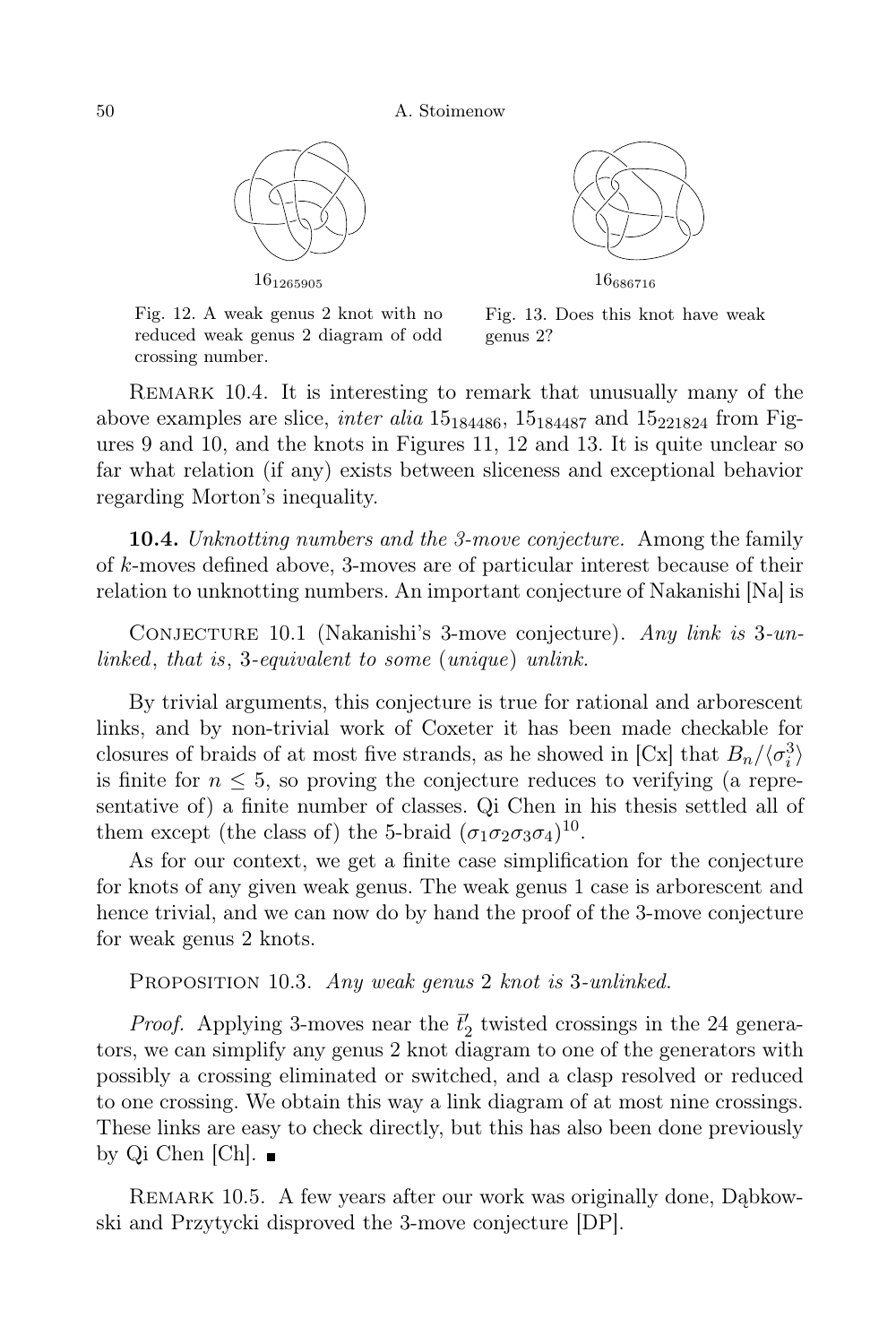



Fig. 12. A weak genus 2 knot with no reduced weak genus 2 diagram of odd crossing number.

Fig. 13. Does this knot have weak genus 2?

Remark 10.4. It is interesting to remark that unusually many of the above examples are slice, *inter alia*  $15_{184486}$ ,  $15_{184487}$  and  $15_{221824}$  from Figures 9 and 10, and the knots in Figures 11, 12 and 13. It is quite unclear so far what relation (if any) exists between sliceness and exceptional behavior regarding Morton's inequality.

**10.4.** Unknotting numbers and the 3-move conjecture. Among the family of k-moves defined above, 3-moves are of particular interest because of their relation to unknotting numbers. An important conjecture of Nakanishi [Na] is

Conjecture 10.1 (Nakanishi's 3-move conjecture). Any link is 3-unlinked, that is, 3-equivalent to some (unique) unlink.

By trivial arguments, this conjecture is true for rational and arborescent links, and by non-trivial work of Coxeter it has been made checkable for closures of braids of at most five strands, as he showed in [Cx] that  $B_n/\langle \sigma_i^3 \rangle$ is finite for  $n \leq 5$ , so proving the conjecture reduces to verifying (a representative of) a finite number of classes. Qi Chen in his thesis settled all of them except (the class of) the 5-braid  $(\sigma_1 \sigma_2 \sigma_3 \sigma_4)^{10}$ .

As for our context, we get a finite case simplification for the conjecture for knots of any given weak genus. The weak genus 1 case is arborescent and hence trivial, and we can now do by hand the proof of the 3-move conjecture for weak genus 2 knots.

PROPOSITION 10.3. Any weak genus 2 knot is 3-unlinked.

*Proof.* Applying 3-moves near the  $\bar{t}'_2$  twisted crossings in the 24 generators, we can simplify any genus 2 knot diagram to one of the generators with possibly a crossing eliminated or switched, and a clasp resolved or reduced to one crossing. We obtain this way a link diagram of at most nine crossings. These links are easy to check directly, but this has also been done previously by Qi Chen [Ch].

REMARK 10.5. A few years after our work was originally done, Dabkowski and Przytycki disproved the 3-move conjecture [DP].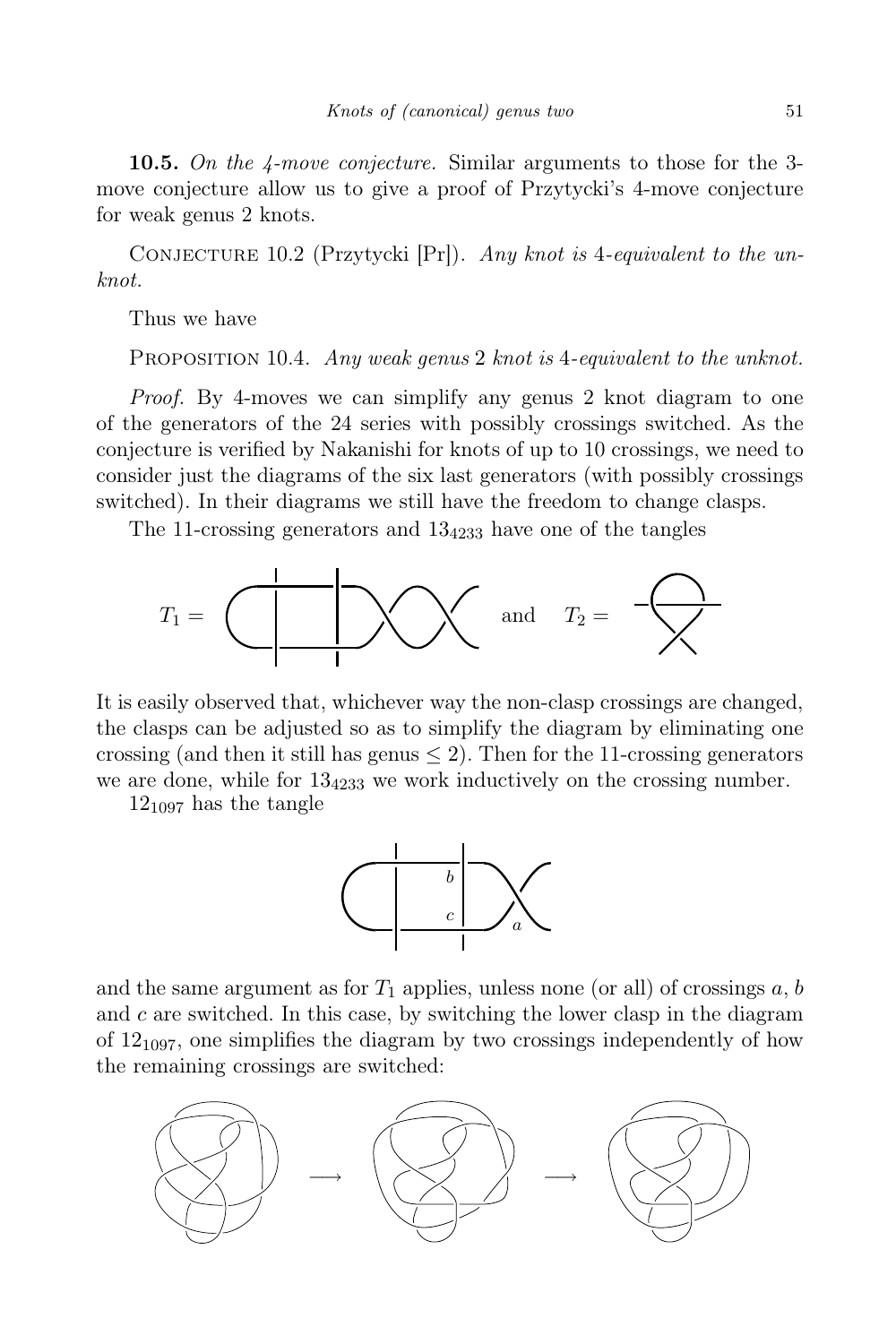**10.5.** On the 4-move conjecture. Similar arguments to those for the 3move conjecture allow us to give a proof of Przytycki's 4-move conjecture for weak genus 2 knots.

CONJECTURE 10.2 (Przytycki [Pr]). Any knot is 4-equivalent to the unknot.

Thus we have

PROPOSITION 10.4. Any weak genus 2 knot is 4-equivalent to the unknot.

Proof. By 4-moves we can simplify any genus 2 knot diagram to one of the generators of the 24 series with possibly crossings switched. As the conjecture is verified by Nakanishi for knots of up to 10 crossings, we need to consider just the diagrams of the six last generators (with possibly crossings switched). In their diagrams we still have the freedom to change clasps.

The 11-crossing generators and  $13<sub>4233</sub>$  have one of the tangles



It is easily observed that, whichever way the non-clasp crossings are changed, the clasps can be adjusted so as to simplify the diagram by eliminating one crossing (and then it still has genus  $\leq$  2). Then for the 11-crossing generators we are done, while for  $13<sub>4233</sub>$  we work inductively on the crossing number.

 $12_{1097}$  has the tangle



and the same argument as for  $T_1$  applies, unless none (or all) of crossings  $a, b$ and  $c$  are switched. In this case, by switching the lower clasp in the diagram of  $12_{1097}$ , one simplifies the diagram by two crossings independently of how the remaining crossings are switched:

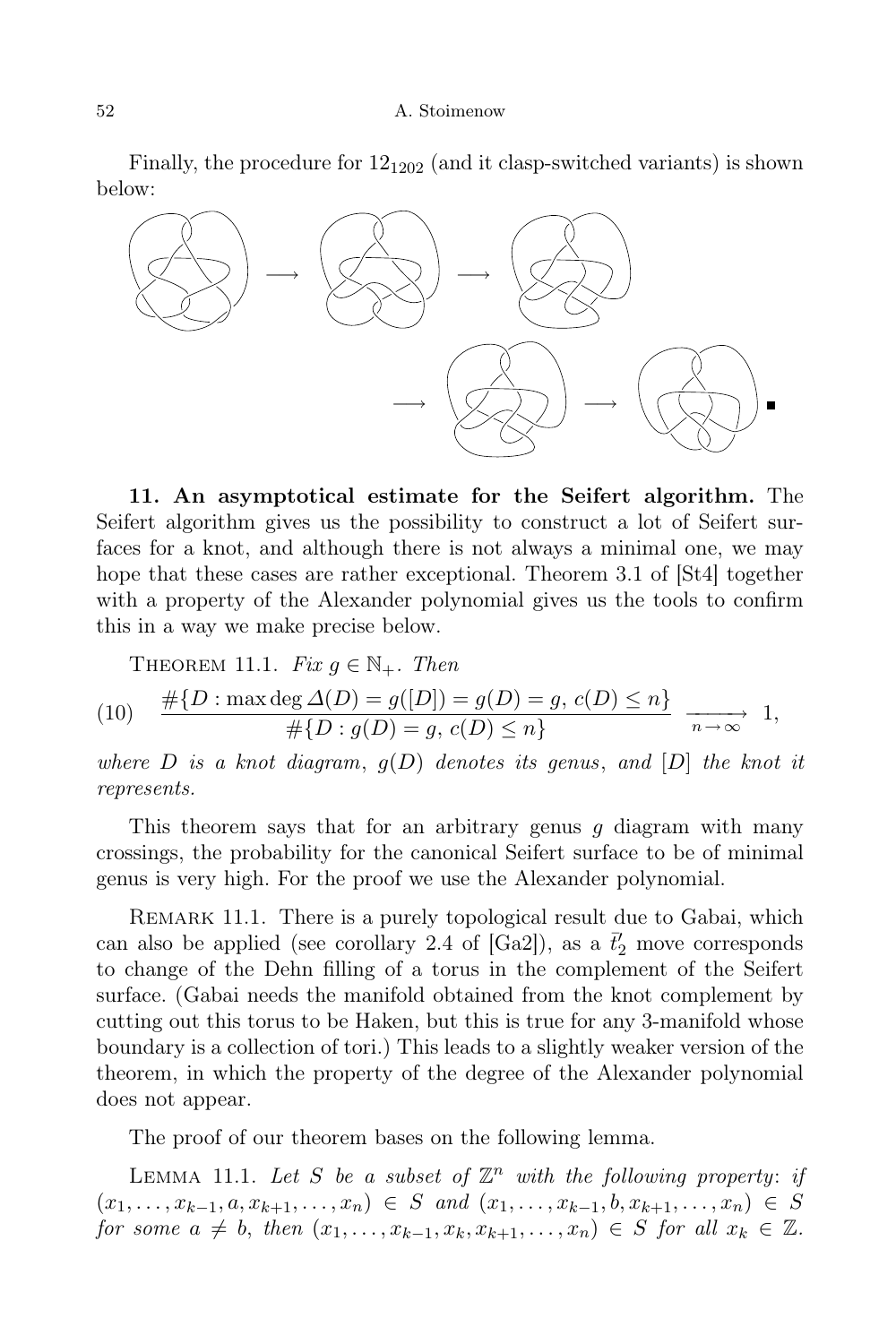Finally, the procedure for  $12_{1202}$  (and it clasp-switched variants) is shown below:



11. An asymptotical estimate for the Seifert algorithm. The Seifert algorithm gives us the possibility to construct a lot of Seifert surfaces for a knot, and although there is not always a minimal one, we may hope that these cases are rather exceptional. Theorem 3.1 of [St4] together with a property of the Alexander polynomial gives us the tools to confirm this in a way we make precise below.

THEOREM 11.1. Fix 
$$
g \in \mathbb{N}_+
$$
. Then

(10) 
$$
\frac{\# \{D : \max \deg \Delta(D) = g([D]) = g(D) = g, c(D) \le n\}}{\# \{D : g(D) = g, c(D) \le n\}} \xrightarrow[n \to \infty]{} 1,
$$

where D is a knot diagram,  $g(D)$  denotes its genus, and  $[D]$  the knot it represents.

This theorem says that for an arbitrary genus  $q$  diagram with many crossings, the probability for the canonical Seifert surface to be of minimal genus is very high. For the proof we use the Alexander polynomial.

REMARK 11.1. There is a purely topological result due to Gabai, which can also be applied (see corollary 2.4 of [Ga2]), as a  $\bar{t}'_2$  move corresponds to change of the Dehn filling of a torus in the complement of the Seifert surface. (Gabai needs the manifold obtained from the knot complement by cutting out this torus to be Haken, but this is true for any 3-manifold whose boundary is a collection of tori.) This leads to a slightly weaker version of the theorem, in which the property of the degree of the Alexander polynomial does not appear.

The proof of our theorem bases on the following lemma.

LEMMA 11.1. Let S be a subset of  $\mathbb{Z}^n$  with the following property: if  $(x_1, \ldots, x_{k-1}, a, x_{k+1}, \ldots, x_n) \in S$  and  $(x_1, \ldots, x_{k-1}, b, x_{k+1}, \ldots, x_n) \in S$ for some  $a \neq b$ , then  $(x_1, \ldots, x_{k-1}, x_k, x_{k+1}, \ldots, x_n) \in S$  for all  $x_k \in \mathbb{Z}$ .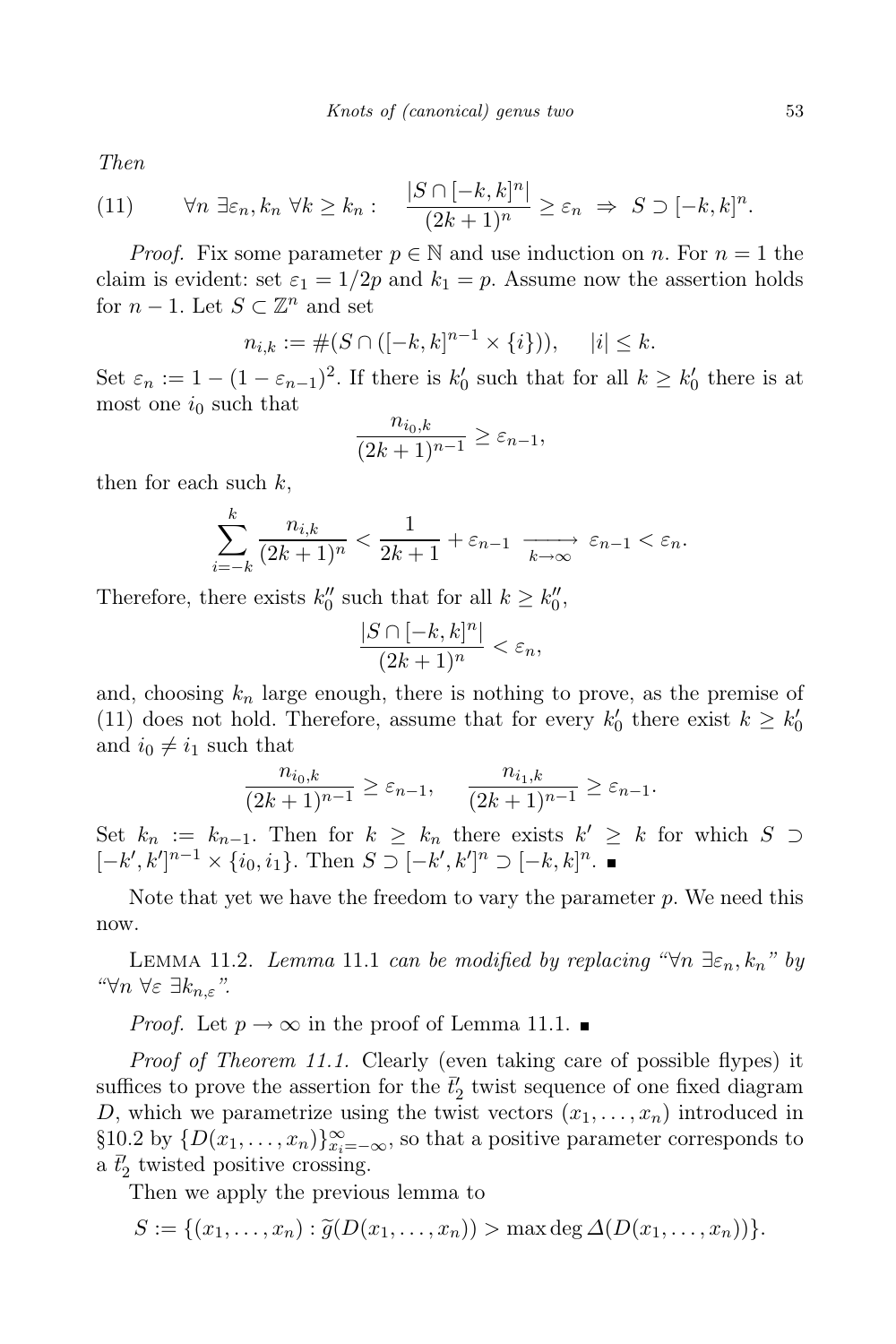Then

(11) 
$$
\forall n \ \exists \varepsilon_n, k_n \ \forall k \geq k_n : \quad \frac{|S \cap [-k, k]^n|}{(2k+1)^n} \geq \varepsilon_n \ \Rightarrow \ S \supset [-k, k]^n.
$$

*Proof.* Fix some parameter  $p \in \mathbb{N}$  and use induction on n. For  $n = 1$  the claim is evident: set  $\varepsilon_1 = 1/2p$  and  $k_1 = p$ . Assume now the assertion holds for  $n-1$ . Let  $S \subset \mathbb{Z}^n$  and set

$$
n_{i,k} := \#(S \cap ([-k,k]^{n-1} \times \{i\})), \quad |i| \leq k.
$$

Set  $\varepsilon_n := 1 - (1 - \varepsilon_{n-1})^2$ . If there is  $k'_0$  such that for all  $k \geq k'_0$  there is at most one  $i_0$  such that

$$
\frac{n_{i_0,k}}{(2k+1)^{n-1}} \ge \varepsilon_{n-1},
$$

then for each such  $k$ ,

$$
\sum_{i=-k}^{k} \frac{n_{i,k}}{(2k+1)^n} < \frac{1}{2k+1} + \varepsilon_{n-1} \xrightarrow[k \to \infty]{} \varepsilon_{n-1} < \varepsilon_n.
$$

Therefore, there exists  $k_0''$  such that for all  $k \geq k_0'',$ 

$$
\frac{|S \cap [-k,k]^n|}{(2k+1)^n} < \varepsilon_n,
$$

and, choosing  $k_n$  large enough, there is nothing to prove, as the premise of (11) does not hold. Therefore, assume that for every  $k'_0$  there exist  $k \geq k'_0$ and  $i_0 \neq i_1$  such that

$$
\frac{n_{i_0,k}}{(2k+1)^{n-1}} \ge \varepsilon_{n-1}, \qquad \frac{n_{i_1,k}}{(2k+1)^{n-1}} \ge \varepsilon_{n-1}.
$$

Set  $k_n := k_{n-1}$ . Then for  $k \geq k_n$  there exists  $k' \geq k$  for which  $S \supset$  $[-k', k']^{n-1} \times \{i_0, i_1\}$ . Then  $S \supset [-k', k']^n \supset [-k, k]^n$ .

Note that yet we have the freedom to vary the parameter  $p$ . We need this now.

LEMMA 11.2. Lemma 11.1 can be modified by replacing " $\forall n \exists \varepsilon_n, k_n$ " by " ∀n ∀ε ∃kn,ε".

*Proof.* Let  $p \to \infty$  in the proof of Lemma 11.1.

Proof of Theorem 11.1. Clearly (even taking care of possible flypes) it suffices to prove the assertion for the  $\bar{t}'_2$  twist sequence of one fixed diagram D, which we parametrize using the twist vectors  $(x_1, \ldots, x_n)$  introduced in §10.2 by  $\{D(x_1, \ldots, x_n)\}_{x_i=-\infty}^{\infty}$ , so that a positive parameter corresponds to a  $\bar{t}'_2$  twisted positive crossing.

Then we apply the previous lemma to

$$
S := \{ (x_1, \ldots, x_n) : \widetilde{g}(D(x_1, \ldots, x_n)) > \max \deg \Delta(D(x_1, \ldots, x_n)) \}.
$$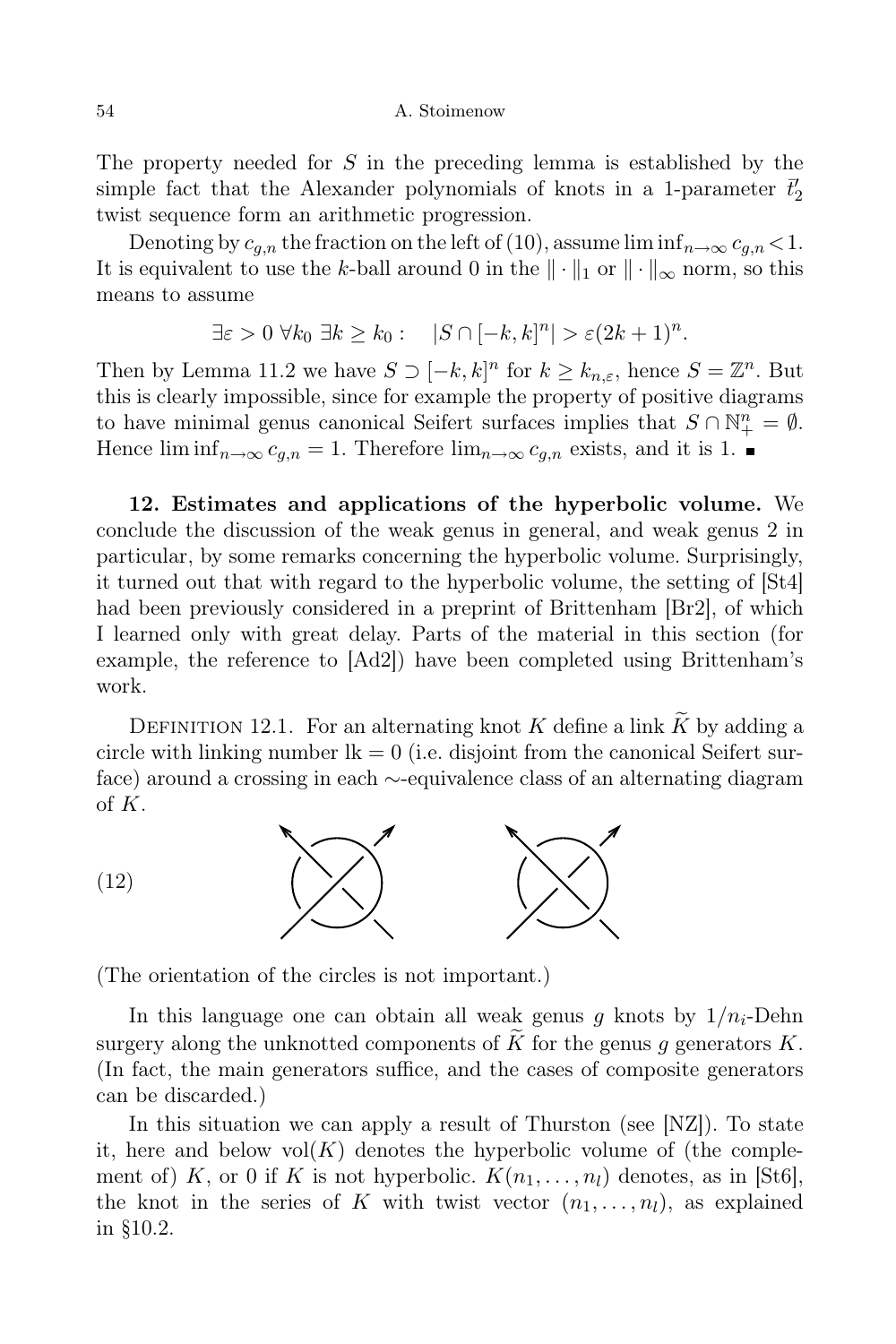The property needed for S in the preceding lemma is established by the simple fact that the Alexander polynomials of knots in a 1-parameter  $\bar{t}'_2$ twist sequence form an arithmetic progression.

Denoting by  $c_{q,n}$  the fraction on the left of (10), assume lim inf $_{n\to\infty} c_{q,n}$  < 1. It is equivalent to use the k-ball around 0 in the  $\|\cdot\|_1$  or  $\|\cdot\|_{\infty}$  norm, so this means to assume

$$
\exists \varepsilon > 0 \ \forall k_0 \ \exists k \geq k_0 : \quad |S \cap [-k, k]^n| > \varepsilon (2k + 1)^n.
$$

Then by Lemma 11.2 we have  $S \supset [-k, k]^n$  for  $k \ge k_{n,\varepsilon}$ , hence  $S = \mathbb{Z}^n$ . But this is clearly impossible, since for example the property of positive diagrams to have minimal genus canonical Seifert surfaces implies that  $S \cap \mathbb{N}_{+}^{n} = \emptyset$ . Hence  $\liminf_{n\to\infty}c_{q,n}=1$ . Therefore  $\lim_{n\to\infty}c_{q,n}$  exists, and it is 1.

12. Estimates and applications of the hyperbolic volume. We conclude the discussion of the weak genus in general, and weak genus 2 in particular, by some remarks concerning the hyperbolic volume. Surprisingly, it turned out that with regard to the hyperbolic volume, the setting of [St4] had been previously considered in a preprint of Brittenham [Br2], of which I learned only with great delay. Parts of the material in this section (for example, the reference to [Ad2]) have been completed using Brittenham's work.

DEFINITION 12.1. For an alternating knot K define a link K by adding a circle with linking number  $lk = 0$  (i.e. disjoint from the canonical Seifert surface) around a crossing in each ∼-equivalence class of an alternating diagram of K.



(The orientation of the circles is not important.)

In this language one can obtain all weak genus g knots by  $1/n_i$ -Dehn surgery along the unknotted components of  $K$  for the genus g generators  $K$ . (In fact, the main generators suffice, and the cases of composite generators can be discarded.)

In this situation we can apply a result of Thurston (see [NZ]). To state it, here and below  $vol(K)$  denotes the hyperbolic volume of (the complement of) K, or 0 if K is not hyperbolic.  $K(n_1, \ldots, n_l)$  denotes, as in [St6], the knot in the series of K with twist vector  $(n_1, \ldots, n_l)$ , as explained in §10.2.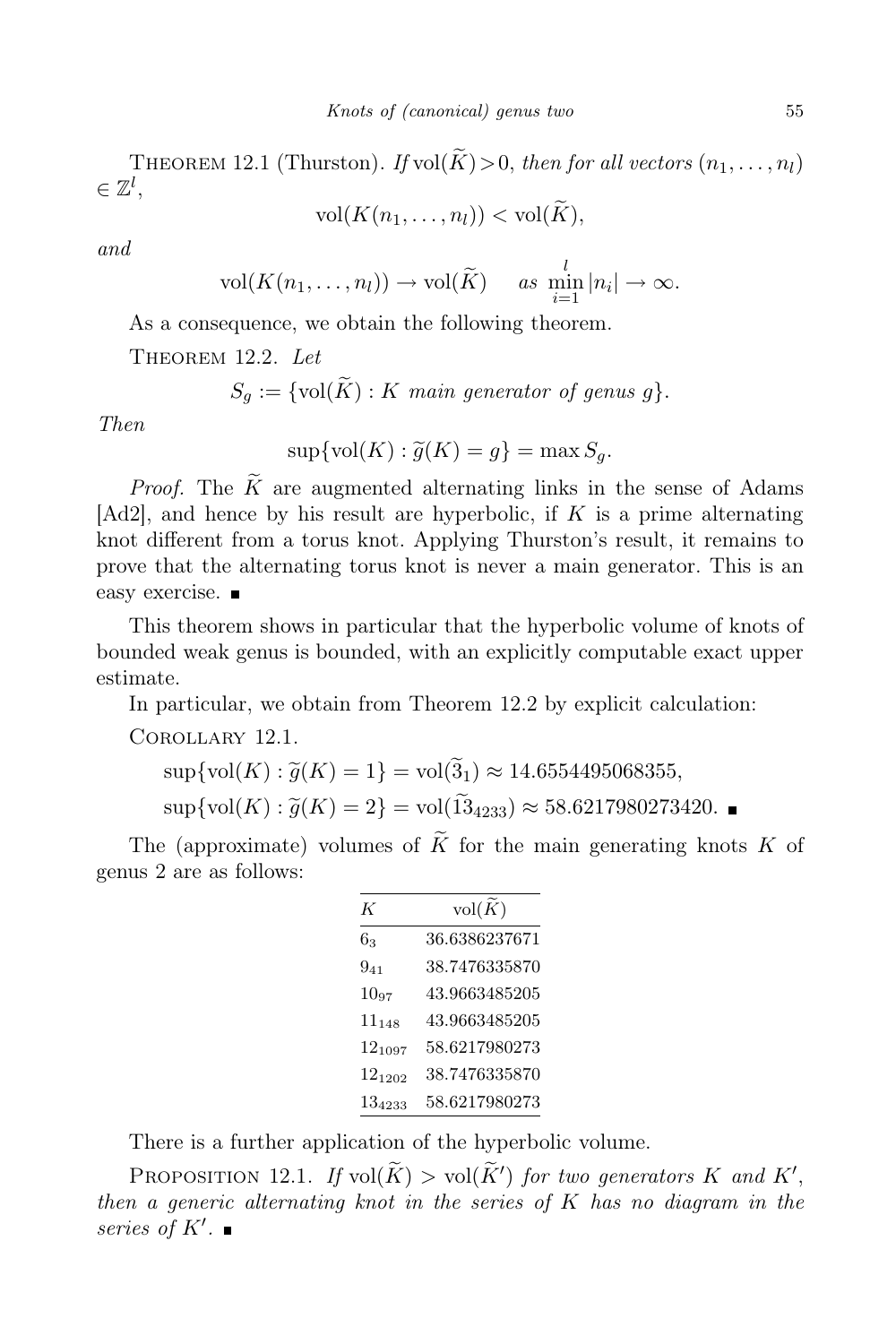THEOREM 12.1 (Thurston). If vol $(\widetilde{K})>0$ , then for all vectors  $(n_1, \ldots, n_l)$  $\in \mathbb{Z}^l,$ 

$$
\text{vol}(K(n_1,\ldots,n_l)) < \text{vol}(K),
$$

and

$$
\text{vol}(K(n_1,\ldots,n_l))\to\text{vol}(\widetilde{K})\quad \text{ as }\min_{i=1}^l|n_i|\to\infty.
$$

As a consequence, we obtain the following theorem.

THEOREM 12.2. Let

$$
S_g := \{ \text{vol}(\widetilde{K}) : K \text{ main generator of genus } g \}.
$$

Then

 $\sup\{\text{vol}(K): \tilde{g}(K) = g\} = \max S_g.$ 

*Proof.* The  $\widetilde{K}$  are augmented alternating links in the sense of Adams [Ad2], and hence by his result are hyperbolic, if  $K$  is a prime alternating knot different from a torus knot. Applying Thurston's result, it remains to prove that the alternating torus knot is never a main generator. This is an easy exercise.

This theorem shows in particular that the hyperbolic volume of knots of bounded weak genus is bounded, with an explicitly computable exact upper estimate.

In particular, we obtain from Theorem 12.2 by explicit calculation:

Corollary 12.1.

$$
\sup\{\text{vol}(K) : \tilde{g}(K) = 1\} = \text{vol}(3_1) \approx 14.6554495068355,
$$
  

$$
\sup\{\text{vol}(K) : \tilde{g}(K) = 2\} = \text{vol}(\tilde{13}_{4233}) \approx 58.6217980273420.
$$

The (approximate) volumes of  $\widetilde{K}$  for the main generating knots K of genus 2 are as follows:

| K           | $vol(\widetilde{K})$ |
|-------------|----------------------|
| $6_{3}$     | 36.6386237671        |
| $9_{41}$    | 38.7476335870        |
| $10_{97}$   | 43.9663485205        |
| $11_{148}$  | 43.9663485205        |
| $12_{1097}$ | 58.6217980273        |
| $12_{1202}$ | 38.7476335870        |
| 134233      | 58.6217980273        |

There is a further application of the hyperbolic volume.

PROPOSITION 12.1. If  $vol(K) > vol(K')$  for two generators K and K', then a generic alternating knot in the series of  $K$  has no diagram in the series of K′ .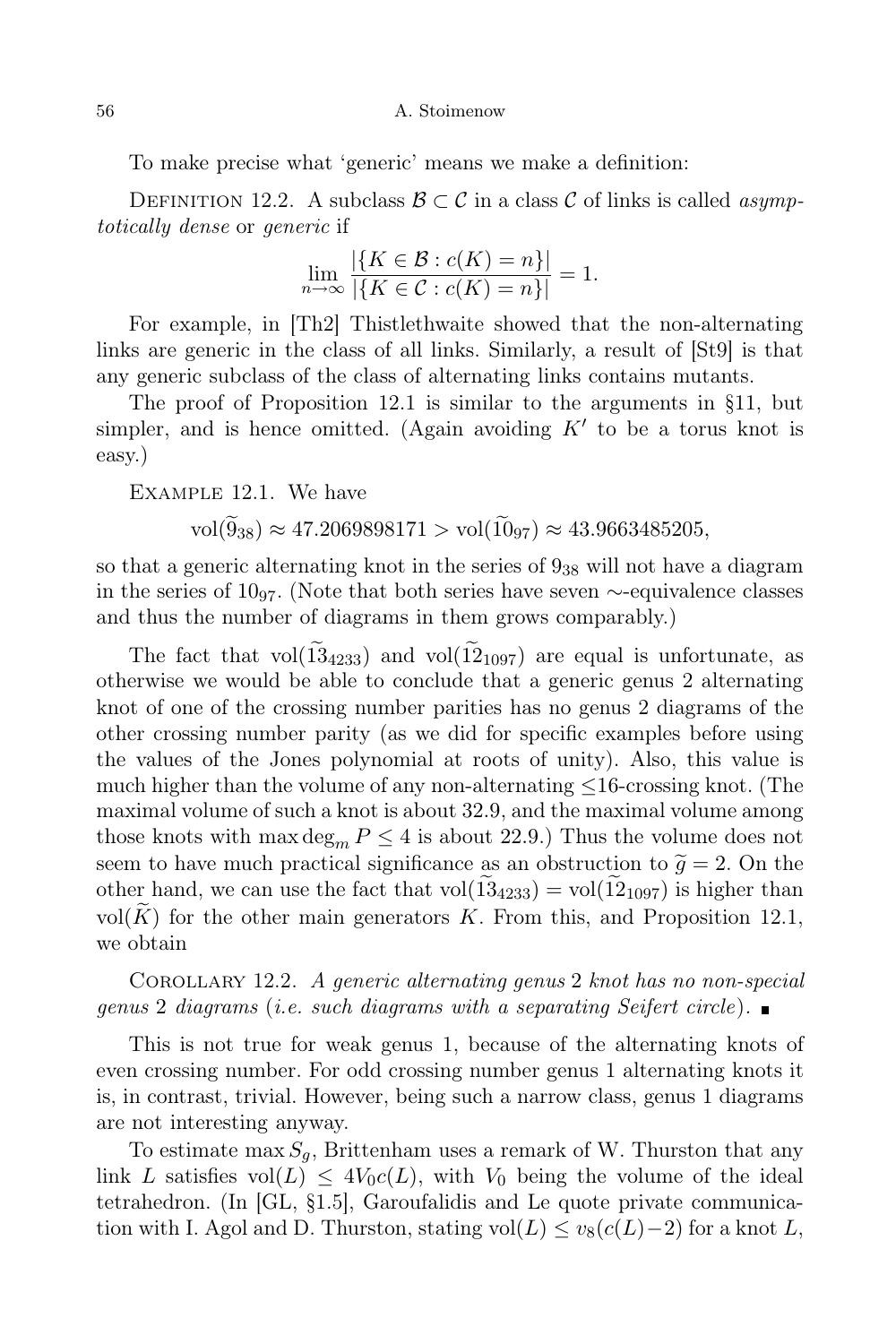To make precise what 'generic' means we make a definition:

DEFINITION 12.2. A subclass  $\mathcal{B} \subset \mathcal{C}$  in a class  $\mathcal{C}$  of links is called *asymp*totically dense or generic if

$$
\lim_{n \to \infty} \frac{|\{K \in \mathcal{B} : c(K) = n\}|}{|\{K \in \mathcal{C} : c(K) = n\}|} = 1.
$$

For example, in [Th2] Thistlethwaite showed that the non-alternating links are generic in the class of all links. Similarly, a result of [St9] is that any generic subclass of the class of alternating links contains mutants.

The proof of Proposition 12.1 is similar to the arguments in §11, but simpler, and is hence omitted. (Again avoiding  $K'$  to be a torus knot is easy.)

Example 12.1. We have

$$
\text{vol}(9_{38}) \approx 47.2069898171 > \text{vol}(10_{97}) \approx 43.9663485205,
$$

so that a generic alternating knot in the series of  $9_{38}$  will not have a diagram in the series of  $10_{97}$ . (Note that both series have seven ∼-equivalence classes and thus the number of diagrams in them grows comparably.)

The fact that vol $(\tilde{13}_{4233})$  and vol $(\tilde{12}_{1097})$  are equal is unfortunate, as otherwise we would be able to conclude that a generic genus 2 alternating knot of one of the crossing number parities has no genus 2 diagrams of the other crossing number parity (as we did for specific examples before using the values of the Jones polynomial at roots of unity). Also, this value is much higher than the volume of any non-alternating  $\leq 16$ -crossing knot. (The maximal volume of such a knot is about 32.9, and the maximal volume among those knots with max  $\deg_m P \leq 4$  is about 22.9.) Thus the volume does not seem to have much practical significance as an obstruction to  $\tilde{g} = 2$ . On the other hand, we can use the fact that  $vol(13_{4233}) = vol(12_{1097})$  is higher than vol(K) for the other main generators K. From this, and Proposition 12.1, we obtain

Corollary 12.2. A generic alternating genus 2 knot has no non-special genus 2 diagrams (i.e. such diagrams with a separating Seifert circle).  $\blacksquare$ 

This is not true for weak genus 1, because of the alternating knots of even crossing number. For odd crossing number genus 1 alternating knots it is, in contrast, trivial. However, being such a narrow class, genus 1 diagrams are not interesting anyway.

To estimate max  $S_q$ , Brittenham uses a remark of W. Thurston that any link L satisfies  $vol(L) \leq 4V_0c(L)$ , with  $V_0$  being the volume of the ideal tetrahedron. (In [GL, §1.5], Garoufalidis and Le quote private communication with I. Agol and D. Thurston, stating vol $(L) \leq v_8(c(L)-2)$  for a knot L,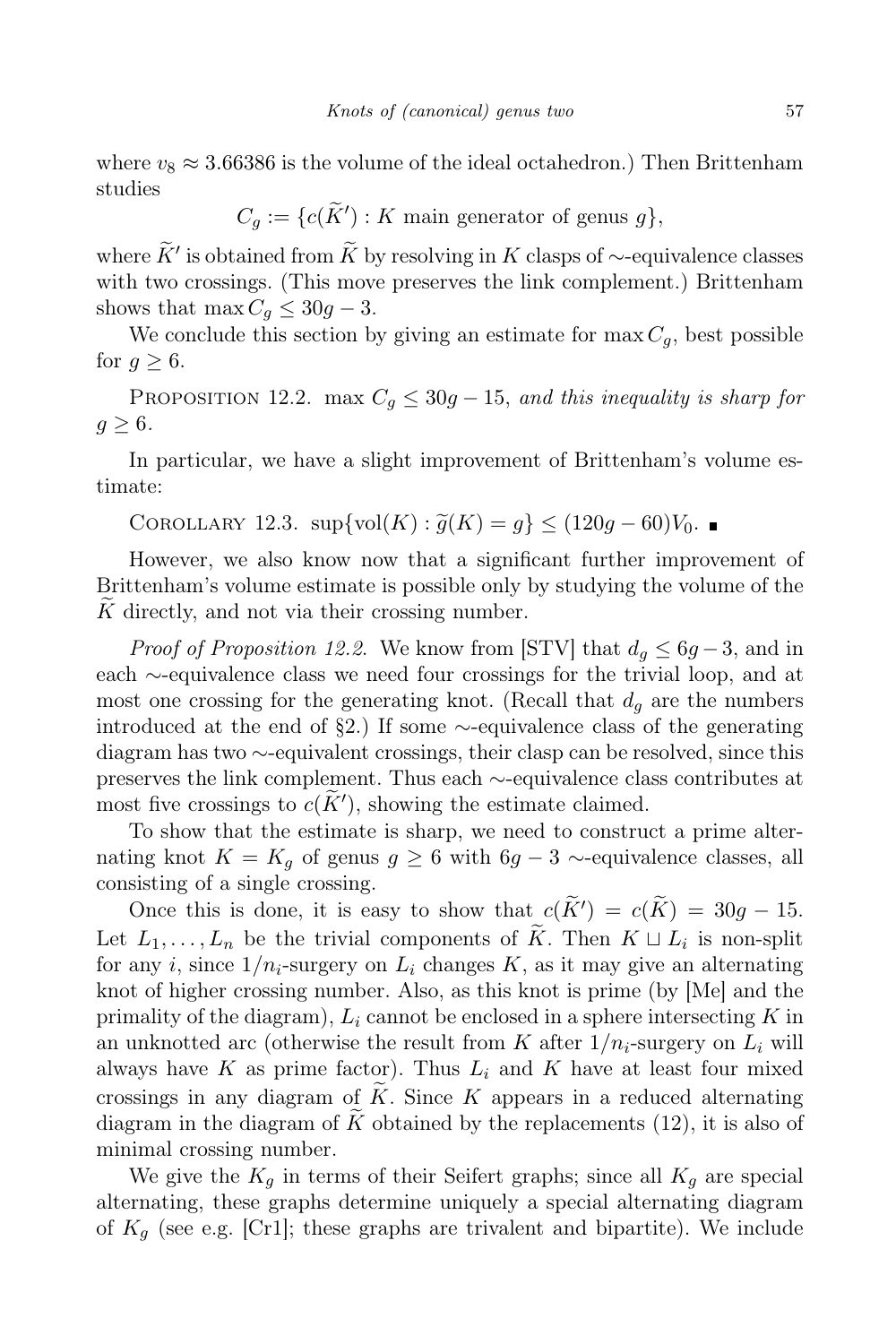where  $v_8 \approx 3.66386$  is the volume of the ideal octahedron.) Then Brittenham studies

 $C_g := \{c(\widetilde{K}') : K \text{ main generator of genus } g\},\$ 

where  $\tilde{K}'$  is obtained from  $\tilde{K}$  by resolving in K clasps of ∼-equivalence classes with two crossings. (This move preserves the link complement.) Brittenham shows that max  $C_g \leq 30g - 3$ .

We conclude this section by giving an estimate for  $\max C_q$ , best possible for  $q > 6$ .

PROPOSITION 12.2. max  $C_q \leq 30q - 15$ , and this inequality is sharp for  $q > 6$ .

In particular, we have a slight improvement of Brittenham's volume estimate:

COROLLARY 12.3.  $\sup\{\text{vol}(K): \tilde{g}(K) = g\} \leq (120g - 60)V_0$ .

However, we also know now that a significant further improvement of Brittenham's volume estimate is possible only by studying the volume of the  $K$  directly, and not via their crossing number.

*Proof of Proposition 12.2.* We know from [STV] that  $d_q \leq 6g - 3$ , and in each ∼-equivalence class we need four crossings for the trivial loop, and at most one crossing for the generating knot. (Recall that  $d_q$  are the numbers introduced at the end of §2.) If some ∼-equivalence class of the generating diagram has two ∼-equivalent crossings, their clasp can be resolved, since this preserves the link complement. Thus each ∼-equivalence class contributes at most five crossings to  $c(K')$ , showing the estimate claimed.

To show that the estimate is sharp, we need to construct a prime alternating knot  $K = K_q$  of genus  $g \geq 6$  with  $6g - 3 \sim$ -equivalence classes, all consisting of a single crossing.

Once this is done, it is easy to show that  $c(K') = c(K) = 30g - 15$ . Let  $L_1, \ldots, L_n$  be the trivial components of K. Then  $K \sqcup L_i$  is non-split for any i, since  $1/n_i$ -surgery on  $L_i$  changes K, as it may give an alternating knot of higher crossing number. Also, as this knot is prime (by [Me] and the primality of the diagram),  $L_i$  cannot be enclosed in a sphere intersecting K in an unknotted arc (otherwise the result from K after  $1/n_i$ -surgery on  $L_i$  will always have K as prime factor). Thus  $L_i$  and K have at least four mixed crossings in any diagram of  $\tilde{K}$ . Since K appears in a reduced alternating diagram in the diagram of  $\tilde{K}$  obtained by the replacements (12), it is also of minimal crossing number.

We give the  $K_q$  in terms of their Seifert graphs; since all  $K_q$  are special alternating, these graphs determine uniquely a special alternating diagram of  $K_q$  (see e.g. [Cr1]; these graphs are trivalent and bipartite). We include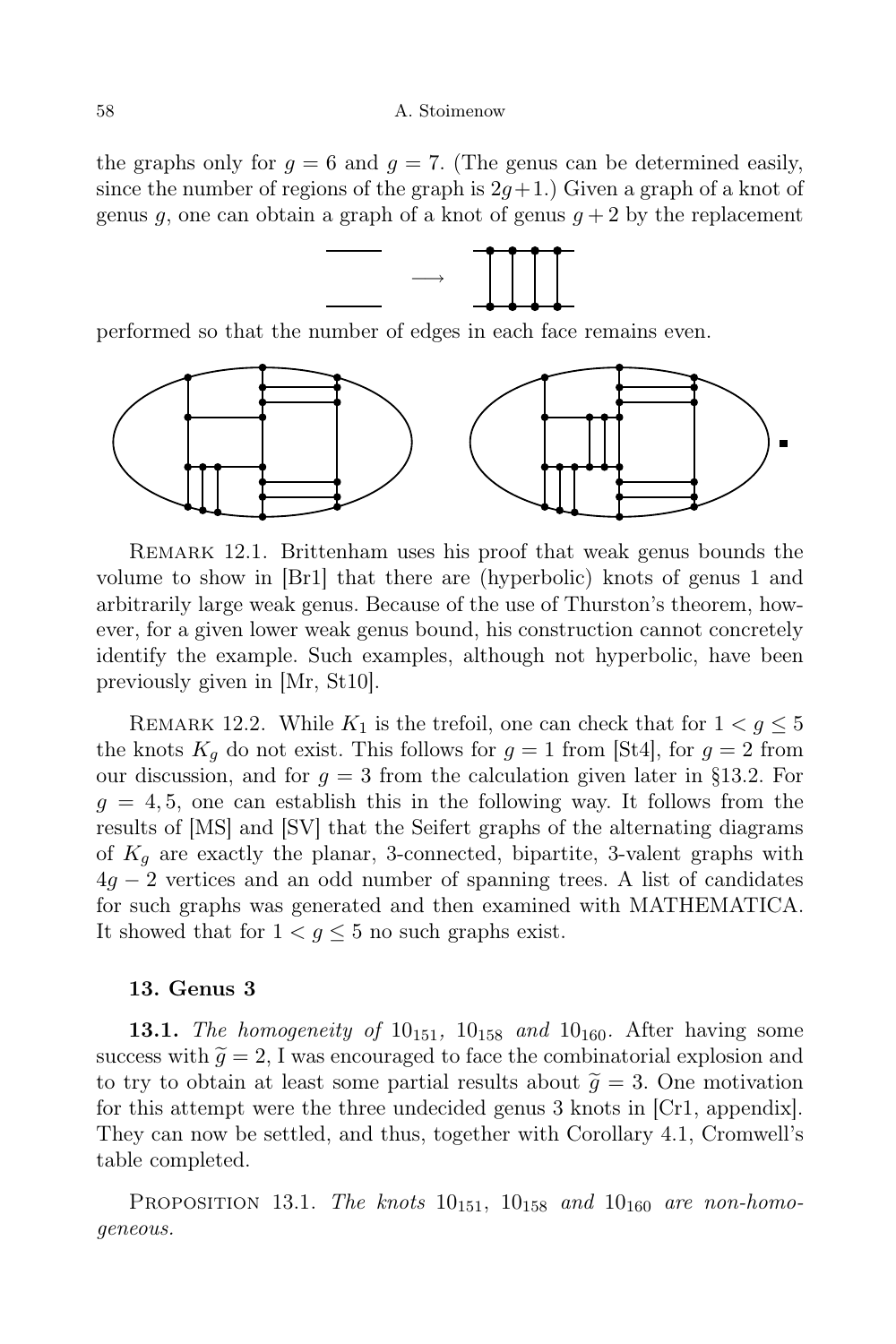the graphs only for  $g = 6$  and  $g = 7$ . (The genus can be determined easily, since the number of regions of the graph is  $2q+1$ .) Given a graph of a knot of genus q, one can obtain a graph of a knot of genus  $q + 2$  by the replacement



performed so that the number of edges in each face remains even.



Remark 12.1. Brittenham uses his proof that weak genus bounds the volume to show in [Br1] that there are (hyperbolic) knots of genus 1 and arbitrarily large weak genus. Because of the use of Thurston's theorem, however, for a given lower weak genus bound, his construction cannot concretely identify the example. Such examples, although not hyperbolic, have been previously given in [Mr, St10].

REMARK 12.2. While  $K_1$  is the trefoil, one can check that for  $1 < g \leq 5$ the knots  $K_q$  do not exist. This follows for  $q = 1$  from [St4], for  $q = 2$  from our discussion, and for  $g = 3$  from the calculation given later in §13.2. For  $g = 4, 5$ , one can establish this in the following way. It follows from the results of [MS] and [SV] that the Seifert graphs of the alternating diagrams of  $K_q$  are exactly the planar, 3-connected, bipartite, 3-valent graphs with  $4g - 2$  vertices and an odd number of spanning trees. A list of candidates for such graphs was generated and then examined with MATHEMATICA. It showed that for  $1 < g \leq 5$  no such graphs exist.

## 13. Genus 3

**13.1.** The homogeneity of  $10_{151}$ ,  $10_{158}$  and  $10_{160}$ . After having some success with  $\tilde{q} = 2$ , I was encouraged to face the combinatorial explosion and to try to obtain at least some partial results about  $\tilde{g} = 3$ . One motivation for this attempt were the three undecided genus 3 knots in [Cr1, appendix]. They can now be settled, and thus, together with Corollary 4.1, Cromwell's table completed.

PROPOSITION 13.1. The knots  $10_{151}$ ,  $10_{158}$  and  $10_{160}$  are non-homogeneous.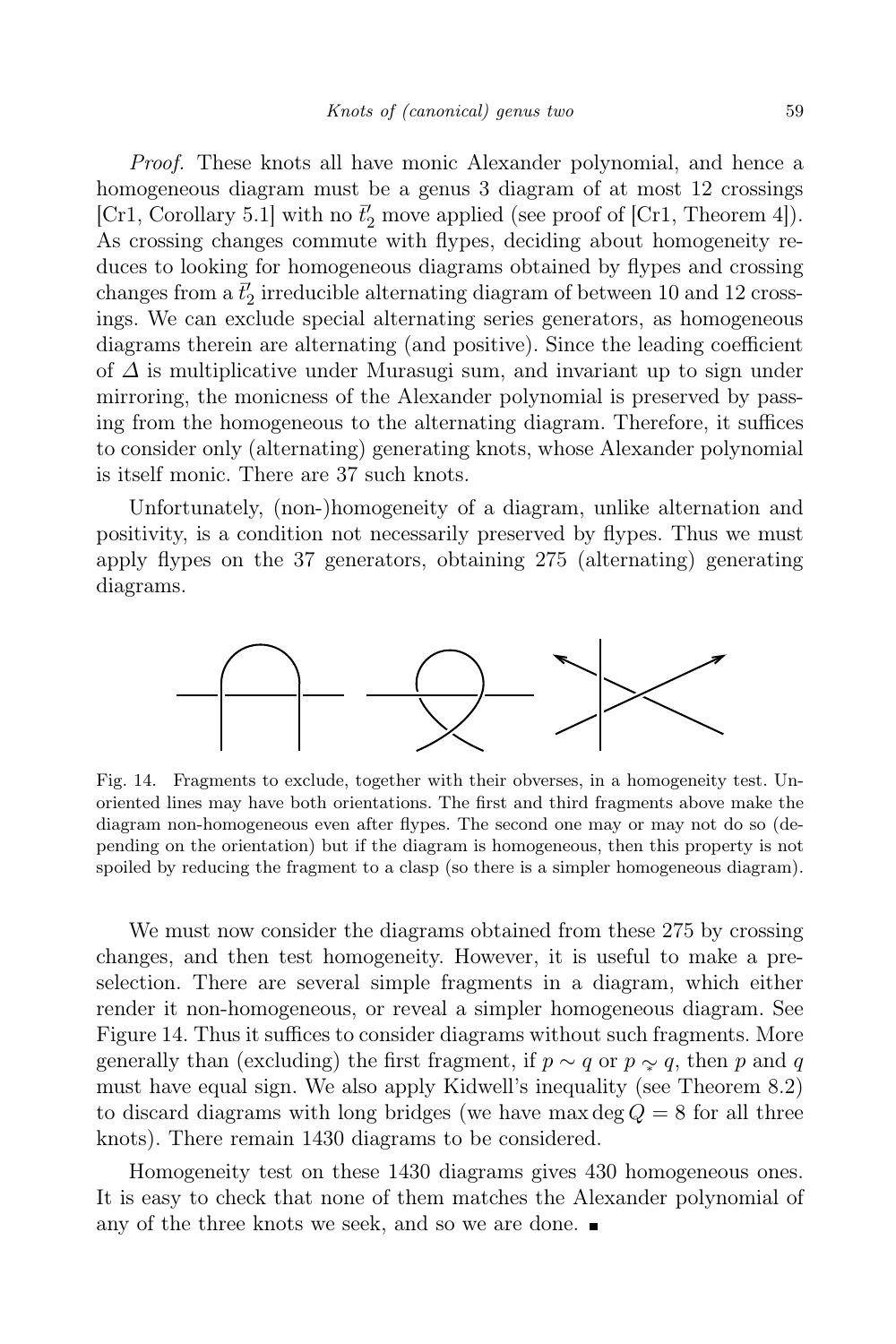Proof. These knots all have monic Alexander polynomial, and hence a homogeneous diagram must be a genus 3 diagram of at most 12 crossings [Cr1, Corollary 5.1] with no  $\bar{t}'_2$  move applied (see proof of [Cr1, Theorem 4]). As crossing changes commute with flypes, deciding about homogeneity reduces to looking for homogeneous diagrams obtained by flypes and crossing changes from a  $\bar{t}'_2$  irreducible alternating diagram of between 10 and 12 crossings. We can exclude special alternating series generators, as homogeneous diagrams therein are alternating (and positive). Since the leading coefficient of  $\Delta$  is multiplicative under Murasugi sum, and invariant up to sign under mirroring, the monicness of the Alexander polynomial is preserved by passing from the homogeneous to the alternating diagram. Therefore, it suffices to consider only (alternating) generating knots, whose Alexander polynomial is itself monic. There are 37 such knots.

Unfortunately, (non-)homogeneity of a diagram, unlike alternation and positivity, is a condition not necessarily preserved by flypes. Thus we must apply flypes on the 37 generators, obtaining 275 (alternating) generating diagrams.



Fig. 14. Fragments to exclude, together with their obverses, in a homogeneity test. Unoriented lines may have both orientations. The first and third fragments above make the diagram non-homogeneous even after flypes. The second one may or may not do so (depending on the orientation) but if the diagram is homogeneous, then this property is not spoiled by reducing the fragment to a clasp (so there is a simpler homogeneous diagram).

We must now consider the diagrams obtained from these 275 by crossing changes, and then test homogeneity. However, it is useful to make a preselection. There are several simple fragments in a diagram, which either render it non-homogeneous, or reveal a simpler homogeneous diagram. See Figure 14. Thus it suffices to consider diagrams without such fragments. More generally than (excluding) the first fragment, if  $p \sim q$  or  $p \sim q$ , then p and q must have equal sign. We also apply Kidwell's inequality (see Theorem 8.2) to discard diagrams with long bridges (we have max deg  $Q = 8$  for all three knots). There remain 1430 diagrams to be considered.

Homogeneity test on these 1430 diagrams gives 430 homogeneous ones. It is easy to check that none of them matches the Alexander polynomial of any of the three knots we seek, and so we are done.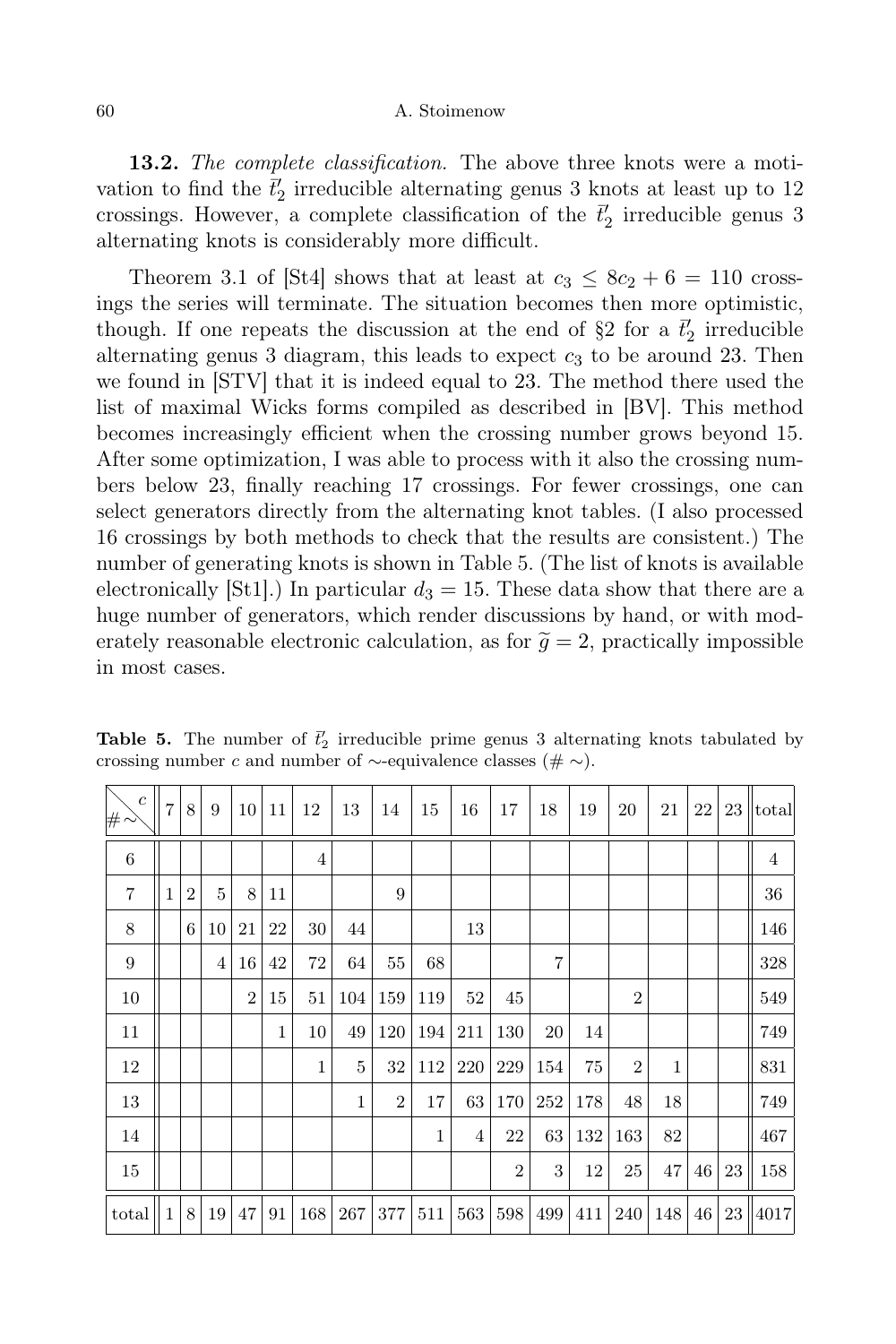**13.2.** The complete classification. The above three knots were a motivation to find the  $\bar{t}'_2$  irreducible alternating genus 3 knots at least up to 12 crossings. However, a complete classification of the  $\vec{t}_2$  irreducible genus 3 alternating knots is considerably more difficult.

Theorem 3.1 of  $|\text{St4}|$  shows that at least at  $c_3 \leq 8c_2 + 6 = 110$  crossings the series will terminate. The situation becomes then more optimistic, though. If one repeats the discussion at the end of  $\S 2$  for a  $\bar{t}'_2$  irreducible alternating genus 3 diagram, this leads to expect  $c<sub>3</sub>$  to be around 23. Then we found in [STV] that it is indeed equal to 23. The method there used the list of maximal Wicks forms compiled as described in [BV]. This method becomes increasingly efficient when the crossing number grows beyond 15. After some optimization, I was able to process with it also the crossing numbers below 23, finally reaching 17 crossings. For fewer crossings, one can select generators directly from the alternating knot tables. (I also processed 16 crossings by both methods to check that the results are consistent.) The number of generating knots is shown in Table 5. (The list of knots is available electronically [St1].) In particular  $d_3 = 15$ . These data show that there are a huge number of generators, which render discussions by hand, or with moderately reasonable electronic calculation, as for  $\tilde{g} = 2$ , practically impossible in most cases.

| $\boldsymbol{c}$<br># | $\overline{7}$ | 8              | 9  | 10 <sup>1</sup> | 11           | 12           | 13           | 14             | 15           | 16  | 17             | 18             | 19  | 20             | 21  | 22 | 23 | total          |
|-----------------------|----------------|----------------|----|-----------------|--------------|--------------|--------------|----------------|--------------|-----|----------------|----------------|-----|----------------|-----|----|----|----------------|
| 6                     |                |                |    |                 |              | 4            |              |                |              |     |                |                |     |                |     |    |    | $\overline{4}$ |
| $\overline{7}$        | 1              | $\overline{2}$ | 5  | 8               | 11           |              |              | 9              |              |     |                |                |     |                |     |    |    | 36             |
| 8                     |                | 6              | 10 | 21              | 22           | 30           | 44           |                |              | 13  |                |                |     |                |     |    |    | 146            |
| 9                     |                |                | 4  | 16              | 42           | 72           | 64           | 55             | 68           |     |                | $\overline{7}$ |     |                |     |    |    | 328            |
| 10                    |                |                |    | $\overline{2}$  | 15           | 51           | 104          | 159            | 119          | 52  | 45             |                |     | $\overline{2}$ |     |    |    | 549            |
| 11                    |                |                |    |                 | $\mathbf{1}$ | 10           | 49           | 120            | 194          | 211 | 130            | 20             | 14  |                |     |    |    | 749            |
| 12                    |                |                |    |                 |              | $\mathbf{1}$ | 5            | 32             | 112          | 220 | 229            | 154            | 75  | $\overline{2}$ | 1   |    |    | 831            |
| 13                    |                |                |    |                 |              |              | $\mathbf{1}$ | $\overline{2}$ | 17           | 63  | 170            | 252            | 178 | 48             | 18  |    |    | 749            |
| 14                    |                |                |    |                 |              |              |              |                | $\mathbf{1}$ | 4   | 22             | 63             | 132 | 163            | 82  |    |    | 467            |
| 15                    |                |                |    |                 |              |              |              |                |              |     | $\overline{2}$ | 3              | 12  | 25             | 47  | 46 | 23 | 158            |
| $_{\rm total}$        | 1              | 8              | 19 | 47              | 91           | 168          | 267          | 377            | 511          | 563 | 598            | 499            | 411 | 240            | 148 | 46 | 23 | 4017           |

**Table 5.** The number of  $\vec{t}'_2$  irreducible prime genus 3 alternating knots tabulated by crossing number c and number of  $\sim$ -equivalence classes ( $\#\sim$ ).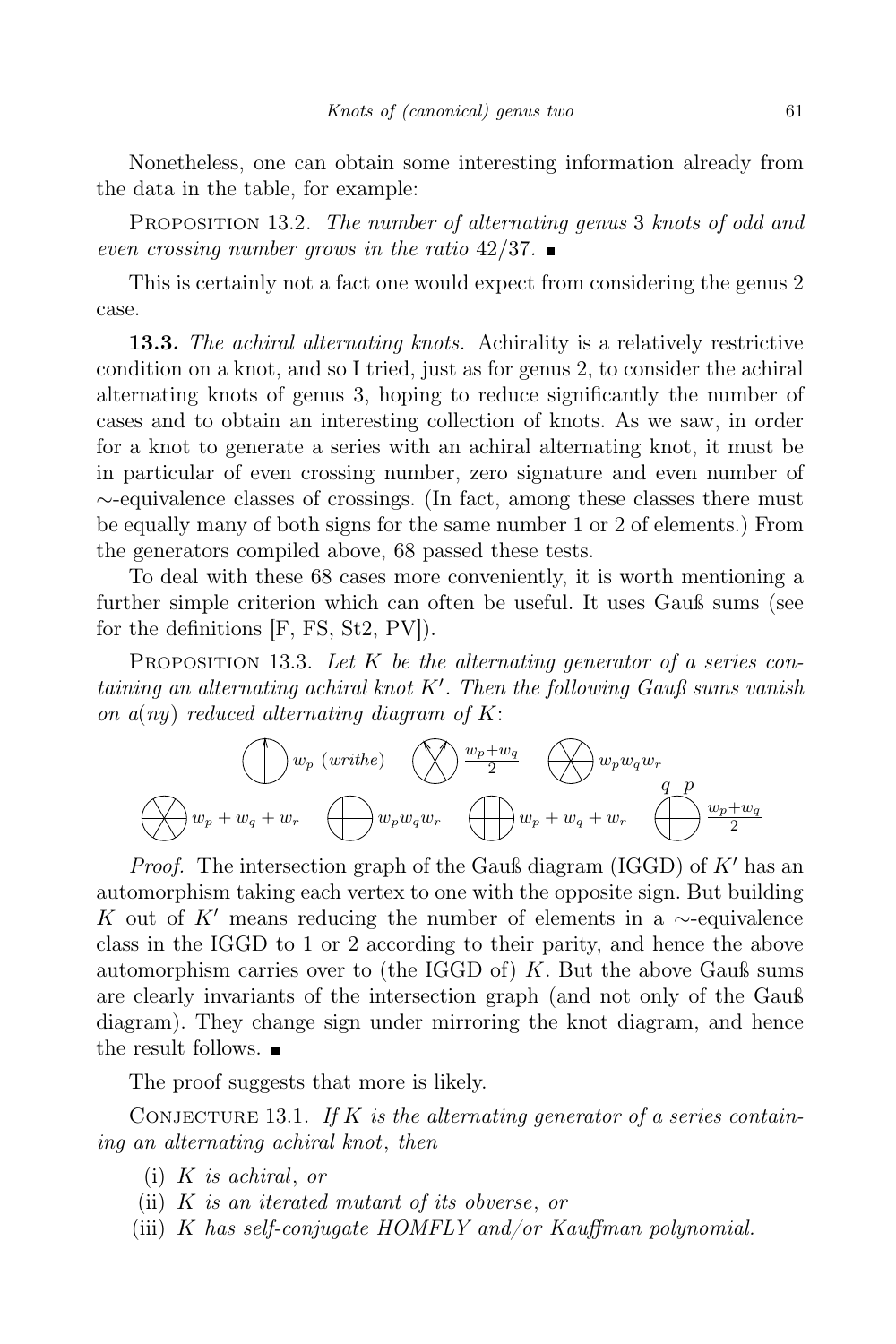Nonetheless, one can obtain some interesting information already from the data in the table, for example:

PROPOSITION 13.2. The number of alternating genus 3 knots of odd and even crossing number grows in the ratio  $42/37$ .

This is certainly not a fact one would expect from considering the genus 2 case.

13.3. The achiral alternating knots. Achirality is a relatively restrictive condition on a knot, and so I tried, just as for genus 2, to consider the achiral alternating knots of genus 3, hoping to reduce significantly the number of cases and to obtain an interesting collection of knots. As we saw, in order for a knot to generate a series with an achiral alternating knot, it must be in particular of even crossing number, zero signature and even number of ∼-equivalence classes of crossings. (In fact, among these classes there must be equally many of both signs for the same number 1 or 2 of elements.) From the generators compiled above, 68 passed these tests.

To deal with these 68 cases more conveniently, it is worth mentioning a further simple criterion which can often be useful. It uses Gauß sums (see for the definitions [F, FS, St2, PV]).

PROPOSITION 13.3. Let  $K$  be the alternating generator of a series containing an alternating achiral knot  $K'$ . Then the following Gauß sums vanish on  $a(ny)$  reduced alternating diagram of K:



*Proof.* The intersection graph of the Gauß diagram (IGGD) of  $K'$  has an automorphism taking each vertex to one with the opposite sign. But building K out of K' means reducing the number of elements in a  $\sim$ -equivalence class in the IGGD to 1 or 2 according to their parity, and hence the above automorphism carries over to (the IGGD of)  $K$ . But the above Gauß sums are clearly invariants of the intersection graph (and not only of the Gauß diagram). They change sign under mirroring the knot diagram, and hence the result follows.

The proof suggests that more is likely.

CONJECTURE 13.1. If K is the alternating generator of a series containing an alternating achiral knot, then

- $(i)$  K is achiral, or
- (ii) K is an iterated mutant of its obverse, or
- (iii)  $K$  has self-conjugate HOMFLY and/or Kauffman polynomial.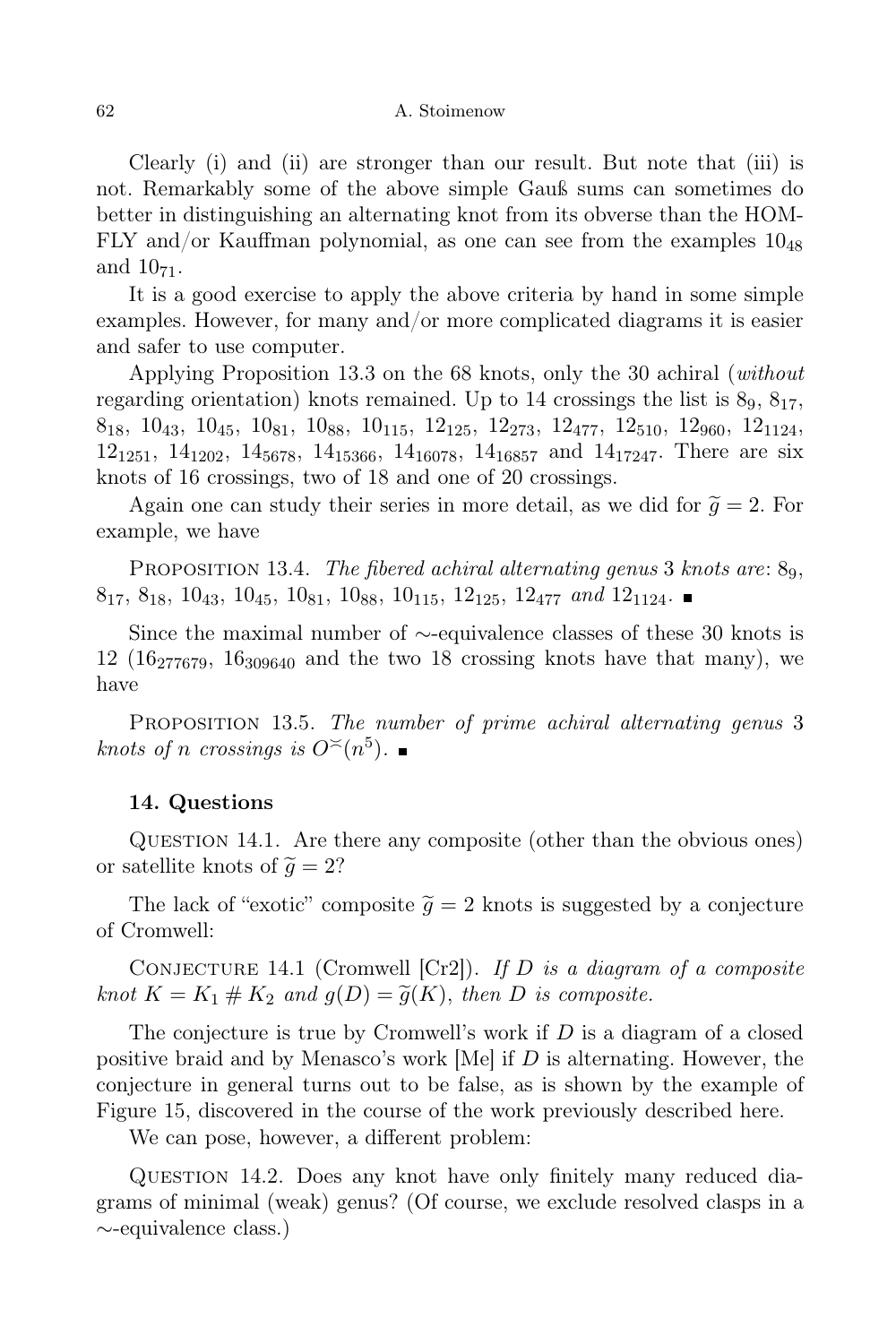Clearly (i) and (ii) are stronger than our result. But note that (iii) is not. Remarkably some of the above simple Gauß sums can sometimes do better in distinguishing an alternating knot from its obverse than the HOM-FLY and/or Kauffman polynomial, as one can see from the examples  $10_{48}$ and  $10_{71}$ .

It is a good exercise to apply the above criteria by hand in some simple examples. However, for many and/or more complicated diagrams it is easier and safer to use computer.

Applying Proposition 13.3 on the 68 knots, only the 30 achiral (without regarding orientation) knots remained. Up to 14 crossings the list is  $8<sub>9</sub>$ ,  $8<sub>17</sub>$ ,  $8_{18}$ ,  $10_{43}$ ,  $10_{45}$ ,  $10_{81}$ ,  $10_{88}$ ,  $10_{115}$ ,  $12_{125}$ ,  $12_{273}$ ,  $12_{477}$ ,  $12_{510}$ ,  $12_{960}$ ,  $12_{1124}$ ,  $12_{1251}$ ,  $14_{1202}$ ,  $14_{5678}$ ,  $14_{15366}$ ,  $14_{16078}$ ,  $14_{16857}$  and  $14_{17247}$ . There are six knots of 16 crossings, two of 18 and one of 20 crossings.

Again one can study their series in more detail, as we did for  $\tilde{g} = 2$ . For example, we have

PROPOSITION 13.4. The fibered achiral alternating genus 3 knots are:  $8<sub>9</sub>$ ,  $8_{17}, 8_{18}, 10_{43}, 10_{45}, 10_{81}, 10_{88}, 10_{115}, 12_{125}, 12_{477}$  and  $12_{1124}$ .

Since the maximal number of ∼-equivalence classes of these 30 knots is 12 (16 $277679$ , 16 $309640$  and the two 18 crossing knots have that many), we have

PROPOSITION 13.5. The number of prime achiral alternating genus 3 knots of n crossings is  $O^{\lt}\!(n^5)$ .

# 14. Questions

QUESTION 14.1. Are there any composite (other than the obvious ones) or satellite knots of  $\tilde{q} = 2$ ?

The lack of "exotic" composite  $\tilde{g} = 2$  knots is suggested by a conjecture of Cromwell:

CONJECTURE 14.1 (Cromwell  $[Cr2]$ ). If D is a diagram of a composite knot  $K = K_1 \# K_2$  and  $g(D) = \tilde{g}(K)$ , then D is composite.

The conjecture is true by Cromwell's work if  $D$  is a diagram of a closed positive braid and by Menasco's work [Me] if  $D$  is alternating. However, the conjecture in general turns out to be false, as is shown by the example of Figure 15, discovered in the course of the work previously described here.

We can pose, however, a different problem:

QUESTION 14.2. Does any knot have only finitely many reduced diagrams of minimal (weak) genus? (Of course, we exclude resolved clasps in a ∼-equivalence class.)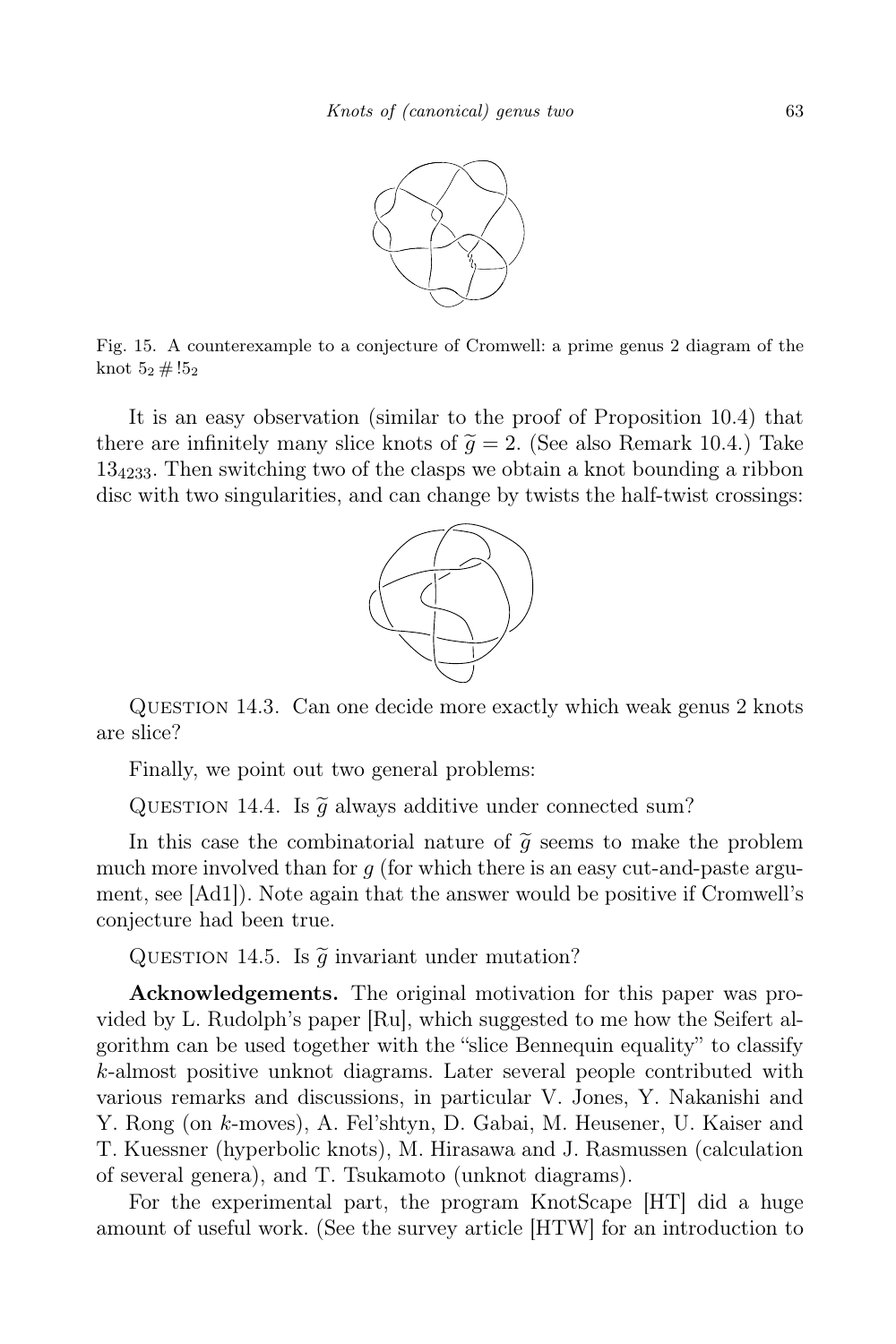

Fig. 15. A counterexample to a conjecture of Cromwell: a prime genus 2 diagram of the knot  $5_2 \# !5_2$ 

It is an easy observation (similar to the proof of Proposition 10.4) that there are infinitely many slice knots of  $\tilde{q} = 2$ . (See also Remark 10.4.) Take  $13<sub>4233</sub>$ . Then switching two of the clasps we obtain a knot bounding a ribbon disc with two singularities, and can change by twists the half-twist crossings:



Question 14.3. Can one decide more exactly which weak genus 2 knots are slice?

Finally, we point out two general problems:

QUESTION 14.4. Is  $\tilde{q}$  always additive under connected sum?

In this case the combinatorial nature of  $\tilde{g}$  seems to make the problem much more involved than for  $q$  (for which there is an easy cut-and-paste argument, see [Ad1]). Note again that the answer would be positive if Cromwell's conjecture had been true.

QUESTION 14.5. Is  $\tilde{g}$  invariant under mutation?

Acknowledgements. The original motivation for this paper was provided by L. Rudolph's paper [Ru], which suggested to me how the Seifert algorithm can be used together with the "slice Bennequin equality" to classify k-almost positive unknot diagrams. Later several people contributed with various remarks and discussions, in particular V. Jones, Y. Nakanishi and Y. Rong (on k-moves), A. Fel'shtyn, D. Gabai, M. Heusener, U. Kaiser and T. Kuessner (hyperbolic knots), M. Hirasawa and J. Rasmussen (calculation of several genera), and T. Tsukamoto (unknot diagrams).

For the experimental part, the program KnotScape [HT] did a huge amount of useful work. (See the survey article [HTW] for an introduction to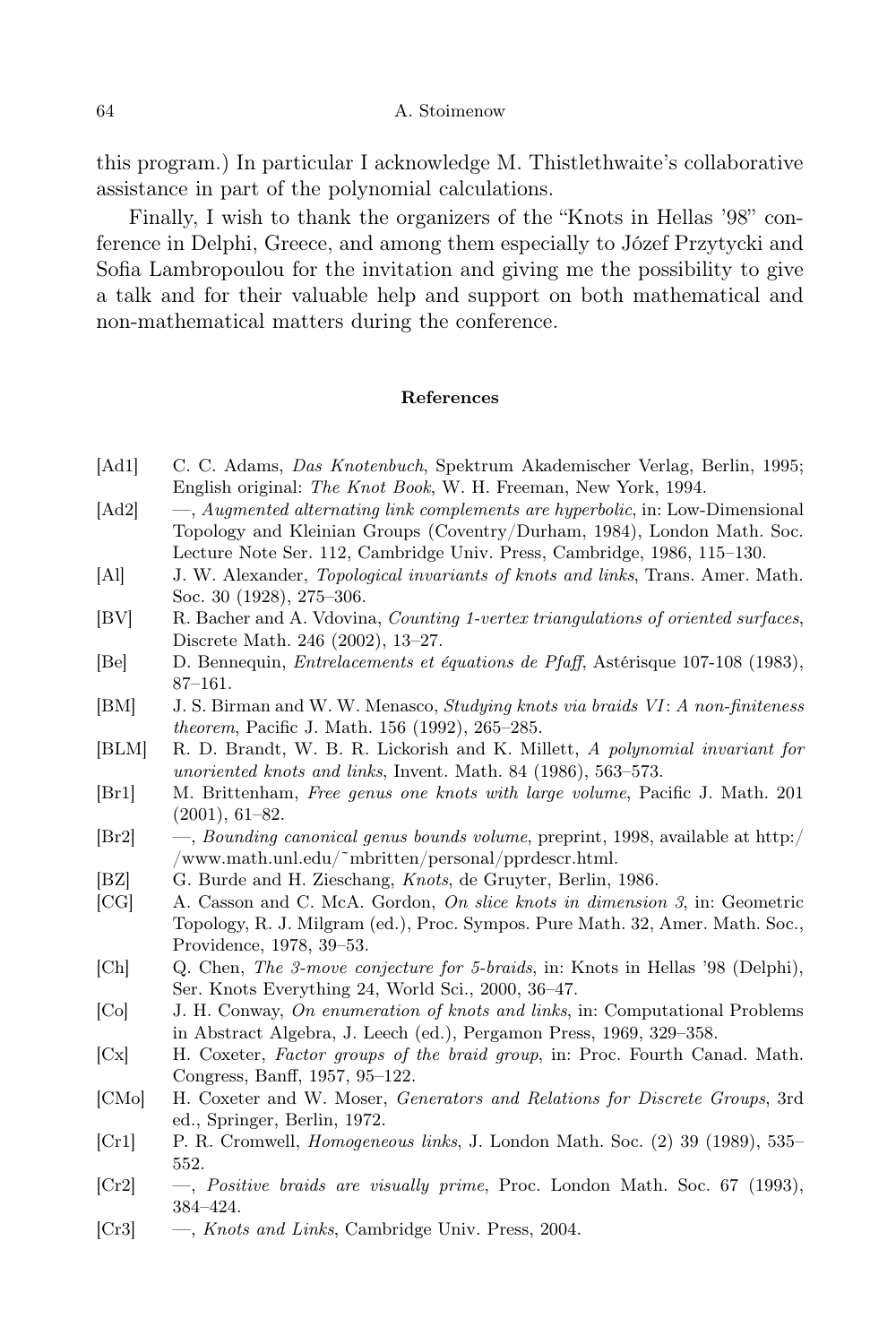this program.) In particular I acknowledge M. Thistlethwaite's collaborative assistance in part of the polynomial calculations.

Finally, I wish to thank the organizers of the "Knots in Hellas '98" conference in Delphi, Greece, and among them especially to Józef Przytycki and Sofia Lambropoulou for the invitation and giving me the possibility to give a talk and for their valuable help and support on both mathematical and non-mathematical matters during the conference.

### References

- [Ad1] C. C. Adams, Das Knotenbuch, Spektrum Akademischer Verlag, Berlin, 1995; English original: The Knot Book, W. H. Freeman, New York, 1994.
- [Ad2] —, Augmented alternating link complements are hyperbolic, in: Low-Dimensional Topology and Kleinian Groups (Coventry/Durham, 1984), London Math. Soc. Lecture Note Ser. 112, Cambridge Univ. Press, Cambridge, 1986, 115–130.
- [Al] J. W. Alexander, Topological invariants of knots and links, Trans. Amer. Math. Soc. 30 (1928), 275–306.
- [BV] R. Bacher and A. Vdovina, Counting 1-vertex triangulations of oriented surfaces, Discrete Math. 246 (2002), 13–27.
- [Be] D. Bennequin, Entrelacements et équations de Pfaff, Astérisque 107-108 (1983), 87–161.
- [BM] J. S. Birman and W. W. Menasco, Studying knots via braids VI: A non-finiteness theorem, Pacific J. Math. 156 (1992), 265–285.
- [BLM] R. D. Brandt, W. B. R. Lickorish and K. Millett, A polynomial invariant for unoriented knots and links, Invent. Math. 84 (1986), 563–573.
- [Br1] M. Brittenham, Free genus one knots with large volume, Pacific J. Math. 201 (2001), 61–82.
- [Br2] —, Bounding canonical genus bounds volume, preprint, 1998, available at http:/ /www.math.unl.edu/˜mbritten/personal/pprdescr.html.
- [BZ] G. Burde and H. Zieschang, *Knots*, de Gruyter, Berlin, 1986.
- [CG] A. Casson and C. McA. Gordon, On slice knots in dimension 3, in: Geometric Topology, R. J. Milgram (ed.), Proc. Sympos. Pure Math. 32, Amer. Math. Soc., Providence, 1978, 39–53.
- [Ch] Q. Chen, The 3-move conjecture for 5-braids, in: Knots in Hellas '98 (Delphi), Ser. Knots Everything 24, World Sci., 2000, 36–47.
- [Co] J. H. Conway, On enumeration of knots and links, in: Computational Problems in Abstract Algebra, J. Leech (ed.), Pergamon Press, 1969, 329–358.
- [Cx] H. Coxeter, Factor groups of the braid group, in: Proc. Fourth Canad. Math. Congress, Banff, 1957, 95–122.
- [CMo] H. Coxeter and W. Moser, Generators and Relations for Discrete Groups, 3rd ed., Springer, Berlin, 1972.
- [Cr1] P. R. Cromwell, Homogeneous links, J. London Math. Soc. (2) 39 (1989), 535– 552.
- [Cr2] —, Positive braids are visually prime, Proc. London Math. Soc. 67 (1993), 384–424.
- [Cr3] —, Knots and Links, Cambridge Univ. Press, 2004.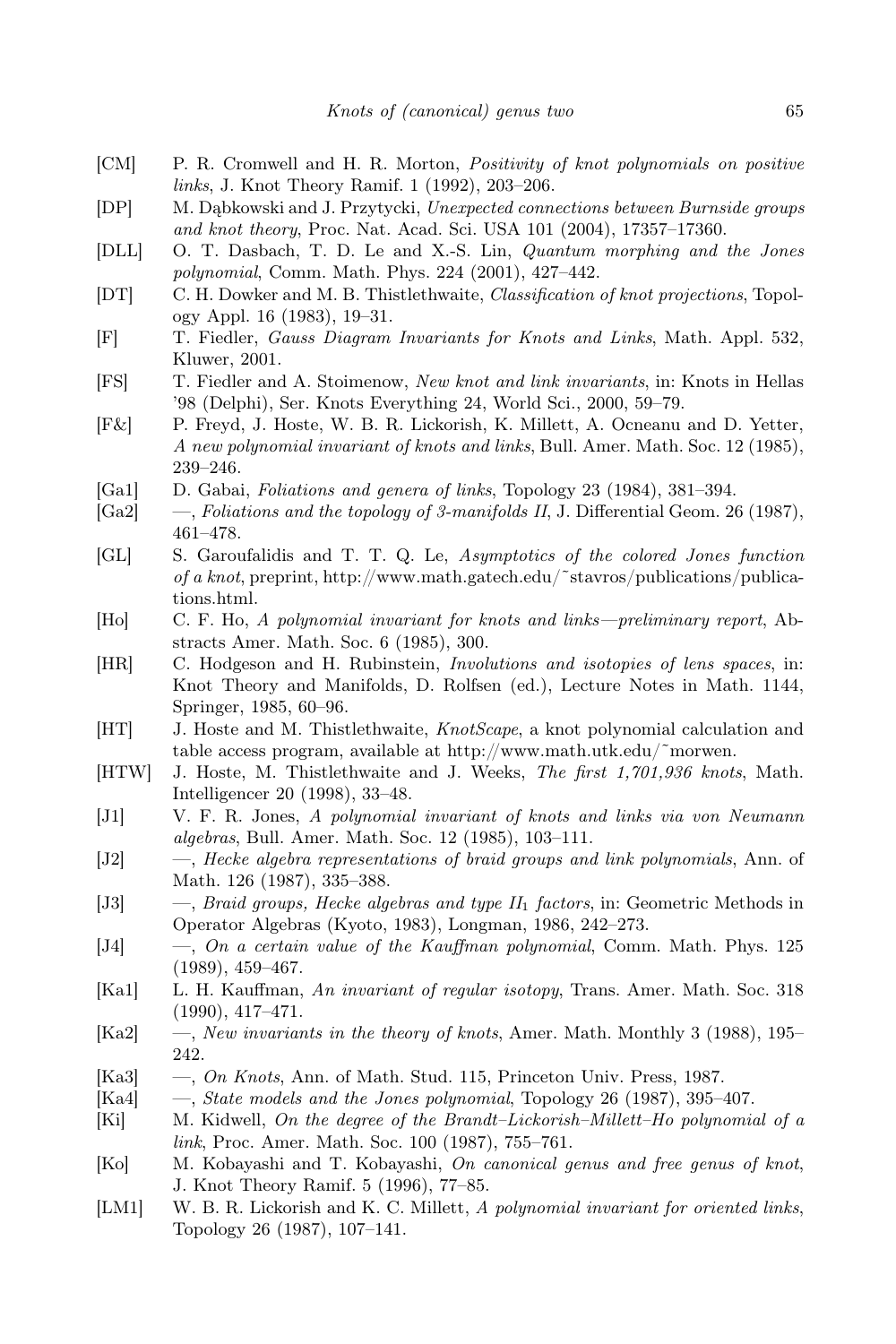- [CM] P. R. Cromwell and H. R. Morton, Positivity of knot polynomials on positive links, J. Knot Theory Ramif. 1 (1992), 203–206.
- [DP] M. Dąbkowski and J. Przytycki, Unexpected connections between Burnside groups and knot theory, Proc. Nat. Acad. Sci. USA 101 (2004), 17357–17360.
- [DLL] O. T. Dasbach, T. D. Le and X.-S. Lin, Quantum morphing and the Jones polynomial, Comm. Math. Phys. 224 (2001), 427–442.
- [DT] C. H. Dowker and M. B. Thistlethwaite, Classification of knot projections, Topology Appl. 16 (1983), 19–31.
- [F] T. Fiedler, Gauss Diagram Invariants for Knots and Links, Math. Appl. 532, Kluwer, 2001.
- [FS] T. Fiedler and A. Stoimenow, New knot and link invariants, in: Knots in Hellas '98 (Delphi), Ser. Knots Everything 24, World Sci., 2000, 59–79.
- [F&] P. Freyd, J. Hoste, W. B. R. Lickorish, K. Millett, A. Ocneanu and D. Yetter, A new polynomial invariant of knots and links, Bull. Amer. Math. Soc. 12 (1985), 239–246.
- [Ga1] D. Gabai, Foliations and genera of links, Topology 23 (1984), 381–394.
- [Ga2] —, Foliations and the topology of 3-manifolds II, J. Differential Geom. 26 (1987), 461–478.
- [GL] S. Garoufalidis and T. T. Q. Le, Asymptotics of the colored Jones function of a knot, preprint, http://www.math.gatech.edu/˜stavros/publications/publications.html.
- [Ho] C. F. Ho, A polynomial invariant for knots and links—preliminary report, Abstracts Amer. Math. Soc. 6 (1985), 300.
- [HR] C. Hodgeson and H. Rubinstein, Involutions and isotopies of lens spaces, in: Knot Theory and Manifolds, D. Rolfsen (ed.), Lecture Notes in Math. 1144, Springer, 1985, 60–96.
- [HT] J. Hoste and M. Thistlethwaite, KnotScape, a knot polynomial calculation and table access program, available at http://www.math.utk.edu/˜morwen.
- [HTW] J. Hoste, M. Thistlethwaite and J. Weeks, The first 1,701,936 knots, Math. Intelligencer 20 (1998), 33–48.
- [J1] V. F. R. Jones, A polynomial invariant of knots and links via von Neumann algebras, Bull. Amer. Math. Soc. 12 (1985), 103–111.
- [J2] —, Hecke algebra representations of braid groups and link polynomials, Ann. of Math. 126 (1987), 335–388.
- [J3]  $-$ , Braid groups, Hecke algebras and type  $II_1$  factors, in: Geometric Methods in Operator Algebras (Kyoto, 1983), Longman, 1986, 242–273.
- [J4] —, On a certain value of the Kauffman polynomial, Comm. Math. Phys. 125 (1989), 459–467.
- [Ka1] L. H. Kauffman, An invariant of regular isotopy, Trans. Amer. Math. Soc. 318 (1990), 417–471.
- [Ka2] —, New invariants in the theory of knots, Amer. Math. Monthly 3 (1988), 195– 242.
- [Ka3] —, On Knots, Ann. of Math. Stud. 115, Princeton Univ. Press, 1987.
- [Ka4] —, State models and the Jones polynomial, Topology 26 (1987), 395–407.
- [Ki] M. Kidwell, On the degree of the Brandt–Lickorish–Millett–Ho polynomial of a link, Proc. Amer. Math. Soc. 100 (1987), 755–761.
- [Ko] M. Kobayashi and T. Kobayashi, On canonical genus and free genus of knot, J. Knot Theory Ramif. 5 (1996), 77–85.
- [LM1] W. B. R. Lickorish and K. C. Millett, A polynomial invariant for oriented links, Topology 26 (1987), 107–141.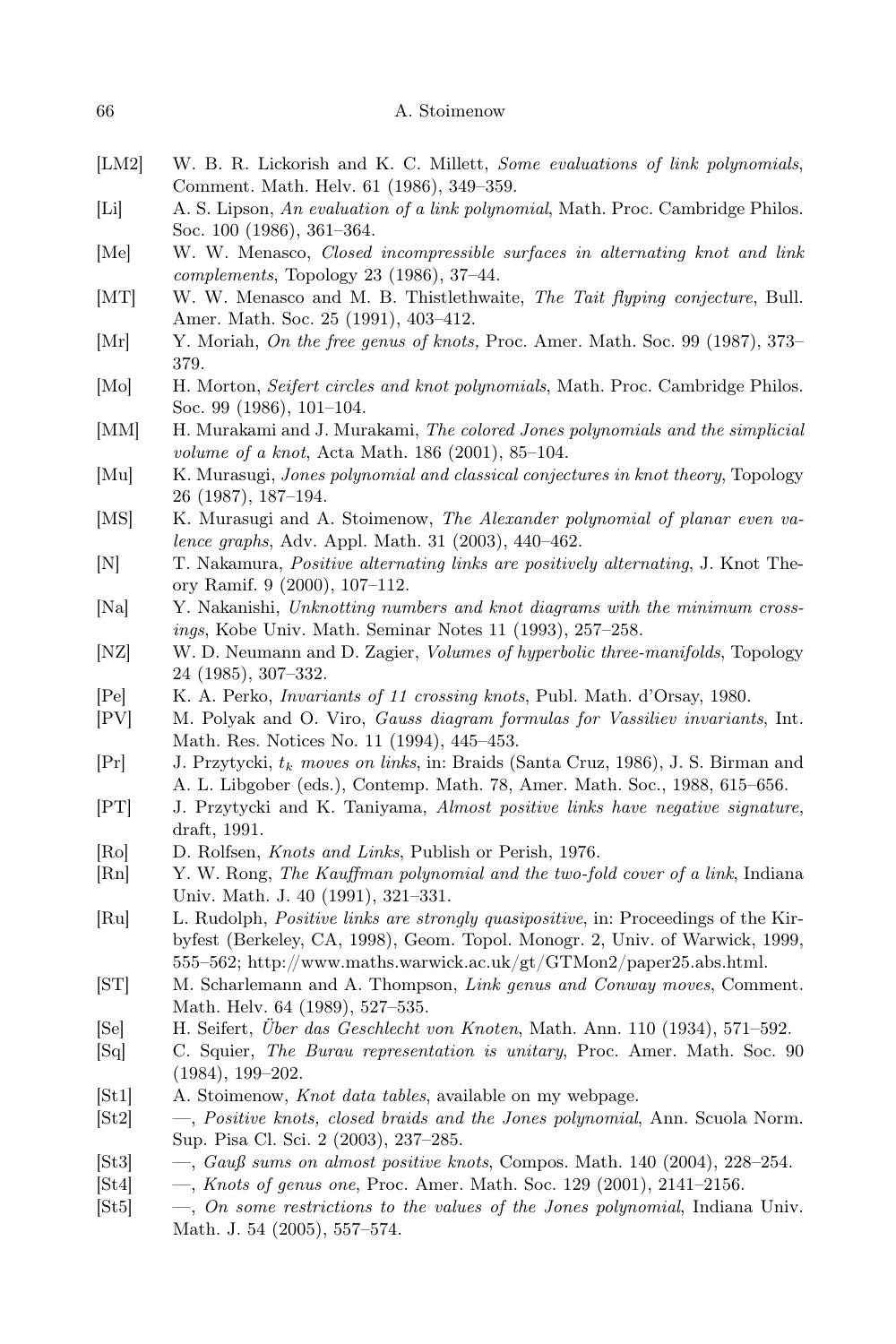- [LM2] W. B. R. Lickorish and K. C. Millett, Some evaluations of link polynomials, Comment. Math. Helv. 61 (1986), 349–359.
- [Li] A. S. Lipson, An evaluation of a link polynomial, Math. Proc. Cambridge Philos. Soc. 100 (1986), 361–364.
- [Me] W. W. Menasco, Closed incompressible surfaces in alternating knot and link complements, Topology 23 (1986), 37–44.
- [MT] W. W. Menasco and M. B. Thistlethwaite, The Tait flyping conjecture, Bull. Amer. Math. Soc. 25 (1991), 403–412.
- [Mr] Y. Moriah, On the free genus of knots, Proc. Amer. Math. Soc. 99 (1987), 373– 379.
- [Mo] H. Morton, Seifert circles and knot polynomials, Math. Proc. Cambridge Philos. Soc. 99 (1986), 101–104.
- [MM] H. Murakami and J. Murakami, The colored Jones polynomials and the simplicial volume of a knot, Acta Math. 186 (2001), 85–104.
- [Mu] K. Murasugi, *Jones polynomial and classical conjectures in knot theory*, Topology 26 (1987), 187–194.
- [MS] K. Murasugi and A. Stoimenow, The Alexander polynomial of planar even valence graphs, Adv. Appl. Math. 31 (2003), 440–462.
- [N] T. Nakamura, Positive alternating links are positively alternating, J. Knot Theory Ramif. 9 (2000), 107–112.
- [Na] Y. Nakanishi, Unknotting numbers and knot diagrams with the minimum crossings, Kobe Univ. Math. Seminar Notes 11 (1993), 257–258.
- [NZ] W. D. Neumann and D. Zagier, *Volumes of hyperbolic three-manifolds*, Topology 24 (1985), 307–332.
- [Pe] K. A. Perko, Invariants of 11 crossing knots, Publ. Math. d'Orsay, 1980.
- [PV] M. Polyak and O. Viro, Gauss diagram formulas for Vassiliev invariants, Int. Math. Res. Notices No. 11 (1994), 445–453.
- $[Pr]$  J. Przytycki,  $t_k$  moves on links, in: Braids (Santa Cruz, 1986), J. S. Birman and A. L. Libgober (eds.), Contemp. Math. 78, Amer. Math. Soc., 1988, 615–656.
- [PT] J. Przytycki and K. Taniyama, Almost positive links have negative signature, draft, 1991.
- [Ro] D. Rolfsen, Knots and Links, Publish or Perish, 1976.
- [Rn] Y. W. Rong, The Kauffman polynomial and the two-fold cover of a link, Indiana Univ. Math. J. 40 (1991), 321–331.
- [Ru] L. Rudolph, Positive links are strongly quasipositive, in: Proceedings of the Kirbyfest (Berkeley, CA, 1998), Geom. Topol. Monogr. 2, Univ. of Warwick, 1999, 555–562; http://www.maths.warwick.ac.uk/gt/GTMon2/paper25.abs.html.
- [ST] M. Scharlemann and A. Thompson, Link genus and Conway moves, Comment. Math. Helv. 64 (1989), 527–535.
- [Se] H. Seifert, Über das Geschlecht von Knoten, Math. Ann. 110 (1934), 571–592.
- [Sq] C. Squier, The Burau representation is unitary, Proc. Amer. Math. Soc. 90 (1984), 199–202.
- [St1] A. Stoimenow, Knot data tables, available on my webpage.
- [St2] —, Positive knots, closed braids and the Jones polynomial, Ann. Scuola Norm. Sup. Pisa Cl. Sci. 2 (2003), 237–285.
- [St3] —, Gauß sums on almost positive knots, Compos. Math. 140 (2004), 228–254.
- [St4] —, Knots of genus one, Proc. Amer. Math. Soc. 129 (2001), 2141–2156.
- $[St5] \quad -$ , On some restrictions to the values of the Jones polynomial, Indiana Univ. Math. J. 54 (2005), 557–574.